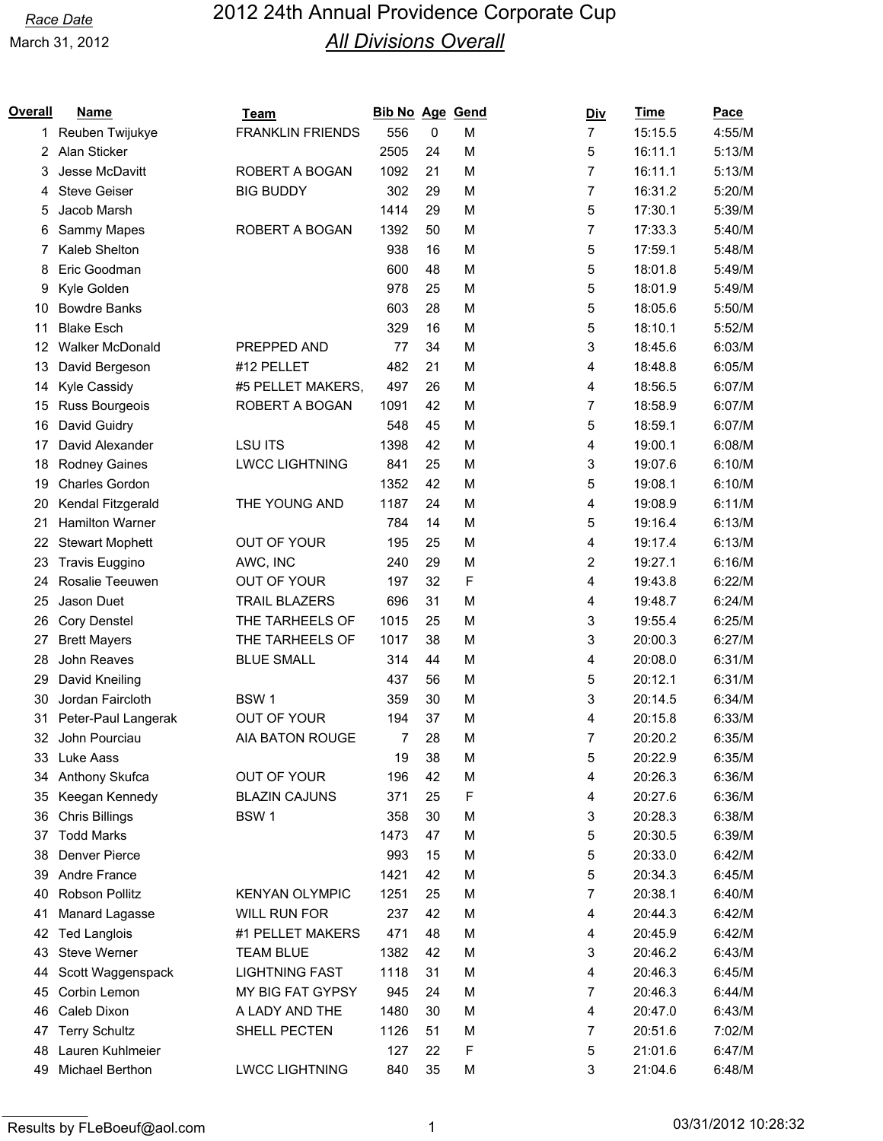| Overall  | <b>Name</b>                 | Team                               | <b>Bib No Age Gend</b> |          |        | <u>Div</u>     | <b>Time</b>        | <b>Pace</b>      |
|----------|-----------------------------|------------------------------------|------------------------|----------|--------|----------------|--------------------|------------------|
| 1        | Reuben Twijukye             | <b>FRANKLIN FRIENDS</b>            | 556                    | 0        | M      | $\overline{7}$ | 15:15.5            | 4:55/M           |
| 2        | Alan Sticker                |                                    | 2505                   | 24       | M      | 5              | 16:11.1            | 5:13/M           |
| 3        | Jesse McDavitt              | ROBERT A BOGAN                     | 1092                   | 21       | M      | 7              | 16:11.1            | 5:13/M           |
| 4        | <b>Steve Geiser</b>         | <b>BIG BUDDY</b>                   | 302                    | 29       | M      | 7              | 16:31.2            | 5:20/M           |
| 5        | Jacob Marsh                 |                                    | 1414                   | 29       | M      | 5              | 17:30.1            | 5:39/M           |
| 6        | Sammy Mapes                 | ROBERT A BOGAN                     | 1392                   | 50       | M      | 7              | 17:33.3            | 5:40/M           |
| 7        | Kaleb Shelton               |                                    | 938                    | 16       | M      | 5              | 17:59.1            | 5:48/M           |
| 8        | Eric Goodman                |                                    | 600                    | 48       | M      | 5              | 18:01.8            | 5:49/M           |
| 9        | Kyle Golden                 |                                    | 978                    | 25       | M      | 5              | 18:01.9            | 5:49/M           |
| 10       | <b>Bowdre Banks</b>         |                                    | 603                    | 28       | M      | 5              | 18:05.6            | 5:50/M           |
| 11       | <b>Blake Esch</b>           |                                    | 329                    | 16       | M      | 5              | 18:10.1            | 5:52/M           |
| 12       | Walker McDonald             | PREPPED AND                        | 77                     | 34       | M      | 3              | 18:45.6            | 6:03/M           |
| 13       | David Bergeson              | #12 PELLET                         | 482                    | 21       | M      | 4              | 18:48.8            | 6:05/M           |
| 14       | Kyle Cassidy                | #5 PELLET MAKERS,                  | 497                    | 26       | M      | 4              | 18:56.5            | 6:07/M           |
| 15       | Russ Bourgeois              | ROBERT A BOGAN                     | 1091                   | 42       | M      | 7              | 18:58.9            | 6:07/M           |
| 16       | David Guidry                |                                    | 548                    | 45       | M      | 5              | 18:59.1            | 6:07/M           |
| 17       | David Alexander             | <b>LSU ITS</b>                     | 1398                   | 42       | M      | 4              | 19:00.1            | 6:08/M           |
| 18       | Rodney Gaines               | <b>LWCC LIGHTNING</b>              | 841                    | 25       | M      | 3              | 19:07.6            | 6:10/M           |
| 19       | Charles Gordon              |                                    | 1352                   | 42       | M      | 5              | 19:08.1            | 6:10/M           |
| 20       | Kendal Fitzgerald           | THE YOUNG AND                      | 1187                   | 24       | M      | 4              | 19:08.9            | 6:11/M           |
| 21       | <b>Hamilton Warner</b>      |                                    | 784                    | 14       | M      | 5              | 19:16.4            | 6:13/M           |
| 22       | <b>Stewart Mophett</b>      | OUT OF YOUR                        | 195                    | 25       | M      | 4              | 19:17.4            | 6:13/M           |
| 23       | <b>Travis Euggino</b>       | AWC, INC                           | 240                    | 29       | M      | 2              | 19:27.1            | 6:16/M           |
| 24       | Rosalie Teeuwen             | <b>OUT OF YOUR</b>                 | 197                    | 32       | F      | 4              | 19:43.8            | 6:22/M           |
| 25       | Jason Duet                  | <b>TRAIL BLAZERS</b>               | 696                    | 31       | M      | 4              | 19:48.7            | 6:24/M           |
| 26       | <b>Cory Denstel</b>         | THE TARHEELS OF                    | 1015                   | 25       | M      | 3              | 19:55.4            | 6:25/M           |
| 27       | <b>Brett Mayers</b>         | THE TARHEELS OF                    | 1017                   | 38       | M      | 3              | 20:00.3            | 6:27/M           |
| 28       | John Reaves                 | <b>BLUE SMALL</b>                  | 314                    | 44       | M      | 4              | 20:08.0            | 6:31/M           |
| 29       | David Kneiling              |                                    | 437                    | 56       | M      | 5              | 20:12.1            | 6:31/M           |
| 30       | Jordan Faircloth            | BSW <sub>1</sub>                   | 359                    | 30       | M      | 3              | 20:14.5            | 6:34/M           |
| 31       | Peter-Paul Langerak         | <b>OUT OF YOUR</b>                 | 194                    | 37       | M      | 4              | 20:15.8            | 6:33/M           |
| 32       | John Pourciau               | <b>AIA BATON ROUGE</b>             | 7                      | 28       | M      | 7              | 20:20.2            | 6:35/M           |
| 33       | Luke Aass                   |                                    | 19                     | 38       | M      | 5              | 20:22.9            | 6:35/M           |
| 34       | Anthony Skufca              | OUT OF YOUR                        | 196                    | 42       | M      | 4              | 20:26.3            | 6:36/M           |
| 35       | Keegan Kennedy              | <b>BLAZIN CAJUNS</b>               | 371                    | 25       | F      | 4              | 20:27.6            | 6:36/M           |
| 36       | <b>Chris Billings</b>       | BSW <sub>1</sub>                   | 358                    | 30       | М      | 3              | 20:28.3            | 6:38/M           |
| 37       | <b>Todd Marks</b>           |                                    | 1473                   | 47       | M      | 5              | 20:30.5            | 6:39/M           |
| 38       | Denver Pierce               |                                    | 993                    | 15       | M      | 5              | 20:33.0            | 6:42/M           |
| 39       | Andre France                |                                    | 1421                   | 42       | M      | 5              | 20:34.3            | 6:45/M           |
| 40       | Robson Pollitz              | <b>KENYAN OLYMPIC</b>              | 1251                   | 25       | M      | 7              | 20:38.1            | 6:40/M           |
| 41       | Manard Lagasse              | WILL RUN FOR                       | 237                    | 42       | M      | 4              | 20:44.3            | 6:42/M           |
| 42       | <b>Ted Langlois</b>         | #1 PELLET MAKERS                   | 471                    | 48       | M      | 4              | 20:45.9            | 6:42/M           |
| 43       | Steve Werner                | <b>TEAM BLUE</b>                   | 1382                   | 42       | M      | 3              | 20:46.2            | 6:43/M           |
| 44       | Scott Waggenspack           | <b>LIGHTNING FAST</b>              | 1118                   | 31       | M      | 4              | 20:46.3            | 6:45/M           |
|          |                             |                                    |                        |          |        | 7              |                    |                  |
| 45<br>46 | Corbin Lemon<br>Caleb Dixon | MY BIG FAT GYPSY<br>A LADY AND THE | 945<br>1480            | 24<br>30 | M<br>M | 4              | 20:46.3<br>20:47.0 | 6:44/M<br>6:43/M |
| 47       | <b>Terry Schultz</b>        | SHELL PECTEN                       | 1126                   | 51       | M      | 7              | 20:51.6            | 7:02/M           |
| 48       | Lauren Kuhlmeier            |                                    | 127                    | 22       | F      | 5              | 21:01.6            | 6:47/M           |
|          |                             |                                    |                        | 35       |        |                |                    |                  |
| 49       | Michael Berthon             | <b>LWCC LIGHTNING</b>              | 840                    |          | M      | 3              | 21:04.6            | 6:48/M           |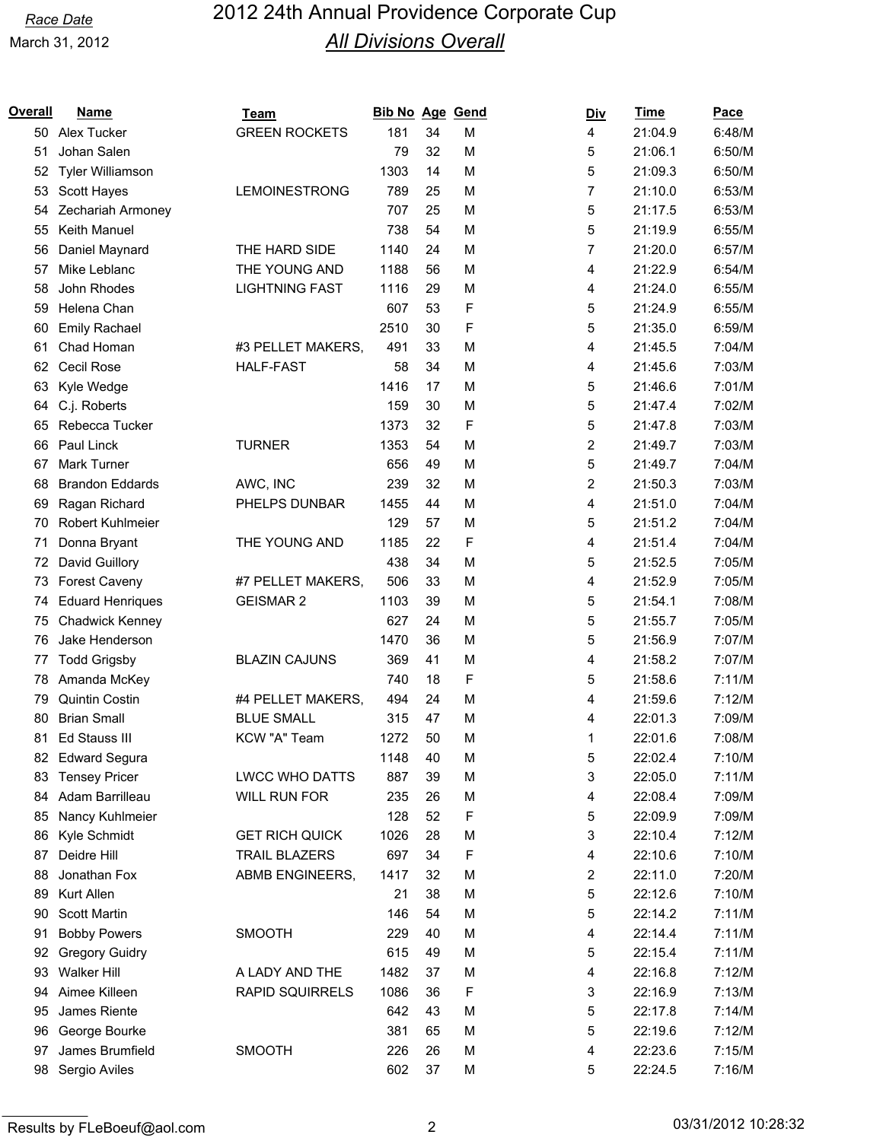| Overall | <b>Name</b>             | Team                   | <b>Bib No Age Gend</b> |    |   | <b>Div</b> | <b>Time</b> | Pace   |
|---------|-------------------------|------------------------|------------------------|----|---|------------|-------------|--------|
| 50      | Alex Tucker             | <b>GREEN ROCKETS</b>   | 181                    | 34 | M | 4          | 21:04.9     | 6:48/M |
| 51      | Johan Salen             |                        | 79                     | 32 | M | 5          | 21:06.1     | 6:50/M |
| 52      | Tyler Williamson        |                        | 1303                   | 14 | M | 5          | 21:09.3     | 6:50/M |
| 53      | Scott Hayes             | <b>LEMOINESTRONG</b>   | 789                    | 25 | M | 7          | 21:10.0     | 6:53/M |
| 54      | Zechariah Armoney       |                        | 707                    | 25 | M | 5          | 21:17.5     | 6:53/M |
| 55      | Keith Manuel            |                        | 738                    | 54 | M | 5          | 21:19.9     | 6:55/M |
| 56      | Daniel Maynard          | THE HARD SIDE          | 1140                   | 24 | M | 7          | 21:20.0     | 6:57/M |
| 57      | Mike Leblanc            | THE YOUNG AND          | 1188                   | 56 | M | 4          | 21:22.9     | 6:54/M |
| 58      | John Rhodes             | <b>LIGHTNING FAST</b>  | 1116                   | 29 | M | 4          | 21:24.0     | 6:55/M |
| 59      | Helena Chan             |                        | 607                    | 53 | F | 5          | 21:24.9     | 6:55/M |
| 60      | <b>Emily Rachael</b>    |                        | 2510                   | 30 | F | 5          | 21:35.0     | 6:59/M |
| 61      | Chad Homan              | #3 PELLET MAKERS,      | 491                    | 33 | M | 4          | 21:45.5     | 7:04/M |
| 62      | Cecil Rose              | <b>HALF-FAST</b>       | 58                     | 34 | M | 4          | 21:45.6     | 7:03/M |
| 63      | Kyle Wedge              |                        | 1416                   | 17 | M | 5          | 21:46.6     | 7:01/M |
| 64      | C.j. Roberts            |                        | 159                    | 30 | M | 5          | 21:47.4     | 7:02/M |
| 65      | Rebecca Tucker          |                        | 1373                   | 32 | F | 5          | 21:47.8     | 7:03/M |
| 66      | Paul Linck              | <b>TURNER</b>          | 1353                   | 54 | M | 2          | 21:49.7     | 7:03/M |
| 67      | Mark Turner             |                        | 656                    | 49 | M | 5          | 21:49.7     | 7:04/M |
| 68      | <b>Brandon Eddards</b>  | AWC, INC               | 239                    | 32 | M | 2          | 21:50.3     | 7:03/M |
| 69      | Ragan Richard           | PHELPS DUNBAR          | 1455                   | 44 | M | 4          | 21:51.0     | 7:04/M |
| 70      | Robert Kuhlmeier        |                        | 129                    | 57 | M | 5          | 21:51.2     | 7:04/M |
| 71      | Donna Bryant            | THE YOUNG AND          | 1185                   | 22 | F | 4          | 21:51.4     | 7:04/M |
| 72      | David Guillory          |                        | 438                    | 34 | M | 5          | 21:52.5     | 7:05/M |
| 73      | Forest Caveny           | #7 PELLET MAKERS,      | 506                    | 33 | M | 4          | 21:52.9     | 7:05/M |
| 74      | <b>Eduard Henriques</b> | <b>GEISMAR 2</b>       | 1103                   | 39 | M | 5          | 21:54.1     | 7:08/M |
| 75      | Chadwick Kenney         |                        | 627                    | 24 | M | 5          | 21:55.7     | 7:05/M |
| 76      | Jake Henderson          |                        | 1470                   | 36 | M | 5          | 21:56.9     | 7:07/M |
| 77      | <b>Todd Grigsby</b>     | <b>BLAZIN CAJUNS</b>   | 369                    | 41 | M | 4          | 21:58.2     | 7:07/M |
| 78      | Amanda McKey            |                        | 740                    | 18 | F | 5          | 21:58.6     | 7:11/M |
| 79      | <b>Quintin Costin</b>   | #4 PELLET MAKERS,      | 494                    | 24 | M | 4          | 21:59.6     | 7:12/M |
| 80      | <b>Brian Small</b>      | <b>BLUE SMALL</b>      | 315                    | 47 | M | 4          | 22:01.3     | 7:09/M |
| 81      | Ed Stauss III           | KCW "A" Team           | 1272                   | 50 | M | 1          | 22:01.6     | 7:08/M |
|         | 82 Edward Segura        |                        | 1148                   | 40 | M | 5          | 22:02.4     | 7:10/M |
| 83      | <b>Tensey Pricer</b>    | <b>LWCC WHO DATTS</b>  | 887                    | 39 | M | 3          | 22:05.0     | 7:11/M |
| 84      | Adam Barrilleau         | WILL RUN FOR           | 235                    | 26 | M | 4          | 22:08.4     | 7:09/M |
| 85      | Nancy Kuhlmeier         |                        | 128                    | 52 | F | 5          | 22:09.9     | 7:09/M |
| 86      | Kyle Schmidt            | <b>GET RICH QUICK</b>  | 1026                   | 28 | M | 3          | 22:10.4     | 7:12/M |
| 87      | Deidre Hill             | <b>TRAIL BLAZERS</b>   | 697                    | 34 | F | 4          | 22:10.6     | 7:10/M |
| 88      | Jonathan Fox            | ABMB ENGINEERS,        | 1417                   | 32 | М | 2          | 22:11.0     | 7:20/M |
| 89      | Kurt Allen              |                        | 21                     | 38 | M | 5          | 22:12.6     | 7:10/M |
| 90      | <b>Scott Martin</b>     |                        | 146                    | 54 | M | 5          | 22:14.2     | 7:11/M |
| 91      | <b>Bobby Powers</b>     | <b>SMOOTH</b>          | 229                    | 40 | M | 4          | 22:14.4     | 7:11/M |
| 92      | <b>Gregory Guidry</b>   |                        | 615                    | 49 | М | 5          | 22:15.4     | 7:11/M |
| 93      | <b>Walker Hill</b>      | A LADY AND THE         | 1482                   | 37 | M | 4          | 22:16.8     | 7:12/M |
| 94      | Aimee Killeen           | <b>RAPID SQUIRRELS</b> | 1086                   | 36 | F | 3          | 22:16.9     | 7:13/M |
| 95      | James Riente            |                        | 642                    | 43 | M | 5          | 22:17.8     | 7:14/M |
| 96      | George Bourke           |                        | 381                    | 65 | M | 5          | 22:19.6     | 7:12/M |
| 97      | James Brumfield         | <b>SMOOTH</b>          | 226                    | 26 | M | 4          | 22:23.6     | 7:15/M |
| 98      | Sergio Aviles           |                        | 602                    | 37 | М | 5          | 22:24.5     | 7:16/M |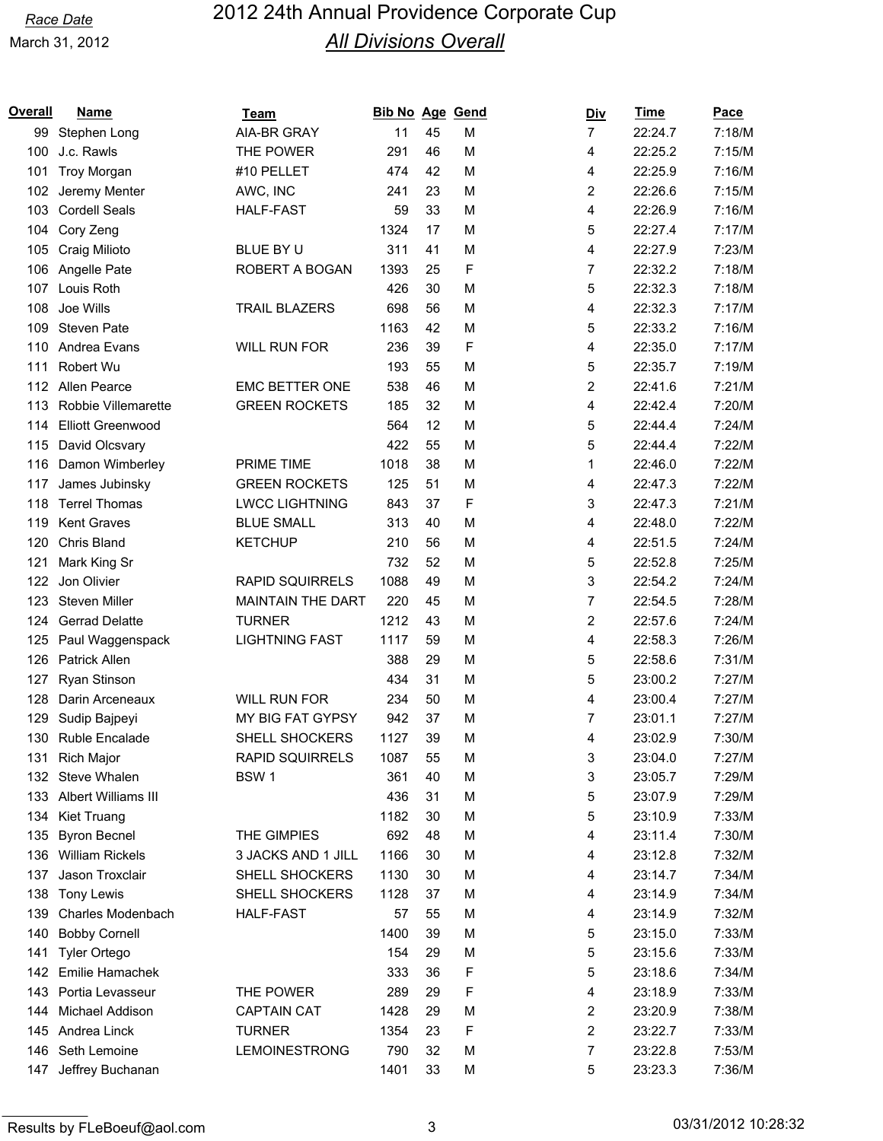| Overall | <b>Name</b>              | Team                     | <b>Bib No Age</b> |    | Gend | <u>Div</u>              | <b>Time</b> | Pace   |
|---------|--------------------------|--------------------------|-------------------|----|------|-------------------------|-------------|--------|
| 99      | Stephen Long             | <b>AIA-BR GRAY</b>       | 11                | 45 | M    | $\overline{7}$          | 22:24.7     | 7:18/M |
| 100     | J.c. Rawls               | THE POWER                | 291               | 46 | M    | 4                       | 22:25.2     | 7:15/M |
| 101     | <b>Troy Morgan</b>       | #10 PELLET               | 474               | 42 | M    | 4                       | 22:25.9     | 7:16/M |
| 102     | Jeremy Menter            | AWC, INC                 | 241               | 23 | M    | 2                       | 22:26.6     | 7:15/M |
| 103     | <b>Cordell Seals</b>     | <b>HALF-FAST</b>         | 59                | 33 | M    | 4                       | 22:26.9     | 7:16/M |
| 104     | Cory Zeng                |                          | 1324              | 17 | M    | 5                       | 22:27.4     | 7:17/M |
| 105     | Craig Milioto            | BLUE BY U                | 311               | 41 | M    | 4                       | 22:27.9     | 7:23/M |
| 106     | Angelle Pate             | ROBERT A BOGAN           | 1393              | 25 | F    | 7                       | 22:32.2     | 7:18/M |
| 107     | Louis Roth               |                          | 426               | 30 | M    | 5                       | 22:32.3     | 7:18/M |
| 108     | Joe Wills                | <b>TRAIL BLAZERS</b>     | 698               | 56 | M    | 4                       | 22:32.3     | 7:17/M |
| 109     | <b>Steven Pate</b>       |                          | 1163              | 42 | M    | 5                       | 22:33.2     | 7:16/M |
| 110     | Andrea Evans             | <b>WILL RUN FOR</b>      | 236               | 39 | F    | 4                       | 22:35.0     | 7:17/M |
| 111     | Robert Wu                |                          | 193               | 55 | M    | 5                       | 22:35.7     | 7:19/M |
| 112     | Allen Pearce             | <b>EMC BETTER ONE</b>    | 538               | 46 | M    | $\overline{\mathbf{c}}$ | 22:41.6     | 7:21/M |
| 113     | Robbie Villemarette      | <b>GREEN ROCKETS</b>     | 185               | 32 | M    | 4                       | 22:42.4     | 7:20/M |
| 114     | <b>Elliott Greenwood</b> |                          | 564               | 12 | M    | 5                       | 22:44.4     | 7:24/M |
| 115     | David Olcsvary           |                          | 422               | 55 | M    | 5                       | 22:44.4     | 7:22/M |
| 116     | Damon Wimberley          | <b>PRIME TIME</b>        | 1018              | 38 | M    | 1                       | 22:46.0     | 7:22/M |
| 117     | James Jubinsky           | <b>GREEN ROCKETS</b>     | 125               | 51 | M    | 4                       | 22:47.3     | 7:22/M |
| 118     | <b>Terrel Thomas</b>     | <b>LWCC LIGHTNING</b>    | 843               | 37 | F    | 3                       | 22:47.3     | 7:21/M |
| 119     | <b>Kent Graves</b>       | <b>BLUE SMALL</b>        | 313               | 40 | M    | 4                       | 22:48.0     | 7:22/M |
| 120     | Chris Bland              | <b>KETCHUP</b>           | 210               | 56 | M    | 4                       | 22:51.5     | 7:24/M |
| 121     | Mark King Sr             |                          | 732               | 52 | M    | 5                       | 22:52.8     | 7:25/M |
| 122     | Jon Olivier              | <b>RAPID SQUIRRELS</b>   | 1088              | 49 | M    | 3                       | 22:54.2     | 7:24/M |
| 123     | <b>Steven Miller</b>     | <b>MAINTAIN THE DART</b> | 220               | 45 | M    | 7                       | 22:54.5     | 7:28/M |
| 124     | <b>Gerrad Delatte</b>    | <b>TURNER</b>            | 1212              | 43 | M    | 2                       | 22:57.6     | 7:24/M |
| 125     | Paul Waggenspack         | <b>LIGHTNING FAST</b>    | 1117              | 59 | M    | 4                       | 22:58.3     | 7:26/M |
| 126     | Patrick Allen            |                          | 388               | 29 | M    | 5                       | 22:58.6     | 7:31/M |
| 127     | Ryan Stinson             |                          | 434               | 31 | M    | 5                       | 23:00.2     | 7:27/M |
| 128     | Darin Arceneaux          | <b>WILL RUN FOR</b>      | 234               | 50 | M    | 4                       | 23:00.4     | 7:27/M |
| 129     | Sudip Bajpeyi            | MY BIG FAT GYPSY         | 942               | 37 | M    | 7                       | 23:01.1     | 7:27/M |
| 130     | <b>Ruble Encalade</b>    | SHELL SHOCKERS           | 1127              | 39 | M    | 4                       | 23:02.9     | 7:30/M |
| 131     | <b>Rich Major</b>        | RAPID SQUIRRELS          | 1087              | 55 | M    | 3                       | 23:04.0     | 7:27/M |
| 132     | Steve Whalen             | BSW <sub>1</sub>         | 361               | 40 | M    | 3                       | 23:05.7     | 7:29/M |
|         | 133 Albert Williams III  |                          | 436               | 31 | M    | 5                       | 23:07.9     | 7:29/M |
| 134     | Kiet Truang              |                          | 1182              | 30 | M    | 5                       | 23:10.9     | 7:33/M |
| 135     | <b>Byron Becnel</b>      | THE GIMPIES              | 692               | 48 | M    | 4                       | 23:11.4     | 7:30/M |
| 136     | <b>William Rickels</b>   | 3 JACKS AND 1 JILL       | 1166              | 30 | M    | 4                       | 23:12.8     | 7:32/M |
| 137     | Jason Troxclair          | SHELL SHOCKERS           | 1130              | 30 | M    | 4                       | 23:14.7     | 7:34/M |
|         |                          | SHELL SHOCKERS           | 1128              | 37 | M    |                         | 23:14.9     | 7:34/M |
| 138     | Tony Lewis               |                          |                   |    |      | 4                       |             |        |
| 139     | Charles Modenbach        | HALF-FAST                | 57                | 55 | M    | 4                       | 23:14.9     | 7:32/M |
| 140     | <b>Bobby Cornell</b>     |                          | 1400              | 39 | M    | 5                       | 23:15.0     | 7:33/M |
| 141     | <b>Tyler Ortego</b>      |                          | 154               | 29 | M    | 5                       | 23:15.6     | 7:33/M |
|         | 142 Emilie Hamachek      |                          | 333               | 36 | F    | 5                       | 23:18.6     | 7:34/M |
| 143     | Portia Levasseur         | THE POWER                | 289               | 29 | F    | 4                       | 23:18.9     | 7:33/M |
| 144     | Michael Addison          | <b>CAPTAIN CAT</b>       | 1428              | 29 | M    | 2                       | 23:20.9     | 7:38/M |
|         | 145 Andrea Linck         | <b>TURNER</b>            | 1354              | 23 | F    | 2                       | 23:22.7     | 7:33/M |
|         | 146 Seth Lemoine         | LEMOINESTRONG            | 790               | 32 | M    | 7                       | 23:22.8     | 7:53/M |
|         | 147 Jeffrey Buchanan     |                          | 1401              | 33 | M    | 5                       | 23:23.3     | 7:36/M |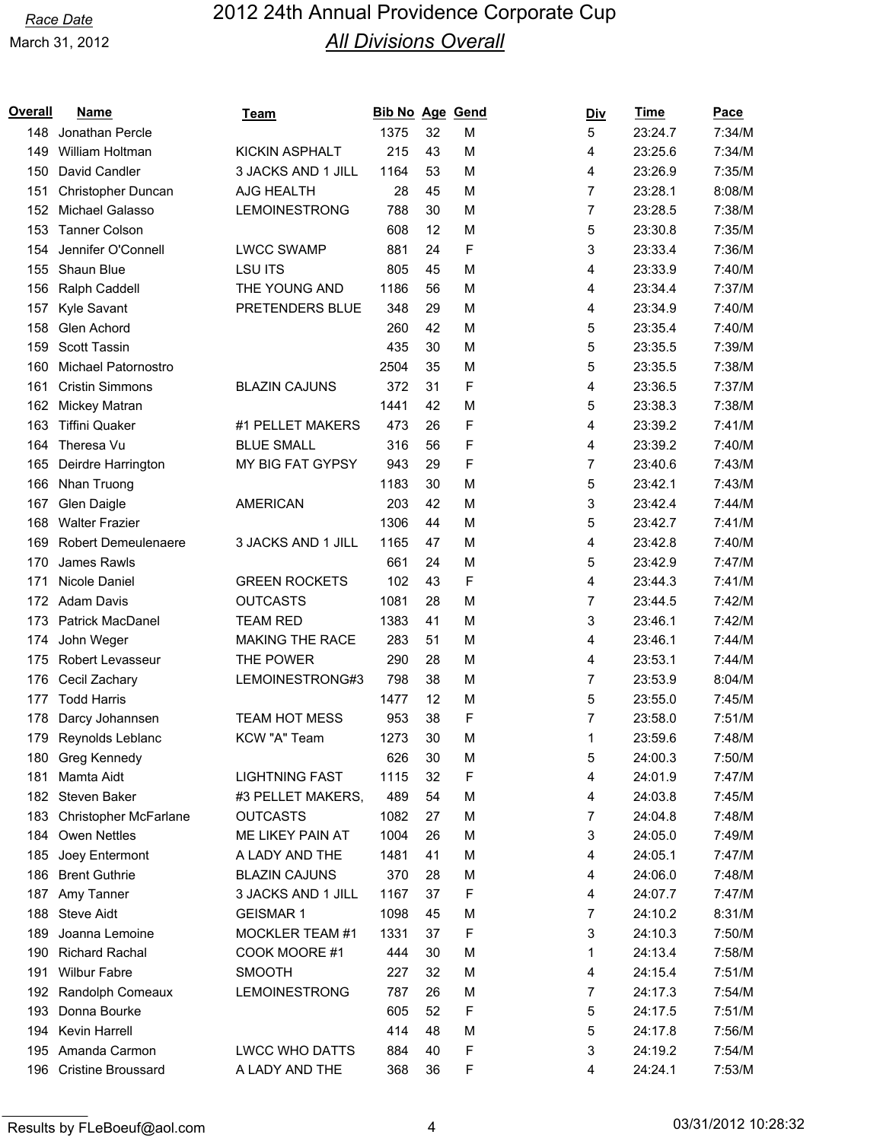| Overall | <u>Name</u>                | <u>Team</u>            | <b>Bib No Age Gend</b> |    |             | <u>Div</u> | <u>Time</u> | <b>Pace</b> |
|---------|----------------------------|------------------------|------------------------|----|-------------|------------|-------------|-------------|
| 148     | Jonathan Percle            |                        | 1375                   | 32 | M           | 5          | 23:24.7     | 7:34/M      |
| 149     | William Holtman            | <b>KICKIN ASPHALT</b>  | 215                    | 43 | M           | 4          | 23:25.6     | 7:34/M      |
| 150     | David Candler              | 3 JACKS AND 1 JILL     | 1164                   | 53 | М           | 4          | 23:26.9     | 7:35/M      |
| 151     | Christopher Duncan         | AJG HEALTH             | 28                     | 45 | M           | 7          | 23:28.1     | 8:08/M      |
| 152     | Michael Galasso            | LEMOINESTRONG          | 788                    | 30 | M           | 7          | 23:28.5     | 7:38/M      |
| 153     | <b>Tanner Colson</b>       |                        | 608                    | 12 | M           | 5          | 23:30.8     | 7:35/M      |
| 154     | Jennifer O'Connell         | <b>LWCC SWAMP</b>      | 881                    | 24 | F           | 3          | 23:33.4     | 7:36/M      |
| 155     | Shaun Blue                 | <b>LSU ITS</b>         | 805                    | 45 | M           | 4          | 23:33.9     | 7:40/M      |
| 156     | Ralph Caddell              | THE YOUNG AND          | 1186                   | 56 | M           | 4          | 23:34.4     | 7:37/M      |
| 157     | Kyle Savant                | PRETENDERS BLUE        | 348                    | 29 | M           | 4          | 23:34.9     | 7:40/M      |
| 158     | Glen Achord                |                        | 260                    | 42 | M           | 5          | 23:35.4     | 7:40/M      |
| 159     | <b>Scott Tassin</b>        |                        | 435                    | 30 | М           | 5          | 23:35.5     | 7:39/M      |
| 160     | Michael Patornostro        |                        | 2504                   | 35 | M           | 5          | 23:35.5     | 7:38/M      |
| 161     | <b>Cristin Simmons</b>     | <b>BLAZIN CAJUNS</b>   | 372                    | 31 | F           | 4          | 23:36.5     | 7:37/M      |
| 162     | Mickey Matran              |                        | 1441                   | 42 | M           | 5          | 23:38.3     | 7:38/M      |
| 163     | <b>Tiffini Quaker</b>      | #1 PELLET MAKERS       | 473                    | 26 | F           | 4          | 23:39.2     | 7:41/M      |
| 164     | Theresa Vu                 | <b>BLUE SMALL</b>      | 316                    | 56 | F           | 4          | 23:39.2     | 7:40/M      |
| 165     | Deirdre Harrington         | MY BIG FAT GYPSY       | 943                    | 29 | F           | 7          | 23:40.6     | 7:43/M      |
| 166     | Nhan Truong                |                        | 1183                   | 30 | M           | 5          | 23:42.1     | 7:43/M      |
| 167     | Glen Daigle                | <b>AMERICAN</b>        | 203                    | 42 | М           | 3          | 23:42.4     | 7:44/M      |
| 168     | <b>Walter Frazier</b>      |                        | 1306                   | 44 | M           | 5          | 23:42.7     | 7:41/M      |
| 169     | <b>Robert Demeulenaere</b> | 3 JACKS AND 1 JILL     | 1165                   | 47 | M           | 4          | 23:42.8     | 7:40/M      |
| 170     | James Rawls                |                        | 661                    | 24 | M           | 5          | 23:42.9     | 7:47/M      |
| 171     | Nicole Daniel              | <b>GREEN ROCKETS</b>   | 102                    | 43 | F           | 4          | 23:44.3     | 7:41/M      |
| 172     | <b>Adam Davis</b>          | <b>OUTCASTS</b>        | 1081                   | 28 | M           | 7          | 23:44.5     | 7:42/M      |
| 173     | <b>Patrick MacDanel</b>    | <b>TEAM RED</b>        | 1383                   | 41 | M           | 3          | 23:46.1     | 7:42/M      |
| 174     | John Weger                 | <b>MAKING THE RACE</b> | 283                    | 51 | M           | 4          | 23:46.1     | 7:44/M      |
| 175     | Robert Levasseur           | THE POWER              | 290                    | 28 | M           | 4          | 23:53.1     | 7:44/M      |
| 176     | Cecil Zachary              | LEMOINESTRONG#3        | 798                    | 38 | M           | 7          | 23:53.9     | 8:04/M      |
| 177     | <b>Todd Harris</b>         |                        | 1477                   | 12 | M           | 5          | 23:55.0     | 7:45/M      |
| 178     | Darcy Johannsen            | <b>TEAM HOT MESS</b>   | 953                    | 38 | F           | 7          | 23:58.0     | 7:51/M      |
| 179     | Reynolds Leblanc           | KCW "A" Team           | 1273                   | 30 | М           | 1          | 23:59.6     | 7:48/M      |
|         | 180 Greg Kennedy           |                        | 626                    | 30 | M           | 5          | 24:00.3     | 7:50/M      |
| 181     | Mamta Aidt                 | <b>LIGHTNING FAST</b>  | 1115                   | 32 | F           | 4          | 24:01.9     | 7:47/M      |
|         | 182 Steven Baker           | #3 PELLET MAKERS,      | 489                    | 54 | M           | 4          | 24:03.8     | 7:45/M      |
| 183     | Christopher McFarlane      | <b>OUTCASTS</b>        | 1082                   | 27 | M           | 7          | 24:04.8     | 7:48/M      |
| 184     | Owen Nettles               | ME LIKEY PAIN AT       | 1004                   | 26 | M           | 3          | 24:05.0     | 7:49/M      |
| 185     | Joey Entermont             | A LADY AND THE         | 1481                   | 41 | M           | 4          | 24:05.1     | 7:47/M      |
| 186     | <b>Brent Guthrie</b>       | <b>BLAZIN CAJUNS</b>   | 370                    | 28 | M           | 4          | 24:06.0     | 7:48/M      |
| 187     | Amy Tanner                 | 3 JACKS AND 1 JILL     | 1167                   | 37 | F           | 4          | 24:07.7     | 7:47/M      |
|         | 188 Steve Aidt             | <b>GEISMAR1</b>        | 1098                   | 45 | M           | 7          | 24:10.2     | 8:31/M      |
| 189     | Joanna Lemoine             | MOCKLER TEAM #1        | 1331                   | 37 | $\mathsf F$ | 3          | 24:10.3     | 7:50/M      |
|         | 190 Richard Rachal         | COOK MOORE #1          | 444                    | 30 | M           | 1          | 24:13.4     | 7:58/M      |
| 191     | <b>Wilbur Fabre</b>        | <b>SMOOTH</b>          | 227                    | 32 | M           | 4          | 24:15.4     | 7:51/M      |
|         | 192 Randolph Comeaux       | LEMOINESTRONG          | 787                    | 26 | M           | 7          | 24:17.3     | 7:54/M      |
| 193     | Donna Bourke               |                        | 605                    | 52 | F           | 5          | 24:17.5     | 7:51/M      |
| 194     | Kevin Harrell              |                        | 414                    | 48 | M           | 5          | 24:17.8     | 7:56/M      |
|         | 195 Amanda Carmon          | <b>LWCC WHO DATTS</b>  | 884                    | 40 | $\mathsf F$ | 3          | 24:19.2     | 7:54/M      |
|         | 196 Cristine Broussard     | A LADY AND THE         | 368                    | 36 | F           | 4          | 24:24.1     | 7:53/M      |
|         |                            |                        |                        |    |             |            |             |             |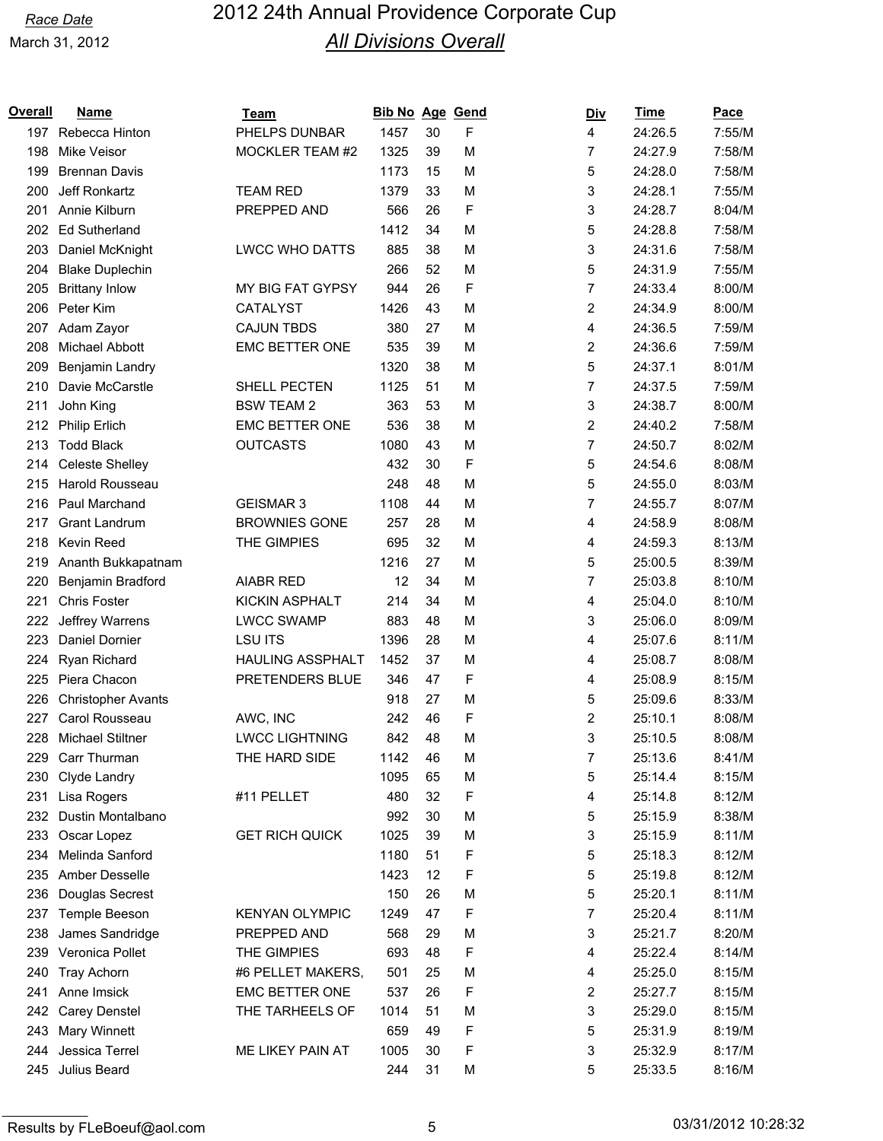| Overall | <b>Name</b>               | <b>Team</b>             | <b>Bib No Age Gend</b> |    |   | <b>Div</b> | <b>Time</b> | <b>Pace</b> |
|---------|---------------------------|-------------------------|------------------------|----|---|------------|-------------|-------------|
|         | 197 Rebecca Hinton        | PHELPS DUNBAR           | 1457                   | 30 | F | 4          | 24:26.5     | 7:55/M      |
| 198     | Mike Veisor               | MOCKLER TEAM #2         | 1325                   | 39 | M | 7          | 24:27.9     | 7:58/M      |
| 199     | <b>Brennan Davis</b>      |                         | 1173                   | 15 | M | 5          | 24:28.0     | 7:58/M      |
| 200     | Jeff Ronkartz             | <b>TEAM RED</b>         | 1379                   | 33 | M | 3          | 24:28.1     | 7:55/M      |
| 201     | Annie Kilburn             | PREPPED AND             | 566                    | 26 | F | 3          | 24:28.7     | 8:04/M      |
| 202     | <b>Ed Sutherland</b>      |                         | 1412                   | 34 | M | 5          | 24:28.8     | 7:58/M      |
| 203     | Daniel McKnight           | <b>LWCC WHO DATTS</b>   | 885                    | 38 | M | 3          | 24:31.6     | 7:58/M      |
| 204     | <b>Blake Duplechin</b>    |                         | 266                    | 52 | M | 5          | 24:31.9     | 7:55/M      |
| 205     | <b>Brittany Inlow</b>     | MY BIG FAT GYPSY        | 944                    | 26 | F | 7          | 24:33.4     | 8:00/M      |
|         | 206 Peter Kim             | <b>CATALYST</b>         | 1426                   | 43 | M | 2          | 24:34.9     | 8:00/M      |
| 207     | Adam Zayor                | <b>CAJUN TBDS</b>       | 380                    | 27 | M | 4          | 24:36.5     | 7:59/M      |
| 208     | Michael Abbott            | EMC BETTER ONE          | 535                    | 39 | M | 2          | 24:36.6     | 7:59/M      |
| 209     | Benjamin Landry           |                         | 1320                   | 38 | M | 5          | 24:37.1     | 8:01/M      |
| 210     | Davie McCarstle           | SHELL PECTEN            | 1125                   | 51 | M | 7          | 24:37.5     | 7:59/M      |
| 211     | John King                 | <b>BSW TEAM 2</b>       | 363                    | 53 | M | 3          | 24:38.7     | 8:00/M      |
| 212     | <b>Philip Erlich</b>      | <b>EMC BETTER ONE</b>   | 536                    | 38 | M | 2          | 24:40.2     | 7:58/M      |
| 213     | <b>Todd Black</b>         | <b>OUTCASTS</b>         | 1080                   | 43 | M | 7          | 24:50.7     | 8:02/M      |
| 214     | <b>Celeste Shelley</b>    |                         | 432                    | 30 | F | 5          | 24:54.6     | 8:08/M      |
| 215     | <b>Harold Rousseau</b>    |                         | 248                    | 48 | M | 5          | 24:55.0     | 8:03/M      |
| 216     | Paul Marchand             | <b>GEISMAR 3</b>        | 1108                   | 44 | M | 7          | 24:55.7     | 8:07/M      |
| 217     | <b>Grant Landrum</b>      | <b>BROWNIES GONE</b>    | 257                    | 28 | M | 4          | 24:58.9     | 8:08/M      |
| 218     | Kevin Reed                | THE GIMPIES             | 695                    | 32 | M | 4          | 24:59.3     | 8:13/M      |
| 219     | Ananth Bukkapatnam        |                         | 1216                   | 27 | M | 5          | 25:00.5     | 8:39/M      |
| 220     | Benjamin Bradford         | <b>AIABR RED</b>        | 12                     | 34 | M | 7          | 25:03.8     | 8:10/M      |
| 221     | <b>Chris Foster</b>       | <b>KICKIN ASPHALT</b>   | 214                    | 34 | M | 4          | 25:04.0     | 8:10/M      |
| 222     | Jeffrey Warrens           | <b>LWCC SWAMP</b>       | 883                    | 48 | M | 3          | 25:06.0     | 8:09/M      |
| 223     | Daniel Dornier            | <b>LSU ITS</b>          | 1396                   | 28 | M | 4          | 25:07.6     | 8:11/M      |
| 224     | Ryan Richard              | <b>HAULING ASSPHALT</b> | 1452                   | 37 | M | 4          | 25:08.7     | 8:08/M      |
| 225     | Piera Chacon              | PRETENDERS BLUE         | 346                    | 47 | F | 4          | 25:08.9     | 8:15/M      |
| 226     | <b>Christopher Avants</b> |                         | 918                    | 27 | M | 5          | 25:09.6     | 8:33/M      |
| 227     | Carol Rousseau            | AWC, INC                | 242                    | 46 | F | 2          | 25:10.1     | 8:08/M      |
| 228     | <b>Michael Stiltner</b>   | <b>LWCC LIGHTNING</b>   | 842                    | 48 | M | 3          | 25:10.5     | 8:08/M      |
| 229     | Carr Thurman              | THE HARD SIDE           | 1142                   | 46 | M | 7          | 25:13.6     | 8:41/M      |
| 230     | Clyde Landry              |                         | 1095                   | 65 | M | 5          | 25:14.4     | 8:15/M      |
| 231     | Lisa Rogers               | #11 PELLET              | 480                    | 32 | F | 4          | 25:14.8     | 8:12/M      |
| 232     | Dustin Montalbano         |                         | 992                    | 30 | M | 5          | 25:15.9     | 8:38/M      |
| 233     | Oscar Lopez               | <b>GET RICH QUICK</b>   | 1025                   | 39 | M | 3          | 25:15.9     | 8:11/M      |
| 234     | Melinda Sanford           |                         | 1180                   | 51 | F | 5          | 25:18.3     | 8:12/M      |
| 235     | Amber Desselle            |                         | 1423                   | 12 | F | 5          | 25:19.8     | 8:12/M      |
| 236     | Douglas Secrest           |                         | 150                    | 26 | M | 5          | 25:20.1     | 8:11/M      |
| 237     | Temple Beeson             | <b>KENYAN OLYMPIC</b>   | 1249                   | 47 | F | 7          | 25:20.4     | 8:11/M      |
| 238     | James Sandridge           | PREPPED AND             | 568                    | 29 | M | 3          | 25:21.7     | 8:20/M      |
| 239     | Veronica Pollet           | THE GIMPIES             | 693                    | 48 | F | 4          | 25:22.4     | 8:14/M      |
| 240     | <b>Tray Achorn</b>        | #6 PELLET MAKERS,       | 501                    | 25 | M | 4          | 25:25.0     | 8:15/M      |
| 241     | Anne Imsick               | EMC BETTER ONE          | 537                    | 26 | F | 2          | 25:27.7     | 8:15/M      |
| 242     | Carey Denstel             | THE TARHEELS OF         | 1014                   | 51 | M | 3          | 25:29.0     | 8:15/M      |
| 243     | Mary Winnett              |                         | 659                    | 49 | F | 5          | 25:31.9     | 8:19/M      |
| 244     | Jessica Terrel            | ME LIKEY PAIN AT        | 1005                   | 30 | F | 3          | 25:32.9     | 8:17/M      |
| 245     | Julius Beard              |                         | 244                    | 31 | M | 5          | 25:33.5     | 8:16/M      |
|         |                           |                         |                        |    |   |            |             |             |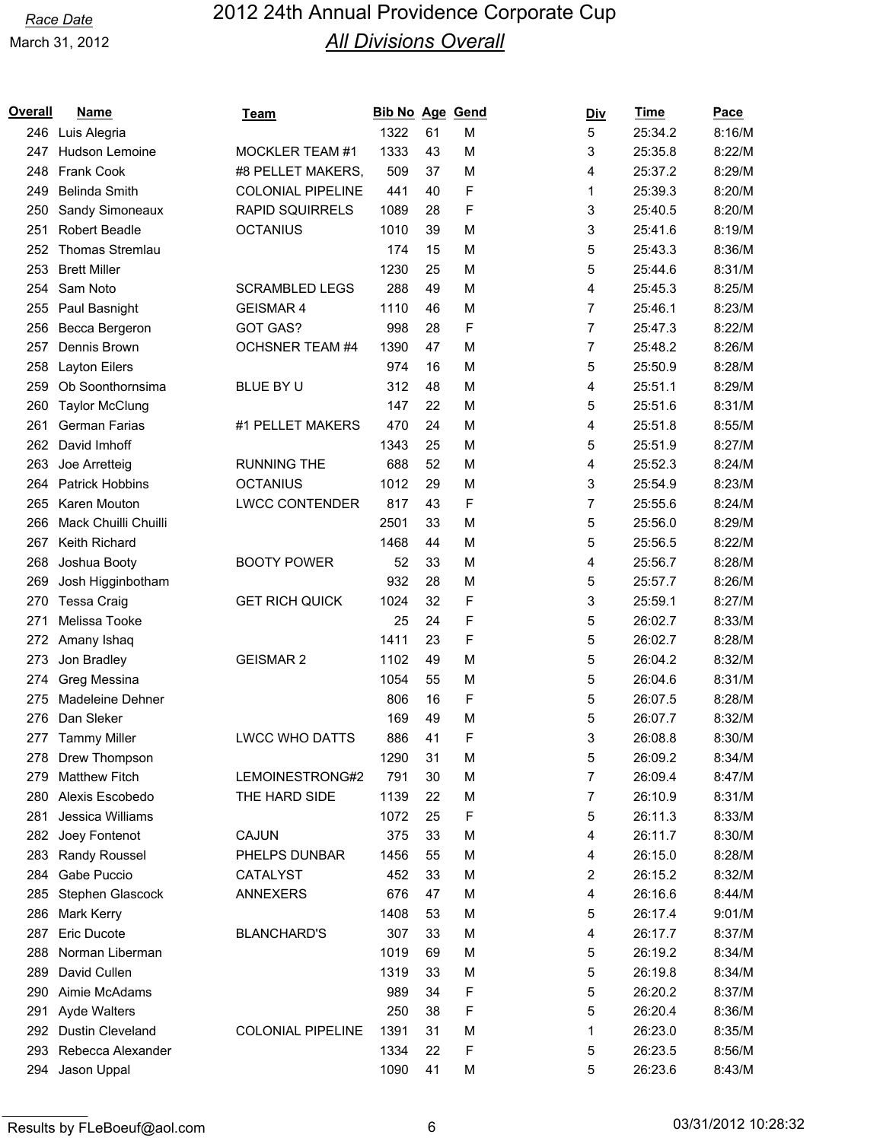| Overall | <b>Name</b>             | Team                     | <b>Bib No Age Gend</b> |    |   | Div | <u>Time</u> | <u>Pace</u> |
|---------|-------------------------|--------------------------|------------------------|----|---|-----|-------------|-------------|
| 246     | Luis Alegria            |                          | 1322                   | 61 | M | 5   | 25:34.2     | 8:16/M      |
| 247     | Hudson Lemoine          | <b>MOCKLER TEAM #1</b>   | 1333                   | 43 | M | 3   | 25:35.8     | 8:22/M      |
| 248     | <b>Frank Cook</b>       | #8 PELLET MAKERS,        | 509                    | 37 | M | 4   | 25:37.2     | 8:29/M      |
| 249     | Belinda Smith           | <b>COLONIAL PIPELINE</b> | 441                    | 40 | F | 1   | 25:39.3     | 8:20/M      |
| 250     | Sandy Simoneaux         | <b>RAPID SQUIRRELS</b>   | 1089                   | 28 | F | 3   | 25:40.5     | 8:20/M      |
| 251     | <b>Robert Beadle</b>    | <b>OCTANIUS</b>          | 1010                   | 39 | M | 3   | 25:41.6     | 8:19/M      |
| 252     | Thomas Stremlau         |                          | 174                    | 15 | M | 5   | 25:43.3     | 8:36/M      |
| 253     | <b>Brett Miller</b>     |                          | 1230                   | 25 | M | 5   | 25:44.6     | 8:31/M      |
| 254     | Sam Noto                | <b>SCRAMBLED LEGS</b>    | 288                    | 49 | M | 4   | 25:45.3     | 8:25/M      |
| 255     | Paul Basnight           | <b>GEISMAR 4</b>         | 1110                   | 46 | M | 7   | 25:46.1     | 8:23/M      |
| 256     | Becca Bergeron          | <b>GOT GAS?</b>          | 998                    | 28 | F | 7   | 25:47.3     | 8:22/M      |
| 257     | Dennis Brown            | <b>OCHSNER TEAM #4</b>   | 1390                   | 47 | M | 7   | 25:48.2     | 8:26/M      |
| 258     | Layton Eilers           |                          | 974                    | 16 | M | 5   | 25:50.9     | 8:28/M      |
| 259     | Ob Soonthornsima        | BLUE BY U                | 312                    | 48 | M | 4   | 25:51.1     | 8:29/M      |
| 260     | <b>Taylor McClung</b>   |                          | 147                    | 22 | M | 5   | 25:51.6     | 8:31/M      |
| 261     | <b>German Farias</b>    | #1 PELLET MAKERS         | 470                    | 24 | M | 4   | 25:51.8     | 8:55/M      |
| 262     | David Imhoff            |                          | 1343                   | 25 | M | 5   | 25:51.9     | 8:27/M      |
| 263     | Joe Arretteig           | <b>RUNNING THE</b>       | 688                    | 52 | M | 4   | 25:52.3     | 8:24/M      |
| 264     | <b>Patrick Hobbins</b>  | <b>OCTANIUS</b>          | 1012                   | 29 | M | 3   | 25:54.9     | 8:23/M      |
| 265     | Karen Mouton            | <b>LWCC CONTENDER</b>    | 817                    | 43 | F | 7   | 25:55.6     | 8:24/M      |
| 266     | Mack Chuilli Chuilli    |                          | 2501                   | 33 | M | 5   | 25:56.0     | 8:29/M      |
| 267     | Keith Richard           |                          | 1468                   | 44 | M | 5   | 25:56.5     | 8:22/M      |
| 268     | Joshua Booty            | <b>BOOTY POWER</b>       | 52                     | 33 | M | 4   | 25:56.7     | 8:28/M      |
| 269     | Josh Higginbotham       |                          | 932                    | 28 | M | 5   | 25:57.7     | 8:26/M      |
| 270     | Tessa Craig             | <b>GET RICH QUICK</b>    | 1024                   | 32 | F | 3   | 25:59.1     | 8:27/M      |
| 271     | Melissa Tooke           |                          | 25                     | 24 | F | 5   | 26:02.7     | 8:33/M      |
| 272     | Amany Ishaq             |                          | 1411                   | 23 | F | 5   | 26:02.7     | 8:28/M      |
| 273     | Jon Bradley             | <b>GEISMAR 2</b>         | 1102                   | 49 | M | 5   | 26:04.2     | 8:32/M      |
| 274     | Greg Messina            |                          | 1054                   | 55 | M | 5   | 26:04.6     | 8:31/M      |
| 275     | <b>Madeleine Dehner</b> |                          | 806                    | 16 | F | 5   | 26:07.5     | 8:28/M      |
| 276     | Dan Sleker              |                          | 169                    | 49 | M | 5   | 26:07.7     | 8:32/M      |
|         | 277 Tammy Miller        | <b>LWCC WHO DATTS</b>    | 886                    | 41 | F | 3   | 26:08.8     | 8:30/M      |
|         | 278 Drew Thompson       |                          | 1290                   | 31 | M | 5   | 26:09.2     | 8:34/M      |
| 279     | <b>Matthew Fitch</b>    | LEMOINESTRONG#2          | 791                    | 30 | M | 7   | 26:09.4     | 8:47/M      |
| 280     | Alexis Escobedo         | THE HARD SIDE            | 1139                   | 22 | M | 7   | 26:10.9     | 8:31/M      |
| 281     | Jessica Williams        |                          | 1072                   | 25 | F | 5   | 26:11.3     | 8:33/M      |
|         | 282 Joey Fontenot       | CAJUN                    | 375                    | 33 | M | 4   | 26:11.7     | 8:30/M      |
| 283     | Randy Roussel           | PHELPS DUNBAR            | 1456                   | 55 | M | 4   | 26:15.0     | 8:28/M      |
| 284     | Gabe Puccio             | CATALYST                 | 452                    | 33 | M | 2   | 26:15.2     | 8:32/M      |
| 285     | Stephen Glascock        | <b>ANNEXERS</b>          | 676                    | 47 | M | 4   | 26:16.6     | 8:44/M      |
| 286     | <b>Mark Kerry</b>       |                          | 1408                   | 53 | M | 5   | 26:17.4     | 9:01/M      |
| 287     | <b>Eric Ducote</b>      | <b>BLANCHARD'S</b>       | 307                    | 33 | M | 4   | 26:17.7     | 8:37/M      |
| 288     | Norman Liberman         |                          | 1019                   | 69 | M | 5   | 26:19.2     | 8:34/M      |
| 289     | David Cullen            |                          | 1319                   | 33 | M | 5   | 26:19.8     | 8:34/M      |
| 290     | Aimie McAdams           |                          | 989                    | 34 | F | 5   | 26:20.2     | 8:37/M      |
| 291     | Ayde Walters            |                          | 250                    | 38 | F | 5   | 26:20.4     | 8:36/M      |
|         | 292 Dustin Cleveland    | <b>COLONIAL PIPELINE</b> | 1391                   | 31 | M | 1   | 26:23.0     | 8:35/M      |
| 293     | Rebecca Alexander       |                          | 1334                   | 22 | F | 5   | 26:23.5     | 8:56/M      |
| 294     | Jason Uppal             |                          | 1090                   | 41 | M | 5   | 26:23.6     | 8:43/M      |
|         |                         |                          |                        |    |   |     |             |             |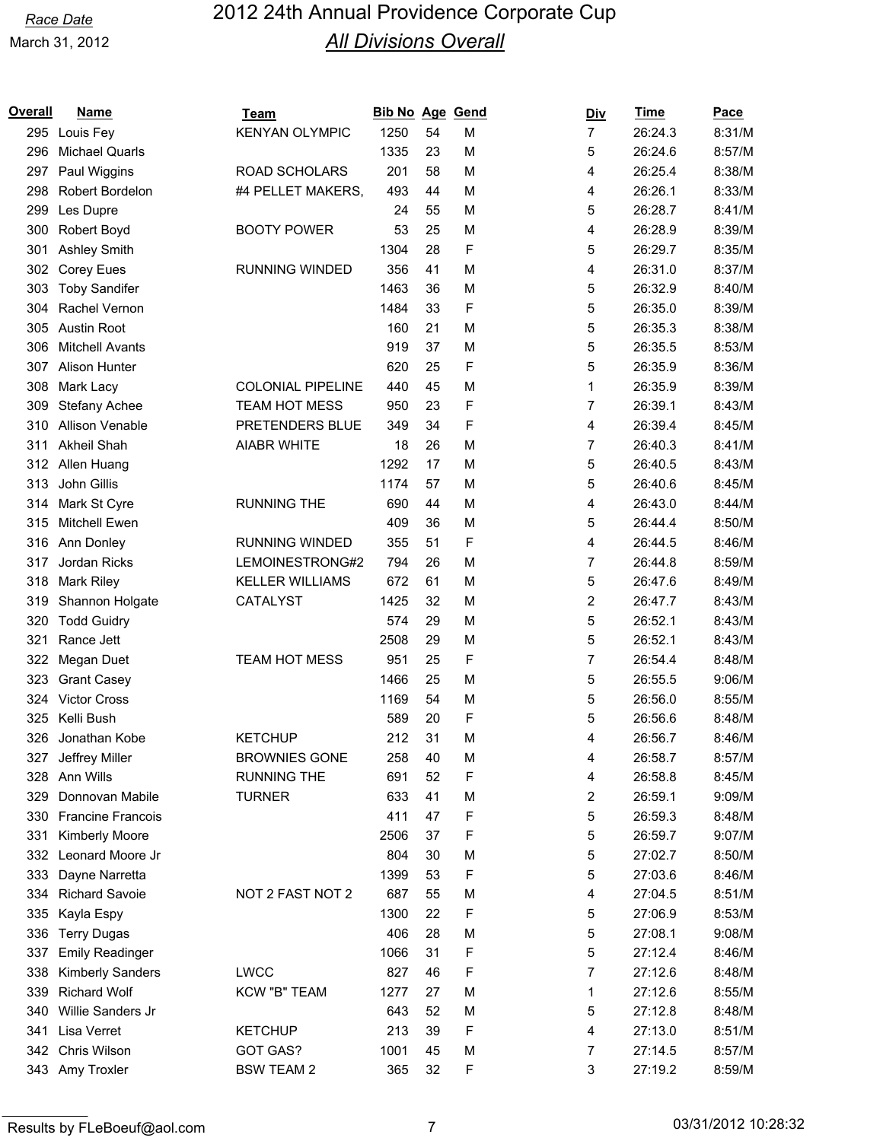| Overall | <b>Name</b>              | Team                     | <b>Bib No Age Gend</b> |    |   | <u>Div</u>     | <b>Time</b> | Pace   |
|---------|--------------------------|--------------------------|------------------------|----|---|----------------|-------------|--------|
|         | 295 Louis Fey            | <b>KENYAN OLYMPIC</b>    | 1250                   | 54 | M | $\overline{7}$ | 26:24.3     | 8:31/M |
| 296     | <b>Michael Quarls</b>    |                          | 1335                   | 23 | M | 5              | 26:24.6     | 8:57/M |
| 297     | Paul Wiggins             | ROAD SCHOLARS            | 201                    | 58 | M | 4              | 26:25.4     | 8:38/M |
| 298     | Robert Bordelon          | #4 PELLET MAKERS,        | 493                    | 44 | M | 4              | 26:26.1     | 8:33/M |
| 299     | Les Dupre                |                          | 24                     | 55 | M | 5              | 26:28.7     | 8:41/M |
| 300     | Robert Boyd              | <b>BOOTY POWER</b>       | 53                     | 25 | M | 4              | 26:28.9     | 8:39/M |
| 301     | <b>Ashley Smith</b>      |                          | 1304                   | 28 | F | 5              | 26:29.7     | 8:35/M |
| 302     | <b>Corey Eues</b>        | <b>RUNNING WINDED</b>    | 356                    | 41 | M | 4              | 26:31.0     | 8:37/M |
| 303     | <b>Toby Sandifer</b>     |                          | 1463                   | 36 | M | 5              | 26:32.9     | 8:40/M |
| 304     | Rachel Vernon            |                          | 1484                   | 33 | F | 5              | 26:35.0     | 8:39/M |
| 305     | <b>Austin Root</b>       |                          | 160                    | 21 | M | 5              | 26:35.3     | 8:38/M |
| 306     | <b>Mitchell Avants</b>   |                          | 919                    | 37 | M | 5              | 26:35.5     | 8:53/M |
| 307     | Alison Hunter            |                          | 620                    | 25 | F | 5              | 26:35.9     | 8:36/M |
| 308     | Mark Lacy                | <b>COLONIAL PIPELINE</b> | 440                    | 45 | M | 1              | 26:35.9     | 8:39/M |
| 309     | Stefany Achee            | <b>TEAM HOT MESS</b>     | 950                    | 23 | F | 7              | 26:39.1     | 8:43/M |
| 310     | <b>Allison Venable</b>   | PRETENDERS BLUE          | 349                    | 34 | F | 4              | 26:39.4     | 8:45/M |
| 311     | Akheil Shah              | <b>AIABR WHITE</b>       | 18                     | 26 | M | 7              | 26:40.3     | 8:41/M |
| 312     | Allen Huang              |                          | 1292                   | 17 | M | 5              | 26:40.5     | 8:43/M |
| 313     | John Gillis              |                          | 1174                   | 57 | M | 5              | 26:40.6     | 8:45/M |
| 314     | Mark St Cyre             | <b>RUNNING THE</b>       | 690                    | 44 | M | 4              | 26:43.0     | 8:44/M |
| 315     | Mitchell Ewen            |                          | 409                    | 36 | M | 5              | 26:44.4     | 8:50/M |
|         | 316 Ann Donley           | <b>RUNNING WINDED</b>    | 355                    | 51 | F | 4              | 26:44.5     | 8:46/M |
| 317     | Jordan Ricks             | LEMOINESTRONG#2          | 794                    | 26 | M | 7              | 26:44.8     | 8:59/M |
| 318     | <b>Mark Riley</b>        | <b>KELLER WILLIAMS</b>   | 672                    | 61 | M | 5              | 26:47.6     | 8:49/M |
| 319     | Shannon Holgate          | CATALYST                 | 1425                   | 32 | M | 2              | 26:47.7     | 8:43/M |
| 320     | <b>Todd Guidry</b>       |                          | 574                    | 29 | M | 5              | 26:52.1     | 8:43/M |
| 321     | Rance Jett               |                          | 2508                   | 29 | M | 5              | 26:52.1     | 8:43/M |
| 322     | Megan Duet               | <b>TEAM HOT MESS</b>     | 951                    | 25 | F | 7              | 26:54.4     | 8:48/M |
| 323     | <b>Grant Casey</b>       |                          | 1466                   | 25 | M | 5              | 26:55.5     | 9:06/M |
| 324     | <b>Victor Cross</b>      |                          | 1169                   | 54 | M | 5              | 26:56.0     | 8:55/M |
| 325     | Kelli Bush               |                          | 589                    | 20 | F | 5              | 26:56.6     | 8:48/M |
| 326     | Jonathan Kobe            | <b>KETCHUP</b>           | 212                    | 31 | M | 4              | 26:56.7     | 8:46/M |
| 327     | Jeffrey Miller           | <b>BROWNIES GONE</b>     | 258                    | 40 | M | 4              | 26:58.7     | 8:57/M |
|         | 328 Ann Wills            | <b>RUNNING THE</b>       | 691                    | 52 | F | 4              | 26:58.8     | 8:45/M |
| 329     | Donnovan Mabile          | <b>TURNER</b>            | 633                    | 41 | M | 2              | 26:59.1     | 9:09/M |
| 330     | <b>Francine Francois</b> |                          | 411                    | 47 | F | 5              | 26:59.3     | 8:48/M |
| 331     | <b>Kimberly Moore</b>    |                          | 2506                   | 37 | F | 5              | 26:59.7     | 9:07/M |
|         | 332 Leonard Moore Jr     |                          | 804                    | 30 | M | 5              | 27:02.7     | 8:50/M |
| 333     | Dayne Narretta           |                          | 1399                   | 53 | F | 5              | 27:03.6     | 8:46/M |
| 334     | <b>Richard Savoie</b>    | NOT 2 FAST NOT 2         | 687                    | 55 | M | 4              | 27:04.5     | 8:51/M |
| 335     | Kayla Espy               |                          | 1300                   | 22 | F | 5              | 27:06.9     | 8:53/M |
| 336     | <b>Terry Dugas</b>       |                          | 406                    | 28 | M | 5              | 27:08.1     | 9:08/M |
| 337     | <b>Emily Readinger</b>   |                          | 1066                   | 31 | F | 5              | 27:12.4     | 8:46/M |
| 338     | Kimberly Sanders         | <b>LWCC</b>              | 827                    | 46 | F | 7              | 27:12.6     | 8:48/M |
| 339     | <b>Richard Wolf</b>      | KCW "B" TEAM             | 1277                   | 27 | M | 1              | 27:12.6     | 8:55/M |
| 340     | Willie Sanders Jr        |                          | 643                    | 52 | M | 5              | 27:12.8     | 8:48/M |
| 341     | Lisa Verret              | <b>KETCHUP</b>           | 213                    | 39 | F | 4              | 27:13.0     | 8:51/M |
| 342     | Chris Wilson             | GOT GAS?                 | 1001                   | 45 | M | 7              | 27:14.5     | 8:57/M |
|         | 343 Amy Troxler          | <b>BSW TEAM 2</b>        | 365                    | 32 | F | 3              | 27:19.2     | 8:59/M |
|         |                          |                          |                        |    |   |                |             |        |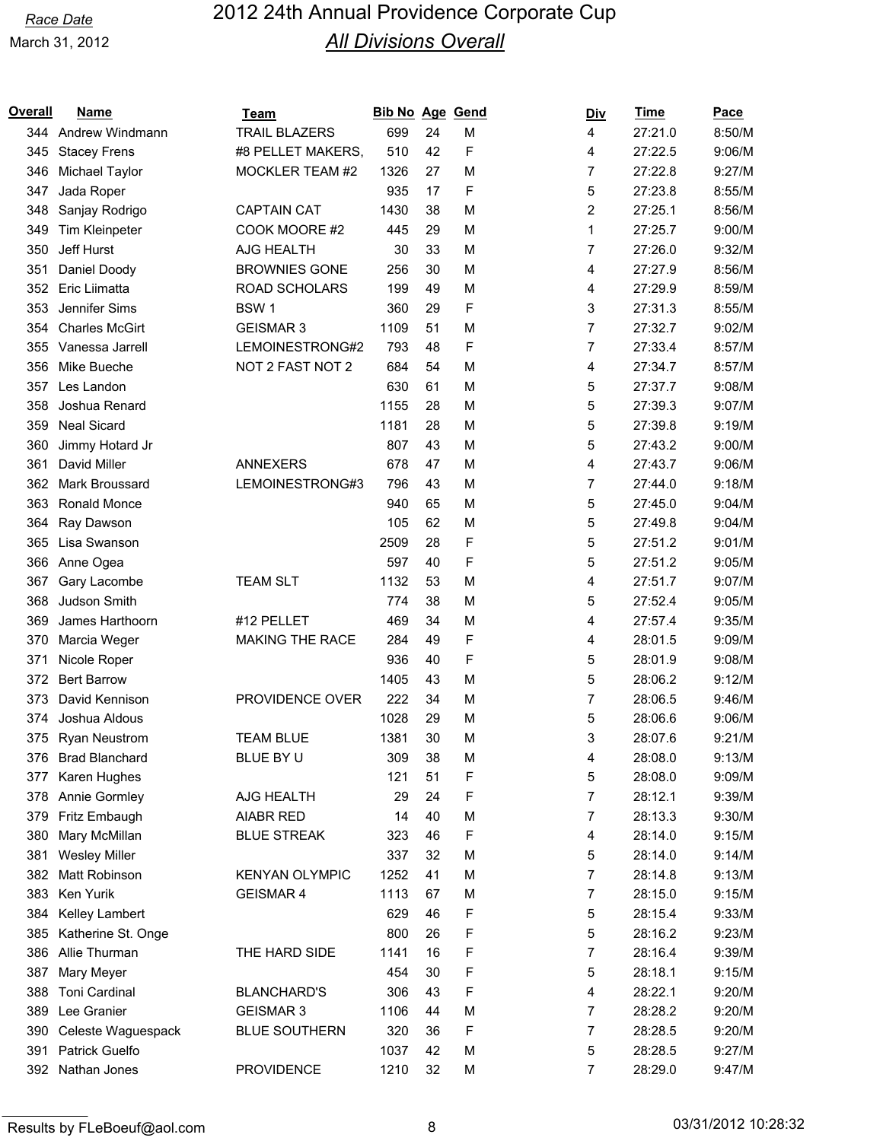| Overall | <b>Name</b>           | Team                  | <b>Bib No Age</b> |    | Gend | <u>Div</u> | <b>Time</b> | <b>Pace</b> |
|---------|-----------------------|-----------------------|-------------------|----|------|------------|-------------|-------------|
|         | 344 Andrew Windmann   | <b>TRAIL BLAZERS</b>  | 699               | 24 | M    | 4          | 27:21.0     | 8:50/M      |
| 345     | <b>Stacey Frens</b>   | #8 PELLET MAKERS,     | 510               | 42 | F    | 4          | 27:22.5     | 9:06/M      |
| 346     | Michael Taylor        | MOCKLER TEAM #2       | 1326              | 27 | M    | 7          | 27:22.8     | 9:27/M      |
| 347     | Jada Roper            |                       | 935               | 17 | F    | 5          | 27:23.8     | 8:55/M      |
| 348     | Sanjay Rodrigo        | <b>CAPTAIN CAT</b>    | 1430              | 38 | M    | 2          | 27:25.1     | 8:56/M      |
| 349     | Tim Kleinpeter        | COOK MOORE #2         | 445               | 29 | M    | 1          | 27:25.7     | 9:00/M      |
| 350     | Jeff Hurst            | AJG HEALTH            | 30                | 33 | M    | 7          | 27:26.0     | 9:32/M      |
| 351     | Daniel Doody          | <b>BROWNIES GONE</b>  | 256               | 30 | M    | 4          | 27:27.9     | 8:56/M      |
| 352     | Eric Liimatta         | ROAD SCHOLARS         | 199               | 49 | M    | 4          | 27:29.9     | 8:59/M      |
| 353     | Jennifer Sims         | BSW <sub>1</sub>      | 360               | 29 | F    | 3          | 27:31.3     | 8:55/M      |
| 354     | <b>Charles McGirt</b> | <b>GEISMAR 3</b>      | 1109              | 51 | M    | 7          | 27:32.7     | 9:02/M      |
| 355     | Vanessa Jarrell       | LEMOINESTRONG#2       | 793               | 48 | F    | 7          | 27:33.4     | 8:57/M      |
| 356     | Mike Bueche           | NOT 2 FAST NOT 2      | 684               | 54 | M    | 4          | 27:34.7     | 8:57/M      |
| 357     | Les Landon            |                       | 630               | 61 | M    | 5          | 27:37.7     | 9:08/M      |
| 358     | Joshua Renard         |                       | 1155              | 28 | M    | 5          | 27:39.3     | 9:07/M      |
| 359     | <b>Neal Sicard</b>    |                       | 1181              | 28 | M    | 5          | 27:39.8     | 9:19/M      |
| 360     | Jimmy Hotard Jr       |                       | 807               | 43 | M    | 5          | 27:43.2     | 9:00/M      |
| 361     | David Miller          | <b>ANNEXERS</b>       | 678               | 47 | M    | 4          | 27:43.7     | 9:06/M      |
| 362     | Mark Broussard        | LEMOINESTRONG#3       | 796               | 43 | M    | 7          | 27:44.0     | 9:18/M      |
| 363     | Ronald Monce          |                       | 940               | 65 | M    | 5          | 27:45.0     | 9:04/M      |
| 364     | Ray Dawson            |                       | 105               | 62 | M    | 5          | 27:49.8     | 9:04/M      |
| 365     | Lisa Swanson          |                       | 2509              | 28 | F    | 5          | 27:51.2     | 9:01/M      |
| 366     | Anne Ogea             |                       | 597               | 40 | F    | 5          | 27:51.2     | 9:05/M      |
| 367     | Gary Lacombe          | <b>TEAM SLT</b>       | 1132              | 53 | M    | 4          | 27:51.7     | 9:07/M      |
| 368     | Judson Smith          |                       | 774               | 38 | M    | 5          | 27:52.4     | 9:05/M      |
| 369     | James Harthoorn       | #12 PELLET            | 469               | 34 | M    | 4          | 27:57.4     | 9:35/M      |
| 370     | Marcia Weger          | MAKING THE RACE       | 284               | 49 | F    | 4          | 28:01.5     | 9:09/M      |
| 371     | Nicole Roper          |                       | 936               | 40 | F    | 5          | 28:01.9     | 9:08/M      |
| 372     | <b>Bert Barrow</b>    |                       | 1405              | 43 | M    | 5          | 28:06.2     | 9:12/M      |
| 373     | David Kennison        | PROVIDENCE OVER       | 222               | 34 | M    | 7          | 28:06.5     | 9:46/M      |
| 374     | Joshua Aldous         |                       | 1028              | 29 | M    | 5          | 28:06.6     | 9:06/M      |
| 375     | <b>Ryan Neustrom</b>  | <b>TEAM BLUE</b>      | 1381              | 30 | M    | 3          | 28:07.6     | 9:21/M      |
| 376     | <b>Brad Blanchard</b> | BLUE BY U             | 309               | 38 | M    | 4          | 28:08.0     | 9:13/M      |
| 377     | Karen Hughes          |                       | 121               | 51 | F    | 5          | 28:08.0     | 9:09/M      |
|         | 378 Annie Gormley     | AJG HEALTH            |                   | 24 | F    | 7          | 28:12.1     | 9:39/M      |
|         | Fritz Embaugh         | <b>AIABR RED</b>      | 29<br>14          | 40 |      |            | 28:13.3     | 9:30/M      |
| 379     |                       |                       |                   |    | M    | 7          |             |             |
| 380     | Mary McMillan         | <b>BLUE STREAK</b>    | 323               | 46 | F    | 4          | 28:14.0     | 9:15/M      |
| 381     | <b>Wesley Miller</b>  |                       | 337               | 32 | M    | 5          | 28:14.0     | 9:14/M      |
| 382     | Matt Robinson         | <b>KENYAN OLYMPIC</b> | 1252              | 41 | M    | 7          | 28:14.8     | 9:13/M      |
| 383     | Ken Yurik             | <b>GEISMAR 4</b>      | 1113              | 67 | M    | 7          | 28:15.0     | 9:15/M      |
| 384     | Kelley Lambert        |                       | 629               | 46 | F    | 5          | 28:15.4     | 9:33/M      |
| 385     | Katherine St. Onge    |                       | 800               | 26 | F    | 5          | 28:16.2     | 9:23/M      |
| 386     | Allie Thurman         | THE HARD SIDE         | 1141              | 16 | F    | 7          | 28:16.4     | 9:39/M      |
| 387     | Mary Meyer            |                       | 454               | 30 | F    | 5          | 28:18.1     | 9:15/M      |
| 388     | <b>Toni Cardinal</b>  | <b>BLANCHARD'S</b>    | 306               | 43 | F    | 4          | 28:22.1     | 9:20/M      |
| 389     | Lee Granier           | <b>GEISMAR 3</b>      | 1106              | 44 | M    | 7          | 28:28.2     | 9:20/M      |
| 390     | Celeste Waguespack    | <b>BLUE SOUTHERN</b>  | 320               | 36 | F    | 7          | 28:28.5     | 9:20/M      |
| 391     | <b>Patrick Guelfo</b> |                       | 1037              | 42 | M    | 5          | 28:28.5     | 9:27/M      |
|         | 392 Nathan Jones      | <b>PROVIDENCE</b>     | 1210              | 32 | M    | 7          | 28:29.0     | 9:47/M      |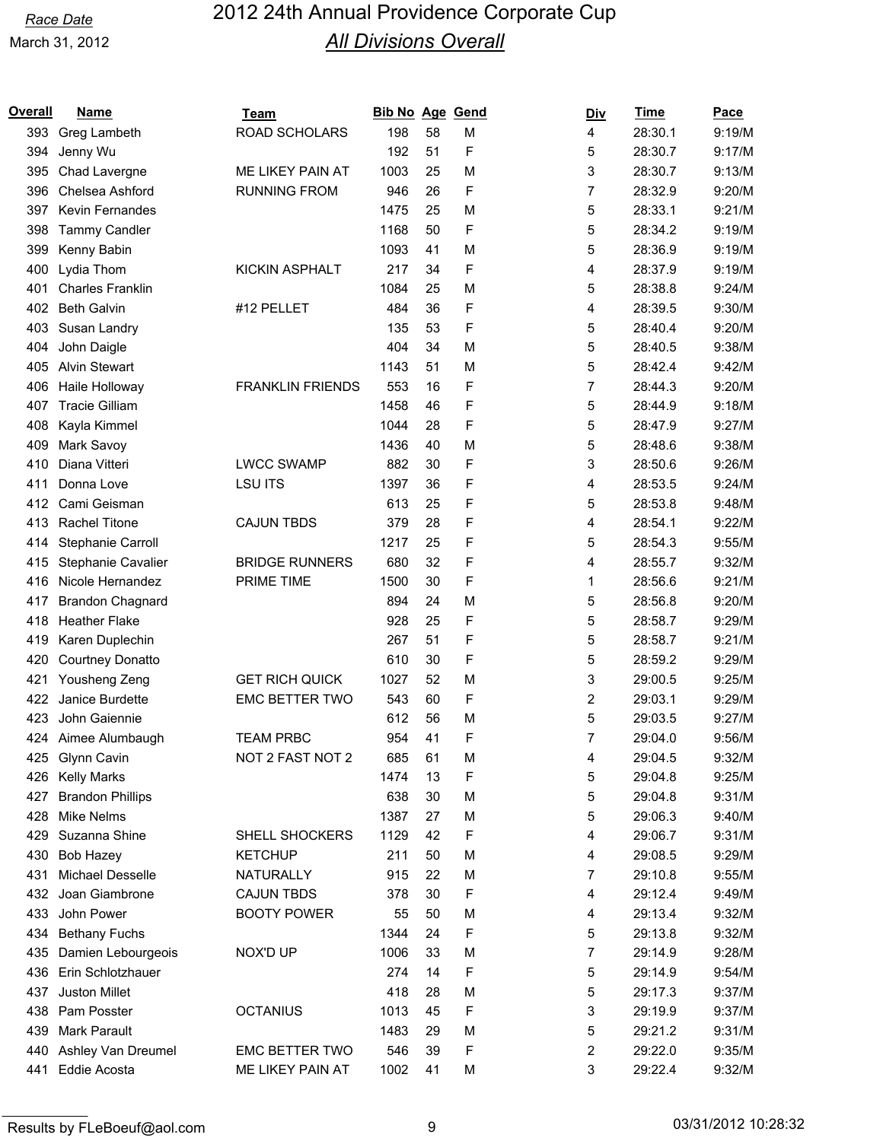| Overall | <b>Name</b>             | Team                    | Bib No Age Gend |    |   | <b>Div</b> | <b>Time</b> | Pace   |
|---------|-------------------------|-------------------------|-----------------|----|---|------------|-------------|--------|
| 393     | Greg Lambeth            | <b>ROAD SCHOLARS</b>    | 198             | 58 | M | 4          | 28:30.1     | 9:19/M |
| 394     | Jenny Wu                |                         | 192             | 51 | F | 5          | 28:30.7     | 9:17/M |
| 395     | Chad Lavergne           | ME LIKEY PAIN AT        | 1003            | 25 | M | 3          | 28:30.7     | 9:13/M |
| 396     | Chelsea Ashford         | <b>RUNNING FROM</b>     | 946             | 26 | F | 7          | 28:32.9     | 9:20/M |
| 397     | <b>Kevin Fernandes</b>  |                         | 1475            | 25 | M | 5          | 28:33.1     | 9:21/M |
| 398     | <b>Tammy Candler</b>    |                         | 1168            | 50 | F | 5          | 28:34.2     | 9:19/M |
| 399     | Kenny Babin             |                         | 1093            | 41 | M | 5          | 28:36.9     | 9:19/M |
| 400     | Lydia Thom              | <b>KICKIN ASPHALT</b>   | 217             | 34 | F | 4          | 28:37.9     | 9:19/M |
| 401     | <b>Charles Franklin</b> |                         | 1084            | 25 | M | 5          | 28:38.8     | 9:24/M |
| 402     | <b>Beth Galvin</b>      | #12 PELLET              | 484             | 36 | F | 4          | 28:39.5     | 9:30/M |
| 403     | Susan Landry            |                         | 135             | 53 | F | 5          | 28:40.4     | 9:20/M |
| 404     | John Daigle             |                         | 404             | 34 | M | 5          | 28:40.5     | 9:38/M |
| 405     | <b>Alvin Stewart</b>    |                         | 1143            | 51 | M | 5          | 28:42.4     | 9:42/M |
| 406     | Haile Holloway          | <b>FRANKLIN FRIENDS</b> | 553             | 16 | F | 7          | 28:44.3     | 9:20/M |
| 407     | <b>Tracie Gilliam</b>   |                         | 1458            | 46 | F | 5          | 28:44.9     | 9:18/M |
| 408     | Kayla Kimmel            |                         | 1044            | 28 | F | 5          | 28:47.9     | 9:27/M |
| 409     | Mark Savoy              |                         | 1436            | 40 | M | 5          | 28:48.6     | 9:38/M |
| 410     | Diana Vitteri           | <b>LWCC SWAMP</b>       | 882             | 30 | F | 3          | 28:50.6     | 9:26/M |
| 411     | Donna Love              | <b>LSU ITS</b>          | 1397            | 36 | F | 4          | 28:53.5     | 9:24/M |
| 412     | Cami Geisman            |                         | 613             | 25 | F | 5          | 28:53.8     | 9:48/M |
| 413     | <b>Rachel Titone</b>    | <b>CAJUN TBDS</b>       | 379             | 28 | F | 4          | 28:54.1     | 9:22/M |
| 414     | Stephanie Carroll       |                         | 1217            | 25 | F | 5          | 28:54.3     | 9:55/M |
| 415     | Stephanie Cavalier      | <b>BRIDGE RUNNERS</b>   | 680             | 32 | F | 4          | 28:55.7     | 9:32/M |
| 416     | Nicole Hernandez        | PRIME TIME              | 1500            | 30 | F | 1          | 28:56.6     | 9:21/M |
| 417     | <b>Brandon Chagnard</b> |                         | 894             | 24 | M | 5          | 28:56.8     | 9:20/M |
| 418     | <b>Heather Flake</b>    |                         | 928             | 25 | F | 5          | 28:58.7     | 9:29/M |
| 419     | Karen Duplechin         |                         | 267             | 51 | F | 5          | 28:58.7     | 9:21/M |
| 420     | <b>Courtney Donatto</b> |                         | 610             | 30 | F | 5          | 28:59.2     | 9:29/M |
| 421     | Yousheng Zeng           | <b>GET RICH QUICK</b>   | 1027            | 52 | M | 3          | 29:00.5     | 9:25/M |
| 422     | Janice Burdette         | <b>EMC BETTER TWO</b>   | 543             | 60 | F | 2          | 29:03.1     | 9:29/M |
| 423     | John Gaiennie           |                         | 612             | 56 | M | 5          | 29:03.5     | 9:27/M |
|         | 424 Aimee Alumbaugh     | <b>TEAM PRBC</b>        | 954             | 41 | F | 7          | 29:04.0     | 9:56/M |
| 425     | <b>Glynn Cavin</b>      | NOT 2 FAST NOT 2        | 685             | 61 | M | 4          | 29:04.5     | 9:32/M |
| 426     | <b>Kelly Marks</b>      |                         | 1474            | 13 | F | 5          | 29:04.8     | 9:25/M |
| 427     | <b>Brandon Phillips</b> |                         | 638             | 30 | M | 5          | 29:04.8     | 9:31/M |
| 428     | <b>Mike Nelms</b>       |                         | 1387            | 27 | M | 5          | 29:06.3     | 9:40/M |
| 429     | Suzanna Shine           | SHELL SHOCKERS          | 1129            | 42 | F | 4          | 29:06.7     | 9:31/M |
| 430     | <b>Bob Hazey</b>        | <b>KETCHUP</b>          | 211             | 50 | M | 4          | 29:08.5     | 9:29/M |
| 431     | Michael Desselle        | NATURALLY               | 915             | 22 | M | 7          | 29:10.8     | 9:55/M |
| 432     | Joan Giambrone          | <b>CAJUN TBDS</b>       | 378             | 30 | F | 4          | 29:12.4     | 9:49/M |
| 433     | John Power              | <b>BOOTY POWER</b>      | 55              | 50 | M | 4          | 29:13.4     | 9:32/M |
| 434     | <b>Bethany Fuchs</b>    |                         | 1344            | 24 | F | 5          | 29:13.8     | 9:32/M |
| 435     | Damien Lebourgeois      | NOX'D UP                | 1006            | 33 | M | 7          | 29:14.9     | 9:28/M |
| 436     | Erin Schlotzhauer       |                         | 274             | 14 | F | 5          | 29:14.9     | 9:54/M |
| 437     | <b>Juston Millet</b>    |                         | 418             | 28 | M | 5          | 29:17.3     | 9:37/M |
| 438     | Pam Posster             | <b>OCTANIUS</b>         | 1013            | 45 | F | 3          | 29:19.9     | 9:37/M |
| 439     | Mark Parault            |                         | 1483            | 29 | M | 5          | 29:21.2     | 9:31/M |
| 440     | Ashley Van Dreumel      | EMC BETTER TWO          | 546             | 39 | F | 2          | 29:22.0     | 9:35/M |
| 441     | Eddie Acosta            | ME LIKEY PAIN AT        | 1002            | 41 | M | 3          | 29:22.4     | 9:32/M |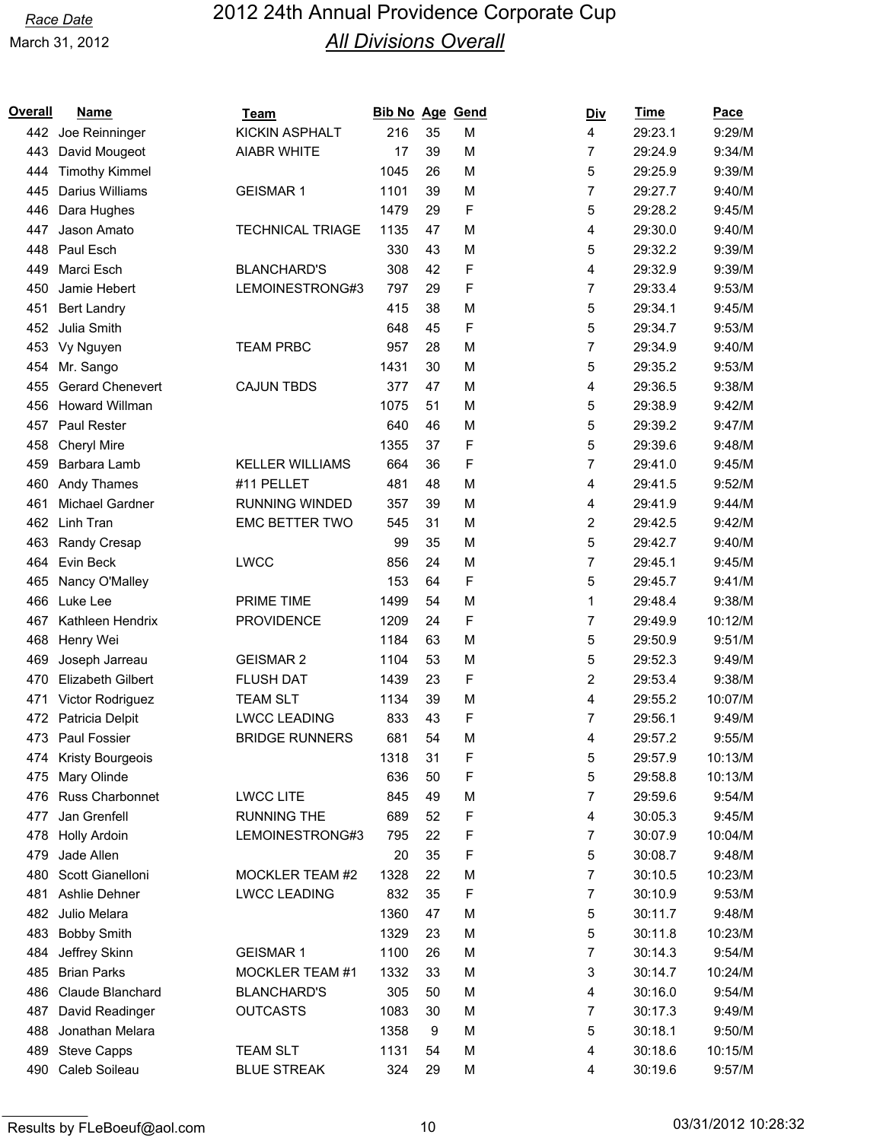| <b>KICKIN ASPHALT</b><br>216<br>35<br>4<br>29:23.1<br>9:29/M<br>442<br>Joe Reinninger<br>м<br>David Mougeot<br><b>AIABR WHITE</b><br>17<br>39<br>M<br>7<br>29:24.9<br>9:34/M<br>443<br>5<br>1045<br>M<br>9:39/M<br><b>Timothy Kimmel</b><br>26<br>29:25.9<br>444<br>445<br>Darius Williams<br><b>GEISMAR1</b><br>1101<br>39<br>M<br>7<br>29:27.7<br>9:40/M<br>F<br>5<br>1479<br>29<br>29:28.2<br>9:45/M<br>446<br>Dara Hughes<br><b>TECHNICAL TRIAGE</b><br>47<br>M<br>4<br>29:30.0<br>9:40/M<br>447<br>Jason Amato<br>1135<br>5<br>Paul Esch<br>330<br>43<br>29:32.2<br>9:39/M<br>448<br>M<br>F<br>9:39/M<br>Marci Esch<br><b>BLANCHARD'S</b><br>308<br>42<br>4<br>29:32.9<br>449<br>F<br>LEMOINESTRONG#3<br>7<br>9:53/M<br>Jamie Hebert<br>797<br>29<br>29:33.4<br>450<br>5<br>415<br>38<br>M<br>29:34.1<br>9:45/M<br><b>Bert Landry</b><br>451<br>Julia Smith<br>F<br>5<br>452<br>45<br>29:34.7<br>9:53/M<br>648<br>7<br><b>TEAM PRBC</b><br>957<br>28<br>M<br>29:34.9<br>9:40/M<br>453<br>Vy Nguyen<br>5<br>9:53/M<br>1431<br>30<br>M<br>29:35.2<br>454<br>Mr. Sango<br>Gerard Chenevert<br><b>CAJUN TBDS</b><br>47<br>M<br>29:36.5<br>9:38/M<br>455<br>377<br>4<br>5<br><b>Howard Willman</b><br>1075<br>51<br>M<br>29:38.9<br>9:42/M<br>456<br>5<br>9:47/M<br>Paul Rester<br>640<br>46<br>29:39.2<br>457<br>М<br>F<br>5<br>9:48/M<br>1355<br>37<br>29:39.6<br>458<br><b>Cheryl Mire</b><br>7<br><b>KELLER WILLIAMS</b><br>664<br>36<br>F<br>9:45/M<br>459<br>Barbara Lamb<br>29:41.0<br>Andy Thames<br>#11 PELLET<br>481<br>48<br>M<br>29:41.5<br>9:52/M<br>460<br>4<br>Michael Gardner<br><b>RUNNING WINDED</b><br>357<br>39<br>M<br>29:41.9<br>9:44/M<br>461<br>4<br>2<br>Linh Tran<br><b>EMC BETTER TWO</b><br>545<br>31<br>M<br>29:42.5<br>9:42/M<br>462<br>5<br>35<br>M<br>29:42.7<br>9:40/M<br>463<br>Randy Cresap<br>99<br>24<br>7<br>Evin Beck<br><b>LWCC</b><br>856<br>M<br>29:45.1<br>9:45/M<br>464<br>F<br>5<br>153<br>64<br>29:45.7<br>9:41/M<br>Nancy O'Malley<br>465<br><b>PRIME TIME</b><br>1<br>9:38/M<br>Luke Lee<br>1499<br>54<br>M<br>29:48.4<br>466<br>F<br>7<br><b>PROVIDENCE</b><br>1209<br>24<br>10:12/M<br>467<br>Kathleen Hendrix<br>29:49.9<br>63<br>5<br>9:51/M<br>Henry Wei<br>1184<br>M<br>29:50.9<br>468<br>5<br><b>GEISMAR 2</b><br>1104<br>53<br>M<br>29:52.3<br>9:49/M<br>469<br>Joseph Jarreau<br>F<br>2<br>9:38/M<br><b>Elizabeth Gilbert</b><br><b>FLUSH DAT</b><br>1439<br>23<br>29:53.4<br>470<br>39<br>M<br>4<br>10:07/M<br>471<br>Victor Rodriguez<br><b>TEAM SLT</b><br>1134<br>29:55.2<br>F<br><b>LWCC LEADING</b><br>7<br>29:56.1<br>9:49/M<br>472<br>Patricia Delpit<br>833<br>43<br>681<br>54<br>29:57.2<br>9:55/M<br>473 Paul Fossier<br><b>BRIDGE RUNNERS</b><br>м<br>4<br>F<br>10:13/M<br>474 Kristy Bourgeois<br>1318<br>31<br>5<br>29:57.9<br>F<br>5<br>Mary Olinde<br>636<br>475<br>50<br>29:58.8<br>10:13/M<br>Russ Charbonnet<br><b>LWCC LITE</b><br>49<br>M<br>7<br>29:59.6<br>9:54/M<br>476<br>845<br>Jan Grenfell<br><b>RUNNING THE</b><br>F<br>52<br>9:45/M<br>477<br>689<br>4<br>30:05.3<br>F<br>LEMOINESTRONG#3<br>22<br>7<br>10:04/M<br><b>Holly Ardoin</b><br>795<br>30:07.9<br>478<br>F<br>5<br>Jade Allen<br>20<br>35<br>30:08.7<br>9:48/M<br>479<br>Scott Gianelloni<br>MOCKLER TEAM #2<br>1328<br>22<br>M<br>7<br>30:10.5<br>10:23/M<br>480<br>F<br>Ashlie Dehner<br><b>LWCC LEADING</b><br>832<br>35<br>7<br>30:10.9<br>9:53/M<br>481<br>Julio Melara<br>1360<br>47<br>M<br>5<br>9:48/M<br>482<br>30:11.7<br>5<br><b>Bobby Smith</b><br>1329<br>23<br>M<br>30:11.8<br>10:23/M<br>483<br>Jeffrey Skinn<br><b>GEISMAR1</b><br>1100<br>26<br>7<br>30:14.3<br>9:54/M<br>484<br>M<br><b>Brian Parks</b><br>MOCKLER TEAM #1<br>1332<br>33<br>M<br>3<br>30:14.7<br>10:24/M<br>485<br>Claude Blanchard<br><b>BLANCHARD'S</b><br>305<br>50<br>M<br>4<br>30:16.0<br>9:54/M<br>486<br>487<br>David Readinger<br><b>OUTCASTS</b><br>1083<br>30<br>M<br>30:17.3<br>9:49/M<br>7<br>Jonathan Melara<br>M<br>5<br>30:18.1<br>9:50/M<br>488<br>1358<br>9<br>489<br><b>Steve Capps</b><br><b>TEAM SLT</b><br>1131<br>M<br>4<br>30:18.6<br>10:15/M<br>54<br>Caleb Soileau<br><b>BLUE STREAK</b><br>324<br>29<br>M<br>9:57/M<br>490<br>4<br>30:19.6 | Overall | Name | Team | <b>Bib No Age Gend</b> |  | <u>Div</u> | <u>Time</u> | <b>Pace</b> |
|---------------------------------------------------------------------------------------------------------------------------------------------------------------------------------------------------------------------------------------------------------------------------------------------------------------------------------------------------------------------------------------------------------------------------------------------------------------------------------------------------------------------------------------------------------------------------------------------------------------------------------------------------------------------------------------------------------------------------------------------------------------------------------------------------------------------------------------------------------------------------------------------------------------------------------------------------------------------------------------------------------------------------------------------------------------------------------------------------------------------------------------------------------------------------------------------------------------------------------------------------------------------------------------------------------------------------------------------------------------------------------------------------------------------------------------------------------------------------------------------------------------------------------------------------------------------------------------------------------------------------------------------------------------------------------------------------------------------------------------------------------------------------------------------------------------------------------------------------------------------------------------------------------------------------------------------------------------------------------------------------------------------------------------------------------------------------------------------------------------------------------------------------------------------------------------------------------------------------------------------------------------------------------------------------------------------------------------------------------------------------------------------------------------------------------------------------------------------------------------------------------------------------------------------------------------------------------------------------------------------------------------------------------------------------------------------------------------------------------------------------------------------------------------------------------------------------------------------------------------------------------------------------------------------------------------------------------------------------------------------------------------------------------------------------------------------------------------------------------------------------------------------------------------------------------------------------------------------------------------------------------------------------------------------------------------------------------------------------------------------------------------------------------------------------------------------------------------------------------------------------------------------------------------------------------------------------------------------------------------------------------------------------------------------------------------------------------------------------------------------------------------------------------------------------------------------------------------------------------------------------------------------------------------------------------------------------------------------------------------------------------------------------------------------------------------------------------------------------------------------------------------------------------------------------------------------------------|---------|------|------|------------------------|--|------------|-------------|-------------|
|                                                                                                                                                                                                                                                                                                                                                                                                                                                                                                                                                                                                                                                                                                                                                                                                                                                                                                                                                                                                                                                                                                                                                                                                                                                                                                                                                                                                                                                                                                                                                                                                                                                                                                                                                                                                                                                                                                                                                                                                                                                                                                                                                                                                                                                                                                                                                                                                                                                                                                                                                                                                                                                                                                                                                                                                                                                                                                                                                                                                                                                                                                                                                                                                                                                                                                                                                                                                                                                                                                                                                                                                                                                                                                                                                                                                                                                                                                                                                                                                                                                                                                                                                                                                         |         |      |      |                        |  |            |             |             |
|                                                                                                                                                                                                                                                                                                                                                                                                                                                                                                                                                                                                                                                                                                                                                                                                                                                                                                                                                                                                                                                                                                                                                                                                                                                                                                                                                                                                                                                                                                                                                                                                                                                                                                                                                                                                                                                                                                                                                                                                                                                                                                                                                                                                                                                                                                                                                                                                                                                                                                                                                                                                                                                                                                                                                                                                                                                                                                                                                                                                                                                                                                                                                                                                                                                                                                                                                                                                                                                                                                                                                                                                                                                                                                                                                                                                                                                                                                                                                                                                                                                                                                                                                                                                         |         |      |      |                        |  |            |             |             |
|                                                                                                                                                                                                                                                                                                                                                                                                                                                                                                                                                                                                                                                                                                                                                                                                                                                                                                                                                                                                                                                                                                                                                                                                                                                                                                                                                                                                                                                                                                                                                                                                                                                                                                                                                                                                                                                                                                                                                                                                                                                                                                                                                                                                                                                                                                                                                                                                                                                                                                                                                                                                                                                                                                                                                                                                                                                                                                                                                                                                                                                                                                                                                                                                                                                                                                                                                                                                                                                                                                                                                                                                                                                                                                                                                                                                                                                                                                                                                                                                                                                                                                                                                                                                         |         |      |      |                        |  |            |             |             |
|                                                                                                                                                                                                                                                                                                                                                                                                                                                                                                                                                                                                                                                                                                                                                                                                                                                                                                                                                                                                                                                                                                                                                                                                                                                                                                                                                                                                                                                                                                                                                                                                                                                                                                                                                                                                                                                                                                                                                                                                                                                                                                                                                                                                                                                                                                                                                                                                                                                                                                                                                                                                                                                                                                                                                                                                                                                                                                                                                                                                                                                                                                                                                                                                                                                                                                                                                                                                                                                                                                                                                                                                                                                                                                                                                                                                                                                                                                                                                                                                                                                                                                                                                                                                         |         |      |      |                        |  |            |             |             |
|                                                                                                                                                                                                                                                                                                                                                                                                                                                                                                                                                                                                                                                                                                                                                                                                                                                                                                                                                                                                                                                                                                                                                                                                                                                                                                                                                                                                                                                                                                                                                                                                                                                                                                                                                                                                                                                                                                                                                                                                                                                                                                                                                                                                                                                                                                                                                                                                                                                                                                                                                                                                                                                                                                                                                                                                                                                                                                                                                                                                                                                                                                                                                                                                                                                                                                                                                                                                                                                                                                                                                                                                                                                                                                                                                                                                                                                                                                                                                                                                                                                                                                                                                                                                         |         |      |      |                        |  |            |             |             |
|                                                                                                                                                                                                                                                                                                                                                                                                                                                                                                                                                                                                                                                                                                                                                                                                                                                                                                                                                                                                                                                                                                                                                                                                                                                                                                                                                                                                                                                                                                                                                                                                                                                                                                                                                                                                                                                                                                                                                                                                                                                                                                                                                                                                                                                                                                                                                                                                                                                                                                                                                                                                                                                                                                                                                                                                                                                                                                                                                                                                                                                                                                                                                                                                                                                                                                                                                                                                                                                                                                                                                                                                                                                                                                                                                                                                                                                                                                                                                                                                                                                                                                                                                                                                         |         |      |      |                        |  |            |             |             |
|                                                                                                                                                                                                                                                                                                                                                                                                                                                                                                                                                                                                                                                                                                                                                                                                                                                                                                                                                                                                                                                                                                                                                                                                                                                                                                                                                                                                                                                                                                                                                                                                                                                                                                                                                                                                                                                                                                                                                                                                                                                                                                                                                                                                                                                                                                                                                                                                                                                                                                                                                                                                                                                                                                                                                                                                                                                                                                                                                                                                                                                                                                                                                                                                                                                                                                                                                                                                                                                                                                                                                                                                                                                                                                                                                                                                                                                                                                                                                                                                                                                                                                                                                                                                         |         |      |      |                        |  |            |             |             |
|                                                                                                                                                                                                                                                                                                                                                                                                                                                                                                                                                                                                                                                                                                                                                                                                                                                                                                                                                                                                                                                                                                                                                                                                                                                                                                                                                                                                                                                                                                                                                                                                                                                                                                                                                                                                                                                                                                                                                                                                                                                                                                                                                                                                                                                                                                                                                                                                                                                                                                                                                                                                                                                                                                                                                                                                                                                                                                                                                                                                                                                                                                                                                                                                                                                                                                                                                                                                                                                                                                                                                                                                                                                                                                                                                                                                                                                                                                                                                                                                                                                                                                                                                                                                         |         |      |      |                        |  |            |             |             |
|                                                                                                                                                                                                                                                                                                                                                                                                                                                                                                                                                                                                                                                                                                                                                                                                                                                                                                                                                                                                                                                                                                                                                                                                                                                                                                                                                                                                                                                                                                                                                                                                                                                                                                                                                                                                                                                                                                                                                                                                                                                                                                                                                                                                                                                                                                                                                                                                                                                                                                                                                                                                                                                                                                                                                                                                                                                                                                                                                                                                                                                                                                                                                                                                                                                                                                                                                                                                                                                                                                                                                                                                                                                                                                                                                                                                                                                                                                                                                                                                                                                                                                                                                                                                         |         |      |      |                        |  |            |             |             |
|                                                                                                                                                                                                                                                                                                                                                                                                                                                                                                                                                                                                                                                                                                                                                                                                                                                                                                                                                                                                                                                                                                                                                                                                                                                                                                                                                                                                                                                                                                                                                                                                                                                                                                                                                                                                                                                                                                                                                                                                                                                                                                                                                                                                                                                                                                                                                                                                                                                                                                                                                                                                                                                                                                                                                                                                                                                                                                                                                                                                                                                                                                                                                                                                                                                                                                                                                                                                                                                                                                                                                                                                                                                                                                                                                                                                                                                                                                                                                                                                                                                                                                                                                                                                         |         |      |      |                        |  |            |             |             |
|                                                                                                                                                                                                                                                                                                                                                                                                                                                                                                                                                                                                                                                                                                                                                                                                                                                                                                                                                                                                                                                                                                                                                                                                                                                                                                                                                                                                                                                                                                                                                                                                                                                                                                                                                                                                                                                                                                                                                                                                                                                                                                                                                                                                                                                                                                                                                                                                                                                                                                                                                                                                                                                                                                                                                                                                                                                                                                                                                                                                                                                                                                                                                                                                                                                                                                                                                                                                                                                                                                                                                                                                                                                                                                                                                                                                                                                                                                                                                                                                                                                                                                                                                                                                         |         |      |      |                        |  |            |             |             |
|                                                                                                                                                                                                                                                                                                                                                                                                                                                                                                                                                                                                                                                                                                                                                                                                                                                                                                                                                                                                                                                                                                                                                                                                                                                                                                                                                                                                                                                                                                                                                                                                                                                                                                                                                                                                                                                                                                                                                                                                                                                                                                                                                                                                                                                                                                                                                                                                                                                                                                                                                                                                                                                                                                                                                                                                                                                                                                                                                                                                                                                                                                                                                                                                                                                                                                                                                                                                                                                                                                                                                                                                                                                                                                                                                                                                                                                                                                                                                                                                                                                                                                                                                                                                         |         |      |      |                        |  |            |             |             |
|                                                                                                                                                                                                                                                                                                                                                                                                                                                                                                                                                                                                                                                                                                                                                                                                                                                                                                                                                                                                                                                                                                                                                                                                                                                                                                                                                                                                                                                                                                                                                                                                                                                                                                                                                                                                                                                                                                                                                                                                                                                                                                                                                                                                                                                                                                                                                                                                                                                                                                                                                                                                                                                                                                                                                                                                                                                                                                                                                                                                                                                                                                                                                                                                                                                                                                                                                                                                                                                                                                                                                                                                                                                                                                                                                                                                                                                                                                                                                                                                                                                                                                                                                                                                         |         |      |      |                        |  |            |             |             |
|                                                                                                                                                                                                                                                                                                                                                                                                                                                                                                                                                                                                                                                                                                                                                                                                                                                                                                                                                                                                                                                                                                                                                                                                                                                                                                                                                                                                                                                                                                                                                                                                                                                                                                                                                                                                                                                                                                                                                                                                                                                                                                                                                                                                                                                                                                                                                                                                                                                                                                                                                                                                                                                                                                                                                                                                                                                                                                                                                                                                                                                                                                                                                                                                                                                                                                                                                                                                                                                                                                                                                                                                                                                                                                                                                                                                                                                                                                                                                                                                                                                                                                                                                                                                         |         |      |      |                        |  |            |             |             |
|                                                                                                                                                                                                                                                                                                                                                                                                                                                                                                                                                                                                                                                                                                                                                                                                                                                                                                                                                                                                                                                                                                                                                                                                                                                                                                                                                                                                                                                                                                                                                                                                                                                                                                                                                                                                                                                                                                                                                                                                                                                                                                                                                                                                                                                                                                                                                                                                                                                                                                                                                                                                                                                                                                                                                                                                                                                                                                                                                                                                                                                                                                                                                                                                                                                                                                                                                                                                                                                                                                                                                                                                                                                                                                                                                                                                                                                                                                                                                                                                                                                                                                                                                                                                         |         |      |      |                        |  |            |             |             |
|                                                                                                                                                                                                                                                                                                                                                                                                                                                                                                                                                                                                                                                                                                                                                                                                                                                                                                                                                                                                                                                                                                                                                                                                                                                                                                                                                                                                                                                                                                                                                                                                                                                                                                                                                                                                                                                                                                                                                                                                                                                                                                                                                                                                                                                                                                                                                                                                                                                                                                                                                                                                                                                                                                                                                                                                                                                                                                                                                                                                                                                                                                                                                                                                                                                                                                                                                                                                                                                                                                                                                                                                                                                                                                                                                                                                                                                                                                                                                                                                                                                                                                                                                                                                         |         |      |      |                        |  |            |             |             |
|                                                                                                                                                                                                                                                                                                                                                                                                                                                                                                                                                                                                                                                                                                                                                                                                                                                                                                                                                                                                                                                                                                                                                                                                                                                                                                                                                                                                                                                                                                                                                                                                                                                                                                                                                                                                                                                                                                                                                                                                                                                                                                                                                                                                                                                                                                                                                                                                                                                                                                                                                                                                                                                                                                                                                                                                                                                                                                                                                                                                                                                                                                                                                                                                                                                                                                                                                                                                                                                                                                                                                                                                                                                                                                                                                                                                                                                                                                                                                                                                                                                                                                                                                                                                         |         |      |      |                        |  |            |             |             |
|                                                                                                                                                                                                                                                                                                                                                                                                                                                                                                                                                                                                                                                                                                                                                                                                                                                                                                                                                                                                                                                                                                                                                                                                                                                                                                                                                                                                                                                                                                                                                                                                                                                                                                                                                                                                                                                                                                                                                                                                                                                                                                                                                                                                                                                                                                                                                                                                                                                                                                                                                                                                                                                                                                                                                                                                                                                                                                                                                                                                                                                                                                                                                                                                                                                                                                                                                                                                                                                                                                                                                                                                                                                                                                                                                                                                                                                                                                                                                                                                                                                                                                                                                                                                         |         |      |      |                        |  |            |             |             |
|                                                                                                                                                                                                                                                                                                                                                                                                                                                                                                                                                                                                                                                                                                                                                                                                                                                                                                                                                                                                                                                                                                                                                                                                                                                                                                                                                                                                                                                                                                                                                                                                                                                                                                                                                                                                                                                                                                                                                                                                                                                                                                                                                                                                                                                                                                                                                                                                                                                                                                                                                                                                                                                                                                                                                                                                                                                                                                                                                                                                                                                                                                                                                                                                                                                                                                                                                                                                                                                                                                                                                                                                                                                                                                                                                                                                                                                                                                                                                                                                                                                                                                                                                                                                         |         |      |      |                        |  |            |             |             |
|                                                                                                                                                                                                                                                                                                                                                                                                                                                                                                                                                                                                                                                                                                                                                                                                                                                                                                                                                                                                                                                                                                                                                                                                                                                                                                                                                                                                                                                                                                                                                                                                                                                                                                                                                                                                                                                                                                                                                                                                                                                                                                                                                                                                                                                                                                                                                                                                                                                                                                                                                                                                                                                                                                                                                                                                                                                                                                                                                                                                                                                                                                                                                                                                                                                                                                                                                                                                                                                                                                                                                                                                                                                                                                                                                                                                                                                                                                                                                                                                                                                                                                                                                                                                         |         |      |      |                        |  |            |             |             |
|                                                                                                                                                                                                                                                                                                                                                                                                                                                                                                                                                                                                                                                                                                                                                                                                                                                                                                                                                                                                                                                                                                                                                                                                                                                                                                                                                                                                                                                                                                                                                                                                                                                                                                                                                                                                                                                                                                                                                                                                                                                                                                                                                                                                                                                                                                                                                                                                                                                                                                                                                                                                                                                                                                                                                                                                                                                                                                                                                                                                                                                                                                                                                                                                                                                                                                                                                                                                                                                                                                                                                                                                                                                                                                                                                                                                                                                                                                                                                                                                                                                                                                                                                                                                         |         |      |      |                        |  |            |             |             |
|                                                                                                                                                                                                                                                                                                                                                                                                                                                                                                                                                                                                                                                                                                                                                                                                                                                                                                                                                                                                                                                                                                                                                                                                                                                                                                                                                                                                                                                                                                                                                                                                                                                                                                                                                                                                                                                                                                                                                                                                                                                                                                                                                                                                                                                                                                                                                                                                                                                                                                                                                                                                                                                                                                                                                                                                                                                                                                                                                                                                                                                                                                                                                                                                                                                                                                                                                                                                                                                                                                                                                                                                                                                                                                                                                                                                                                                                                                                                                                                                                                                                                                                                                                                                         |         |      |      |                        |  |            |             |             |
|                                                                                                                                                                                                                                                                                                                                                                                                                                                                                                                                                                                                                                                                                                                                                                                                                                                                                                                                                                                                                                                                                                                                                                                                                                                                                                                                                                                                                                                                                                                                                                                                                                                                                                                                                                                                                                                                                                                                                                                                                                                                                                                                                                                                                                                                                                                                                                                                                                                                                                                                                                                                                                                                                                                                                                                                                                                                                                                                                                                                                                                                                                                                                                                                                                                                                                                                                                                                                                                                                                                                                                                                                                                                                                                                                                                                                                                                                                                                                                                                                                                                                                                                                                                                         |         |      |      |                        |  |            |             |             |
|                                                                                                                                                                                                                                                                                                                                                                                                                                                                                                                                                                                                                                                                                                                                                                                                                                                                                                                                                                                                                                                                                                                                                                                                                                                                                                                                                                                                                                                                                                                                                                                                                                                                                                                                                                                                                                                                                                                                                                                                                                                                                                                                                                                                                                                                                                                                                                                                                                                                                                                                                                                                                                                                                                                                                                                                                                                                                                                                                                                                                                                                                                                                                                                                                                                                                                                                                                                                                                                                                                                                                                                                                                                                                                                                                                                                                                                                                                                                                                                                                                                                                                                                                                                                         |         |      |      |                        |  |            |             |             |
|                                                                                                                                                                                                                                                                                                                                                                                                                                                                                                                                                                                                                                                                                                                                                                                                                                                                                                                                                                                                                                                                                                                                                                                                                                                                                                                                                                                                                                                                                                                                                                                                                                                                                                                                                                                                                                                                                                                                                                                                                                                                                                                                                                                                                                                                                                                                                                                                                                                                                                                                                                                                                                                                                                                                                                                                                                                                                                                                                                                                                                                                                                                                                                                                                                                                                                                                                                                                                                                                                                                                                                                                                                                                                                                                                                                                                                                                                                                                                                                                                                                                                                                                                                                                         |         |      |      |                        |  |            |             |             |
|                                                                                                                                                                                                                                                                                                                                                                                                                                                                                                                                                                                                                                                                                                                                                                                                                                                                                                                                                                                                                                                                                                                                                                                                                                                                                                                                                                                                                                                                                                                                                                                                                                                                                                                                                                                                                                                                                                                                                                                                                                                                                                                                                                                                                                                                                                                                                                                                                                                                                                                                                                                                                                                                                                                                                                                                                                                                                                                                                                                                                                                                                                                                                                                                                                                                                                                                                                                                                                                                                                                                                                                                                                                                                                                                                                                                                                                                                                                                                                                                                                                                                                                                                                                                         |         |      |      |                        |  |            |             |             |
|                                                                                                                                                                                                                                                                                                                                                                                                                                                                                                                                                                                                                                                                                                                                                                                                                                                                                                                                                                                                                                                                                                                                                                                                                                                                                                                                                                                                                                                                                                                                                                                                                                                                                                                                                                                                                                                                                                                                                                                                                                                                                                                                                                                                                                                                                                                                                                                                                                                                                                                                                                                                                                                                                                                                                                                                                                                                                                                                                                                                                                                                                                                                                                                                                                                                                                                                                                                                                                                                                                                                                                                                                                                                                                                                                                                                                                                                                                                                                                                                                                                                                                                                                                                                         |         |      |      |                        |  |            |             |             |
|                                                                                                                                                                                                                                                                                                                                                                                                                                                                                                                                                                                                                                                                                                                                                                                                                                                                                                                                                                                                                                                                                                                                                                                                                                                                                                                                                                                                                                                                                                                                                                                                                                                                                                                                                                                                                                                                                                                                                                                                                                                                                                                                                                                                                                                                                                                                                                                                                                                                                                                                                                                                                                                                                                                                                                                                                                                                                                                                                                                                                                                                                                                                                                                                                                                                                                                                                                                                                                                                                                                                                                                                                                                                                                                                                                                                                                                                                                                                                                                                                                                                                                                                                                                                         |         |      |      |                        |  |            |             |             |
|                                                                                                                                                                                                                                                                                                                                                                                                                                                                                                                                                                                                                                                                                                                                                                                                                                                                                                                                                                                                                                                                                                                                                                                                                                                                                                                                                                                                                                                                                                                                                                                                                                                                                                                                                                                                                                                                                                                                                                                                                                                                                                                                                                                                                                                                                                                                                                                                                                                                                                                                                                                                                                                                                                                                                                                                                                                                                                                                                                                                                                                                                                                                                                                                                                                                                                                                                                                                                                                                                                                                                                                                                                                                                                                                                                                                                                                                                                                                                                                                                                                                                                                                                                                                         |         |      |      |                        |  |            |             |             |
|                                                                                                                                                                                                                                                                                                                                                                                                                                                                                                                                                                                                                                                                                                                                                                                                                                                                                                                                                                                                                                                                                                                                                                                                                                                                                                                                                                                                                                                                                                                                                                                                                                                                                                                                                                                                                                                                                                                                                                                                                                                                                                                                                                                                                                                                                                                                                                                                                                                                                                                                                                                                                                                                                                                                                                                                                                                                                                                                                                                                                                                                                                                                                                                                                                                                                                                                                                                                                                                                                                                                                                                                                                                                                                                                                                                                                                                                                                                                                                                                                                                                                                                                                                                                         |         |      |      |                        |  |            |             |             |
|                                                                                                                                                                                                                                                                                                                                                                                                                                                                                                                                                                                                                                                                                                                                                                                                                                                                                                                                                                                                                                                                                                                                                                                                                                                                                                                                                                                                                                                                                                                                                                                                                                                                                                                                                                                                                                                                                                                                                                                                                                                                                                                                                                                                                                                                                                                                                                                                                                                                                                                                                                                                                                                                                                                                                                                                                                                                                                                                                                                                                                                                                                                                                                                                                                                                                                                                                                                                                                                                                                                                                                                                                                                                                                                                                                                                                                                                                                                                                                                                                                                                                                                                                                                                         |         |      |      |                        |  |            |             |             |
|                                                                                                                                                                                                                                                                                                                                                                                                                                                                                                                                                                                                                                                                                                                                                                                                                                                                                                                                                                                                                                                                                                                                                                                                                                                                                                                                                                                                                                                                                                                                                                                                                                                                                                                                                                                                                                                                                                                                                                                                                                                                                                                                                                                                                                                                                                                                                                                                                                                                                                                                                                                                                                                                                                                                                                                                                                                                                                                                                                                                                                                                                                                                                                                                                                                                                                                                                                                                                                                                                                                                                                                                                                                                                                                                                                                                                                                                                                                                                                                                                                                                                                                                                                                                         |         |      |      |                        |  |            |             |             |
|                                                                                                                                                                                                                                                                                                                                                                                                                                                                                                                                                                                                                                                                                                                                                                                                                                                                                                                                                                                                                                                                                                                                                                                                                                                                                                                                                                                                                                                                                                                                                                                                                                                                                                                                                                                                                                                                                                                                                                                                                                                                                                                                                                                                                                                                                                                                                                                                                                                                                                                                                                                                                                                                                                                                                                                                                                                                                                                                                                                                                                                                                                                                                                                                                                                                                                                                                                                                                                                                                                                                                                                                                                                                                                                                                                                                                                                                                                                                                                                                                                                                                                                                                                                                         |         |      |      |                        |  |            |             |             |
|                                                                                                                                                                                                                                                                                                                                                                                                                                                                                                                                                                                                                                                                                                                                                                                                                                                                                                                                                                                                                                                                                                                                                                                                                                                                                                                                                                                                                                                                                                                                                                                                                                                                                                                                                                                                                                                                                                                                                                                                                                                                                                                                                                                                                                                                                                                                                                                                                                                                                                                                                                                                                                                                                                                                                                                                                                                                                                                                                                                                                                                                                                                                                                                                                                                                                                                                                                                                                                                                                                                                                                                                                                                                                                                                                                                                                                                                                                                                                                                                                                                                                                                                                                                                         |         |      |      |                        |  |            |             |             |
|                                                                                                                                                                                                                                                                                                                                                                                                                                                                                                                                                                                                                                                                                                                                                                                                                                                                                                                                                                                                                                                                                                                                                                                                                                                                                                                                                                                                                                                                                                                                                                                                                                                                                                                                                                                                                                                                                                                                                                                                                                                                                                                                                                                                                                                                                                                                                                                                                                                                                                                                                                                                                                                                                                                                                                                                                                                                                                                                                                                                                                                                                                                                                                                                                                                                                                                                                                                                                                                                                                                                                                                                                                                                                                                                                                                                                                                                                                                                                                                                                                                                                                                                                                                                         |         |      |      |                        |  |            |             |             |
|                                                                                                                                                                                                                                                                                                                                                                                                                                                                                                                                                                                                                                                                                                                                                                                                                                                                                                                                                                                                                                                                                                                                                                                                                                                                                                                                                                                                                                                                                                                                                                                                                                                                                                                                                                                                                                                                                                                                                                                                                                                                                                                                                                                                                                                                                                                                                                                                                                                                                                                                                                                                                                                                                                                                                                                                                                                                                                                                                                                                                                                                                                                                                                                                                                                                                                                                                                                                                                                                                                                                                                                                                                                                                                                                                                                                                                                                                                                                                                                                                                                                                                                                                                                                         |         |      |      |                        |  |            |             |             |
|                                                                                                                                                                                                                                                                                                                                                                                                                                                                                                                                                                                                                                                                                                                                                                                                                                                                                                                                                                                                                                                                                                                                                                                                                                                                                                                                                                                                                                                                                                                                                                                                                                                                                                                                                                                                                                                                                                                                                                                                                                                                                                                                                                                                                                                                                                                                                                                                                                                                                                                                                                                                                                                                                                                                                                                                                                                                                                                                                                                                                                                                                                                                                                                                                                                                                                                                                                                                                                                                                                                                                                                                                                                                                                                                                                                                                                                                                                                                                                                                                                                                                                                                                                                                         |         |      |      |                        |  |            |             |             |
|                                                                                                                                                                                                                                                                                                                                                                                                                                                                                                                                                                                                                                                                                                                                                                                                                                                                                                                                                                                                                                                                                                                                                                                                                                                                                                                                                                                                                                                                                                                                                                                                                                                                                                                                                                                                                                                                                                                                                                                                                                                                                                                                                                                                                                                                                                                                                                                                                                                                                                                                                                                                                                                                                                                                                                                                                                                                                                                                                                                                                                                                                                                                                                                                                                                                                                                                                                                                                                                                                                                                                                                                                                                                                                                                                                                                                                                                                                                                                                                                                                                                                                                                                                                                         |         |      |      |                        |  |            |             |             |
|                                                                                                                                                                                                                                                                                                                                                                                                                                                                                                                                                                                                                                                                                                                                                                                                                                                                                                                                                                                                                                                                                                                                                                                                                                                                                                                                                                                                                                                                                                                                                                                                                                                                                                                                                                                                                                                                                                                                                                                                                                                                                                                                                                                                                                                                                                                                                                                                                                                                                                                                                                                                                                                                                                                                                                                                                                                                                                                                                                                                                                                                                                                                                                                                                                                                                                                                                                                                                                                                                                                                                                                                                                                                                                                                                                                                                                                                                                                                                                                                                                                                                                                                                                                                         |         |      |      |                        |  |            |             |             |
|                                                                                                                                                                                                                                                                                                                                                                                                                                                                                                                                                                                                                                                                                                                                                                                                                                                                                                                                                                                                                                                                                                                                                                                                                                                                                                                                                                                                                                                                                                                                                                                                                                                                                                                                                                                                                                                                                                                                                                                                                                                                                                                                                                                                                                                                                                                                                                                                                                                                                                                                                                                                                                                                                                                                                                                                                                                                                                                                                                                                                                                                                                                                                                                                                                                                                                                                                                                                                                                                                                                                                                                                                                                                                                                                                                                                                                                                                                                                                                                                                                                                                                                                                                                                         |         |      |      |                        |  |            |             |             |
|                                                                                                                                                                                                                                                                                                                                                                                                                                                                                                                                                                                                                                                                                                                                                                                                                                                                                                                                                                                                                                                                                                                                                                                                                                                                                                                                                                                                                                                                                                                                                                                                                                                                                                                                                                                                                                                                                                                                                                                                                                                                                                                                                                                                                                                                                                                                                                                                                                                                                                                                                                                                                                                                                                                                                                                                                                                                                                                                                                                                                                                                                                                                                                                                                                                                                                                                                                                                                                                                                                                                                                                                                                                                                                                                                                                                                                                                                                                                                                                                                                                                                                                                                                                                         |         |      |      |                        |  |            |             |             |
|                                                                                                                                                                                                                                                                                                                                                                                                                                                                                                                                                                                                                                                                                                                                                                                                                                                                                                                                                                                                                                                                                                                                                                                                                                                                                                                                                                                                                                                                                                                                                                                                                                                                                                                                                                                                                                                                                                                                                                                                                                                                                                                                                                                                                                                                                                                                                                                                                                                                                                                                                                                                                                                                                                                                                                                                                                                                                                                                                                                                                                                                                                                                                                                                                                                                                                                                                                                                                                                                                                                                                                                                                                                                                                                                                                                                                                                                                                                                                                                                                                                                                                                                                                                                         |         |      |      |                        |  |            |             |             |
|                                                                                                                                                                                                                                                                                                                                                                                                                                                                                                                                                                                                                                                                                                                                                                                                                                                                                                                                                                                                                                                                                                                                                                                                                                                                                                                                                                                                                                                                                                                                                                                                                                                                                                                                                                                                                                                                                                                                                                                                                                                                                                                                                                                                                                                                                                                                                                                                                                                                                                                                                                                                                                                                                                                                                                                                                                                                                                                                                                                                                                                                                                                                                                                                                                                                                                                                                                                                                                                                                                                                                                                                                                                                                                                                                                                                                                                                                                                                                                                                                                                                                                                                                                                                         |         |      |      |                        |  |            |             |             |
|                                                                                                                                                                                                                                                                                                                                                                                                                                                                                                                                                                                                                                                                                                                                                                                                                                                                                                                                                                                                                                                                                                                                                                                                                                                                                                                                                                                                                                                                                                                                                                                                                                                                                                                                                                                                                                                                                                                                                                                                                                                                                                                                                                                                                                                                                                                                                                                                                                                                                                                                                                                                                                                                                                                                                                                                                                                                                                                                                                                                                                                                                                                                                                                                                                                                                                                                                                                                                                                                                                                                                                                                                                                                                                                                                                                                                                                                                                                                                                                                                                                                                                                                                                                                         |         |      |      |                        |  |            |             |             |
|                                                                                                                                                                                                                                                                                                                                                                                                                                                                                                                                                                                                                                                                                                                                                                                                                                                                                                                                                                                                                                                                                                                                                                                                                                                                                                                                                                                                                                                                                                                                                                                                                                                                                                                                                                                                                                                                                                                                                                                                                                                                                                                                                                                                                                                                                                                                                                                                                                                                                                                                                                                                                                                                                                                                                                                                                                                                                                                                                                                                                                                                                                                                                                                                                                                                                                                                                                                                                                                                                                                                                                                                                                                                                                                                                                                                                                                                                                                                                                                                                                                                                                                                                                                                         |         |      |      |                        |  |            |             |             |
|                                                                                                                                                                                                                                                                                                                                                                                                                                                                                                                                                                                                                                                                                                                                                                                                                                                                                                                                                                                                                                                                                                                                                                                                                                                                                                                                                                                                                                                                                                                                                                                                                                                                                                                                                                                                                                                                                                                                                                                                                                                                                                                                                                                                                                                                                                                                                                                                                                                                                                                                                                                                                                                                                                                                                                                                                                                                                                                                                                                                                                                                                                                                                                                                                                                                                                                                                                                                                                                                                                                                                                                                                                                                                                                                                                                                                                                                                                                                                                                                                                                                                                                                                                                                         |         |      |      |                        |  |            |             |             |
|                                                                                                                                                                                                                                                                                                                                                                                                                                                                                                                                                                                                                                                                                                                                                                                                                                                                                                                                                                                                                                                                                                                                                                                                                                                                                                                                                                                                                                                                                                                                                                                                                                                                                                                                                                                                                                                                                                                                                                                                                                                                                                                                                                                                                                                                                                                                                                                                                                                                                                                                                                                                                                                                                                                                                                                                                                                                                                                                                                                                                                                                                                                                                                                                                                                                                                                                                                                                                                                                                                                                                                                                                                                                                                                                                                                                                                                                                                                                                                                                                                                                                                                                                                                                         |         |      |      |                        |  |            |             |             |
|                                                                                                                                                                                                                                                                                                                                                                                                                                                                                                                                                                                                                                                                                                                                                                                                                                                                                                                                                                                                                                                                                                                                                                                                                                                                                                                                                                                                                                                                                                                                                                                                                                                                                                                                                                                                                                                                                                                                                                                                                                                                                                                                                                                                                                                                                                                                                                                                                                                                                                                                                                                                                                                                                                                                                                                                                                                                                                                                                                                                                                                                                                                                                                                                                                                                                                                                                                                                                                                                                                                                                                                                                                                                                                                                                                                                                                                                                                                                                                                                                                                                                                                                                                                                         |         |      |      |                        |  |            |             |             |
|                                                                                                                                                                                                                                                                                                                                                                                                                                                                                                                                                                                                                                                                                                                                                                                                                                                                                                                                                                                                                                                                                                                                                                                                                                                                                                                                                                                                                                                                                                                                                                                                                                                                                                                                                                                                                                                                                                                                                                                                                                                                                                                                                                                                                                                                                                                                                                                                                                                                                                                                                                                                                                                                                                                                                                                                                                                                                                                                                                                                                                                                                                                                                                                                                                                                                                                                                                                                                                                                                                                                                                                                                                                                                                                                                                                                                                                                                                                                                                                                                                                                                                                                                                                                         |         |      |      |                        |  |            |             |             |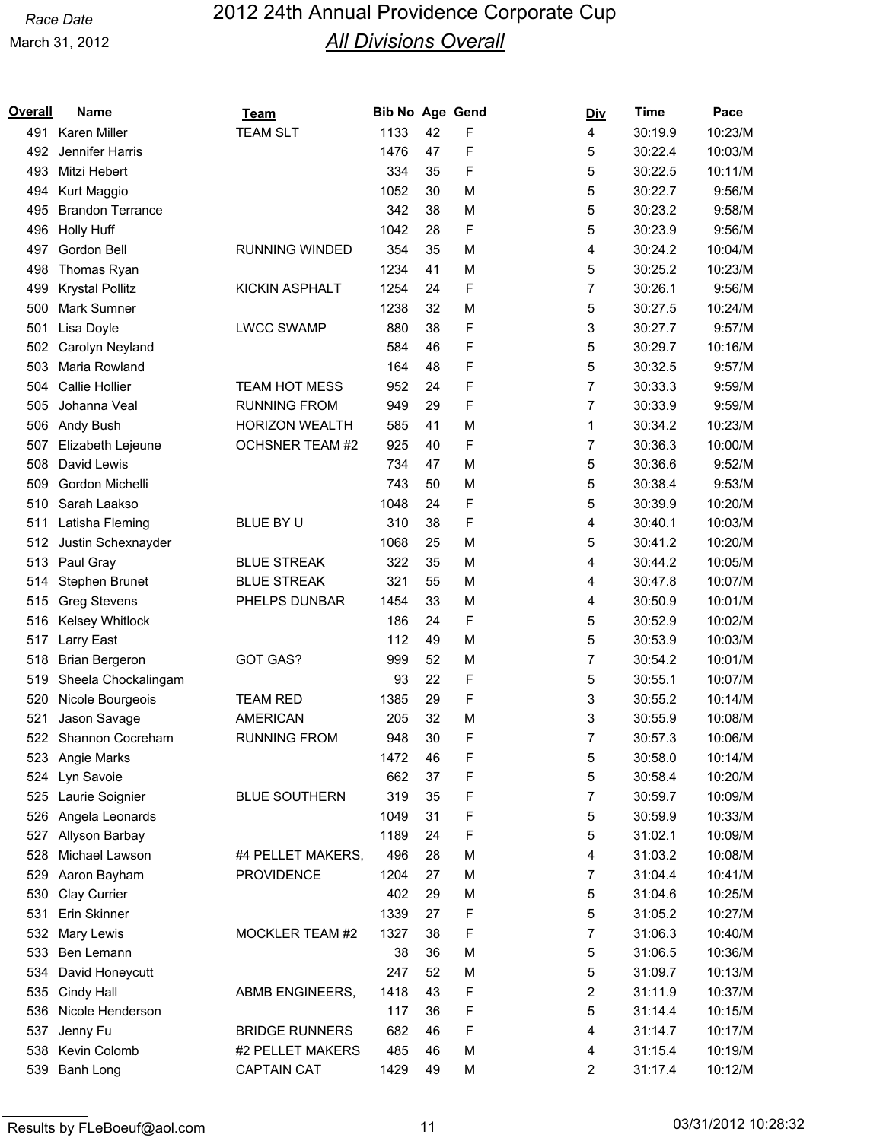| <u>Overall</u> | <b>Name</b>             | <b>Team</b>            | Bib No Age Gend |    |   | <u>Div</u> | <b>Time</b> | Pace    |
|----------------|-------------------------|------------------------|-----------------|----|---|------------|-------------|---------|
| 491            | Karen Miller            | <b>TEAM SLT</b>        | 1133            | 42 | F | 4          | 30:19.9     | 10:23/M |
| 492            | Jennifer Harris         |                        | 1476            | 47 | F | 5          | 30:22.4     | 10:03/M |
| 493            | Mitzi Hebert            |                        | 334             | 35 | F | 5          | 30:22.5     | 10:11/M |
| 494            | Kurt Maggio             |                        | 1052            | 30 | M | 5          | 30:22.7     | 9:56/M  |
| 495            | <b>Brandon Terrance</b> |                        | 342             | 38 | M | 5          | 30:23.2     | 9:58/M  |
| 496            | <b>Holly Huff</b>       |                        | 1042            | 28 | F | 5          | 30:23.9     | 9:56/M  |
| 497            | Gordon Bell             | <b>RUNNING WINDED</b>  | 354             | 35 | M | 4          | 30:24.2     | 10:04/M |
| 498            | Thomas Ryan             |                        | 1234            | 41 | M | 5          | 30:25.2     | 10:23/M |
| 499            | <b>Krystal Pollitz</b>  | <b>KICKIN ASPHALT</b>  | 1254            | 24 | F | 7          | 30:26.1     | 9:56/M  |
| 500            | Mark Sumner             |                        | 1238            | 32 | M | 5          | 30:27.5     | 10:24/M |
| 501            | Lisa Doyle              | <b>LWCC SWAMP</b>      | 880             | 38 | F | 3          | 30:27.7     | 9:57/M  |
| 502            | Carolyn Neyland         |                        | 584             | 46 | F | 5          | 30:29.7     | 10:16/M |
| 503            | Maria Rowland           |                        | 164             | 48 | F | 5          | 30:32.5     | 9:57/M  |
| 504            | Callie Hollier          | <b>TEAM HOT MESS</b>   | 952             | 24 | F | 7          | 30:33.3     | 9:59/M  |
| 505            | Johanna Veal            | <b>RUNNING FROM</b>    | 949             | 29 | F | 7          | 30:33.9     | 9:59/M  |
| 506            | Andy Bush               | <b>HORIZON WEALTH</b>  | 585             | 41 | M | 1          | 30:34.2     | 10:23/M |
| 507            | Elizabeth Lejeune       | <b>OCHSNER TEAM #2</b> | 925             | 40 | F | 7          | 30:36.3     | 10:00/M |
| 508            | David Lewis             |                        | 734             | 47 | M | 5          | 30:36.6     | 9:52/M  |
| 509            | Gordon Michelli         |                        | 743             | 50 | M | 5          | 30:38.4     | 9:53/M  |
| 510            | Sarah Laakso            |                        | 1048            | 24 | F | 5          | 30:39.9     | 10:20/M |
| 511            | Latisha Fleming         | BLUE BY U              | 310             | 38 | F | 4          | 30:40.1     | 10:03/M |
| 512            | Justin Schexnayder      |                        | 1068            | 25 | M | 5          | 30:41.2     | 10:20/M |
| 513            | Paul Gray               | <b>BLUE STREAK</b>     | 322             | 35 | M | 4          | 30:44.2     | 10:05/M |
| 514            | Stephen Brunet          | <b>BLUE STREAK</b>     | 321             | 55 | M | 4          | 30:47.8     | 10:07/M |
| 515            | <b>Greg Stevens</b>     | PHELPS DUNBAR          | 1454            | 33 | M | 4          | 30:50.9     | 10:01/M |
| 516            | Kelsey Whitlock         |                        | 186             | 24 | F | 5          | 30:52.9     | 10:02/M |
| 517            | <b>Larry East</b>       |                        | 112             | 49 | M | 5          | 30:53.9     | 10:03/M |
| 518            | <b>Brian Bergeron</b>   | GOT GAS?               | 999             | 52 | M | 7          | 30:54.2     | 10:01/M |
| 519            | Sheela Chockalingam     |                        | 93              | 22 | F | 5          | 30:55.1     | 10:07/M |
| 520            | Nicole Bourgeois        | <b>TEAM RED</b>        | 1385            | 29 | F | 3          | 30:55.2     | 10:14/M |
| 521            | Jason Savage            | <b>AMERICAN</b>        | 205             | 32 | M | 3          | 30:55.9     | 10:08/M |
|                | 522 Shannon Cocreham    | <b>RUNNING FROM</b>    | 948             | 30 | F | 7          | 30:57.3     | 10:06/M |
|                | 523 Angie Marks         |                        | 1472            | 46 | F | 5          | 30:58.0     | 10:14/M |
| 524            | Lyn Savoie              |                        | 662             | 37 | F | 5          | 30:58.4     | 10:20/M |
| 525            | Laurie Soignier         | <b>BLUE SOUTHERN</b>   | 319             | 35 | F | 7          | 30:59.7     | 10:09/M |
|                | 526 Angela Leonards     |                        | 1049            | 31 | F | 5          | 30:59.9     | 10:33/M |
| 527            | Allyson Barbay          |                        | 1189            | 24 | F | 5          | 31:02.1     | 10:09/M |
| 528            | Michael Lawson          | #4 PELLET MAKERS,      | 496             | 28 | M | 4          | 31:03.2     | 10:08/M |
| 529            | Aaron Bayham            | <b>PROVIDENCE</b>      | 1204            | 27 | M | 7          | 31:04.4     | 10:41/M |
| 530            | Clay Currier            |                        | 402             | 29 | M | 5          | 31:04.6     | 10:25/M |
| 531            | Erin Skinner            |                        | 1339            | 27 | F | 5          | 31:05.2     | 10:27/M |
| 532            | Mary Lewis              | MOCKLER TEAM #2        | 1327            | 38 | F | 7          | 31:06.3     | 10:40/M |
| 533            | Ben Lemann              |                        | 38              | 36 | M | 5          | 31:06.5     | 10:36/M |
| 534            | David Honeycutt         |                        | 247             | 52 | M | 5          | 31:09.7     | 10:13/M |
| 535            | Cindy Hall              | ABMB ENGINEERS,        | 1418            | 43 | F | 2          | 31:11.9     | 10:37/M |
| 536            | Nicole Henderson        |                        | 117             | 36 | F | 5          | 31:14.4     | 10:15/M |
| 537            | Jenny Fu                | <b>BRIDGE RUNNERS</b>  | 682             | 46 | F | 4          | 31:14.7     | 10:17/M |
| 538            | Kevin Colomb            | #2 PELLET MAKERS       | 485             | 46 | M | 4          | 31:15.4     | 10:19/M |
| 539            | Banh Long               | <b>CAPTAIN CAT</b>     | 1429            | 49 | M | 2          | 31:17.4     | 10:12/M |
|                |                         |                        |                 |    |   |            |             |         |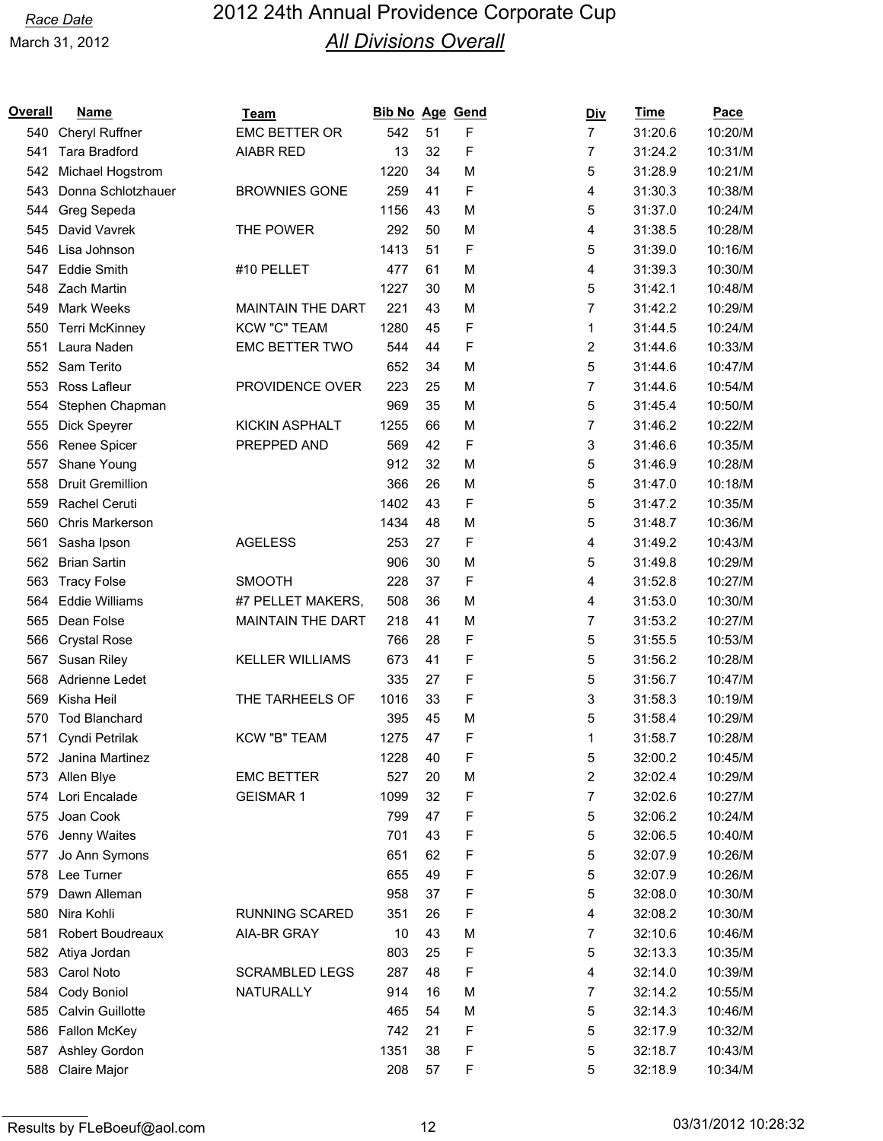| Overall | <u>Name</u>             | Team                     | <b>Bib No Age Gend</b> |    |   | <u>Div</u>     | <b>Time</b> | <b>Pace</b> |
|---------|-------------------------|--------------------------|------------------------|----|---|----------------|-------------|-------------|
| 540     | <b>Cheryl Ruffner</b>   | EMC BETTER OR            | 542                    | 51 | F | $\overline{7}$ | 31:20.6     | 10:20/M     |
| 541     | <b>Tara Bradford</b>    | AIABR RED                | 13                     | 32 | F | 7              | 31:24.2     | 10:31/M     |
| 542     | Michael Hogstrom        |                          | 1220                   | 34 | M | 5              | 31:28.9     | 10:21/M     |
| 543     | Donna Schlotzhauer      | <b>BROWNIES GONE</b>     | 259                    | 41 | F | 4              | 31:30.3     | 10:38/M     |
| 544     | Greg Sepeda             |                          | 1156                   | 43 | M | 5              | 31:37.0     | 10:24/M     |
| 545     | David Vavrek            | THE POWER                | 292                    | 50 | M | 4              | 31:38.5     | 10:28/M     |
| 546     | Lisa Johnson            |                          | 1413                   | 51 | F | 5              | 31:39.0     | 10:16/M     |
| 547     | <b>Eddie Smith</b>      | #10 PELLET               | 477                    | 61 | M | 4              | 31:39.3     | 10:30/M     |
|         | 548 Zach Martin         |                          | 1227                   | 30 | M | 5              | 31:42.1     | 10:48/M     |
| 549     | Mark Weeks              | <b>MAINTAIN THE DART</b> | 221                    | 43 | M | 7              | 31:42.2     | 10:29/M     |
| 550     | Terri McKinney          | <b>KCW "C" TEAM</b>      | 1280                   | 45 | F | 1              | 31:44.5     | 10:24/M     |
| 551     | Laura Naden             | <b>EMC BETTER TWO</b>    | 544                    | 44 | F | 2              | 31:44.6     | 10:33/M     |
| 552     | Sam Terito              |                          | 652                    | 34 | M | 5              | 31:44.6     | 10:47/M     |
| 553     | Ross Lafleur            | PROVIDENCE OVER          | 223                    | 25 | M | 7              | 31:44.6     | 10:54/M     |
| 554     | Stephen Chapman         |                          | 969                    | 35 | M | 5              | 31:45.4     | 10:50/M     |
| 555     | Dick Speyrer            | <b>KICKIN ASPHALT</b>    | 1255                   | 66 | M | 7              | 31:46.2     | 10:22/M     |
| 556     | Renee Spicer            | PREPPED AND              | 569                    | 42 | F | 3              | 31:46.6     | 10:35/M     |
| 557     | Shane Young             |                          | 912                    | 32 | M | 5              | 31:46.9     | 10:28/M     |
| 558     | <b>Druit Gremillion</b> |                          | 366                    | 26 | M | 5              | 31:47.0     | 10:18/M     |
| 559     | Rachel Ceruti           |                          | 1402                   | 43 | F | 5              | 31:47.2     | 10:35/M     |
| 560     | Chris Markerson         |                          | 1434                   | 48 | M | 5              | 31:48.7     | 10:36/M     |
| 561     | Sasha Ipson             | <b>AGELESS</b>           | 253                    | 27 | F | 4              | 31:49.2     | 10:43/M     |
| 562     | <b>Brian Sartin</b>     |                          | 906                    | 30 | M | 5              | 31:49.8     | 10:29/M     |
| 563     | <b>Tracy Folse</b>      | <b>SMOOTH</b>            | 228                    | 37 | F | 4              | 31:52.8     | 10:27/M     |
| 564     | <b>Eddie Williams</b>   | #7 PELLET MAKERS,        | 508                    | 36 | M | 4              | 31:53.0     | 10:30/M     |
| 565     | Dean Folse              | <b>MAINTAIN THE DART</b> | 218                    | 41 | M | 7              | 31:53.2     | 10:27/M     |
| 566     | <b>Crystal Rose</b>     |                          | 766                    | 28 | F | 5              | 31:55.5     | 10:53/M     |
| 567     | Susan Riley             | <b>KELLER WILLIAMS</b>   | 673                    | 41 | F | 5              | 31:56.2     | 10:28/M     |
| 568     | Adrienne Ledet          |                          | 335                    | 27 | F | 5              | 31:56.7     | 10:47/M     |
| 569     | Kisha Heil              | THE TARHEELS OF          | 1016                   | 33 | F | 3              | 31:58.3     | 10:19/M     |
| 570     | <b>Tod Blanchard</b>    |                          | 395                    | 45 | M | 5              | 31:58.4     | 10:29/M     |
| 571     | Cyndi Petrilak          | KCW "B" TEAM             | 1275                   | 47 | F | 1              | 31:58.7     | 10:28/M     |
| 572     | Janina Martinez         |                          | 1228                   | 40 | F | 5              | 32:00.2     | 10:45/M     |
| 573     | Allen Blye              | <b>EMC BETTER</b>        | 527                    | 20 | M | 2              | 32:02.4     | 10:29/M     |
| 574     | Lori Encalade           | <b>GEISMAR1</b>          | 1099                   | 32 | F | 7              | 32:02.6     | 10:27/M     |
| 575     | Joan Cook               |                          | 799                    | 47 | F | 5              | 32:06.2     | 10:24/M     |
| 576     | Jenny Waites            |                          | 701                    | 43 | F | 5              | 32:06.5     | 10:40/M     |
| 577     | Jo Ann Symons           |                          | 651                    | 62 | F | 5              | 32:07.9     | 10:26/M     |
| 578     | Lee Turner              |                          | 655                    | 49 | F | 5              | 32:07.9     | 10:26/M     |
| 579     | Dawn Alleman            |                          | 958                    | 37 | F | 5              | 32:08.0     | 10:30/M     |
| 580     | Nira Kohli              | <b>RUNNING SCARED</b>    | 351                    | 26 | F | 4              | 32:08.2     | 10:30/M     |
| 581     | Robert Boudreaux        | AIA-BR GRAY              | 10                     | 43 | M | 7              | 32:10.6     | 10:46/M     |
| 582     | Atiya Jordan            |                          | 803                    | 25 | F | 5              | 32:13.3     | 10:35/M     |
| 583     | Carol Noto              | <b>SCRAMBLED LEGS</b>    | 287                    | 48 | F | 4              | 32:14.0     | 10:39/M     |
| 584     | Cody Boniol             | NATURALLY                | 914                    | 16 | M | 7              | 32:14.2     | 10:55/M     |
| 585     | Calvin Guillotte        |                          | 465                    | 54 | M | 5              | 32:14.3     | 10:46/M     |
| 586     | Fallon McKey            |                          | 742                    | 21 | F | 5              | 32:17.9     | 10:32/M     |
| 587     | Ashley Gordon           |                          | 1351                   | 38 | F | 5              | 32:18.7     | 10:43/M     |
| 588     | Claire Major            |                          | 208                    | 57 | F | 5              | 32:18.9     | 10:34/M     |
|         |                         |                          |                        |    |   |                |             |             |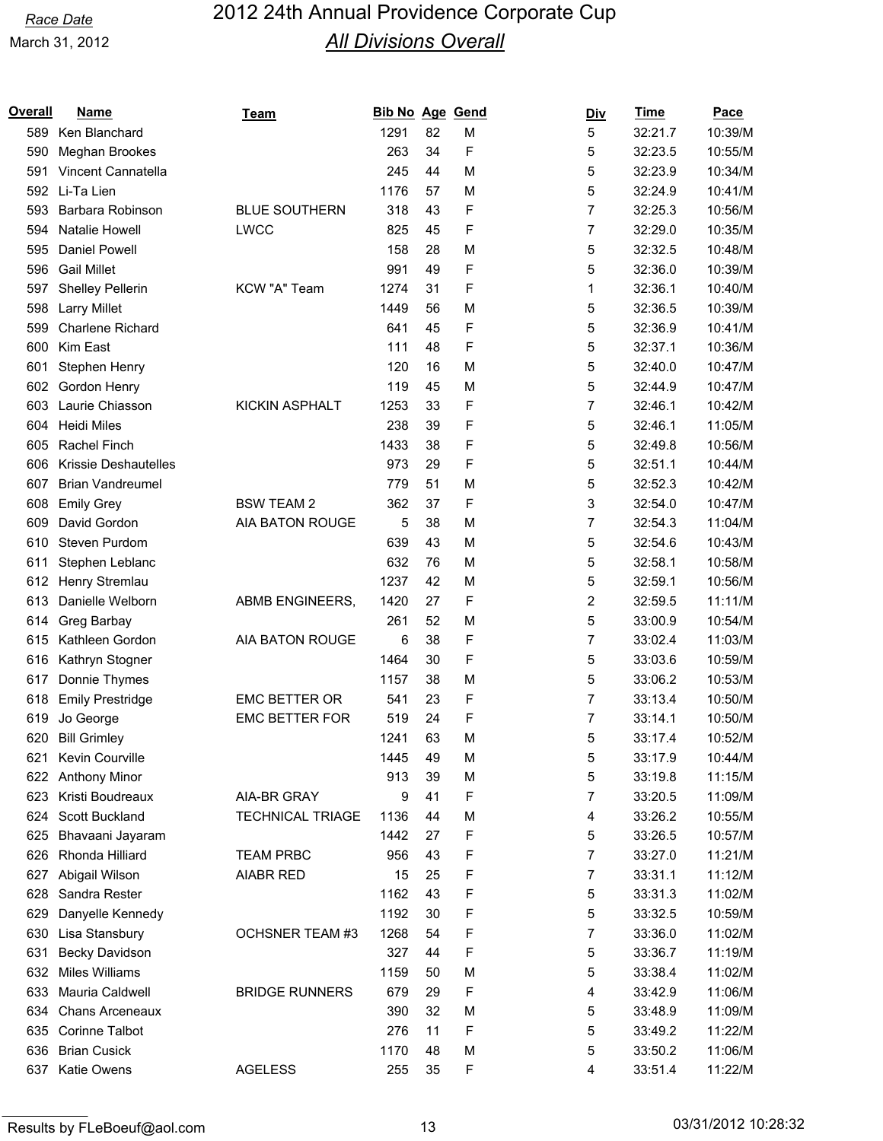| Overall | <b>Name</b>                 | Team                    | Bib No Age Gend |    |   | <u>Div</u>     | <b>Time</b> | Pace    |
|---------|-----------------------------|-------------------------|-----------------|----|---|----------------|-------------|---------|
| 589     | Ken Blanchard               |                         | 1291            | 82 | M | 5              | 32:21.7     | 10:39/M |
| 590     | Meghan Brookes              |                         | 263             | 34 | F | 5              | 32:23.5     | 10:55/M |
| 591     | Vincent Cannatella          |                         | 245             | 44 | M | 5              | 32:23.9     | 10:34/M |
|         | 592 Li-Ta Lien              |                         | 1176            | 57 | M | 5              | 32:24.9     | 10:41/M |
| 593     | Barbara Robinson            | <b>BLUE SOUTHERN</b>    | 318             | 43 | F | 7              | 32:25.3     | 10:56/M |
| 594     | Natalie Howell              | <b>LWCC</b>             | 825             | 45 | F | 7              | 32:29.0     | 10:35/M |
| 595     | Daniel Powell               |                         | 158             | 28 | M | 5              | 32:32.5     | 10:48/M |
| 596     | <b>Gail Millet</b>          |                         | 991             | 49 | F | 5              | 32:36.0     | 10:39/M |
| 597     | Shelley Pellerin            | KCW "A" Team            | 1274            | 31 | F | 1              | 32:36.1     | 10:40/M |
| 598     | <b>Larry Millet</b>         |                         | 1449            | 56 | M | 5              | 32:36.5     | 10:39/M |
| 599     | <b>Charlene Richard</b>     |                         | 641             | 45 | F | 5              | 32:36.9     | 10:41/M |
| 600     | Kim East                    |                         | 111             | 48 | F | 5              | 32:37.1     | 10:36/M |
| 601     | Stephen Henry               |                         | 120             | 16 | M | 5              | 32:40.0     | 10:47/M |
| 602     | Gordon Henry                |                         | 119             | 45 | M | 5              | 32:44.9     | 10:47/M |
| 603     | Laurie Chiasson             | <b>KICKIN ASPHALT</b>   | 1253            | 33 | F | $\overline{7}$ | 32:46.1     | 10:42/M |
| 604     | <b>Heidi Miles</b>          |                         | 238             | 39 | F | 5              | 32:46.1     | 11:05/M |
| 605     | Rachel Finch                |                         | 1433            | 38 | F | 5              | 32:49.8     | 10:56/M |
| 606     | <b>Krissie Deshautelles</b> |                         | 973             | 29 | F | 5              | 32:51.1     | 10:44/M |
| 607     | <b>Brian Vandreumel</b>     |                         | 779             | 51 | M | 5              | 32:52.3     | 10:42/M |
| 608     | <b>Emily Grey</b>           | <b>BSW TEAM 2</b>       | 362             | 37 | F | 3              | 32:54.0     | 10:47/M |
| 609     | David Gordon                | AIA BATON ROUGE         | 5               | 38 | M | 7              | 32:54.3     | 11:04/M |
| 610     | Steven Purdom               |                         | 639             | 43 | M | 5              | 32:54.6     | 10:43/M |
| 611     | Stephen Leblanc             |                         | 632             | 76 | M | 5              | 32:58.1     | 10:58/M |
| 612     | Henry Stremlau              |                         | 1237            | 42 | M | 5              | 32:59.1     | 10:56/M |
| 613     | Danielle Welborn            | ABMB ENGINEERS,         | 1420            | 27 | F | 2              | 32:59.5     | 11:11/M |
| 614     | Greg Barbay                 |                         | 261             | 52 | M | 5              | 33:00.9     | 10:54/M |
| 615     | Kathleen Gordon             | AIA BATON ROUGE         | 6               | 38 | F | 7              | 33:02.4     | 11:03/M |
| 616     | Kathryn Stogner             |                         | 1464            | 30 | F | 5              | 33:03.6     | 10:59/M |
| 617     | Donnie Thymes               |                         | 1157            | 38 | M | 5              | 33:06.2     | 10:53/M |
| 618     | <b>Emily Prestridge</b>     | <b>EMC BETTER OR</b>    | 541             | 23 | F | 7              | 33:13.4     | 10:50/M |
| 619     | Jo George                   | <b>EMC BETTER FOR</b>   | 519             | 24 | F | 7              | 33:14.1     | 10:50/M |
| 620     | <b>Bill Grimley</b>         |                         | 1241            | 63 | M | 5              | 33:17.4     | 10:52/M |
| 621     | Kevin Courville             |                         | 1445            | 49 | М | 5              | 33:17.9     | 10:44/M |
|         | 622 Anthony Minor           |                         | 913             | 39 | M | 5              | 33:19.8     | 11:15/M |
| 623     | Kristi Boudreaux            | AIA-BR GRAY             | 9               | 41 | F | 7              | 33:20.5     | 11:09/M |
| 624     | Scott Buckland              | <b>TECHNICAL TRIAGE</b> | 1136            | 44 | M | 4              | 33:26.2     | 10:55/M |
| 625     | Bhavaani Jayaram            |                         | 1442            | 27 | F | 5              | 33:26.5     | 10:57/M |
| 626     | Rhonda Hilliard             | <b>TEAM PRBC</b>        | 956             | 43 | F | 7              | 33:27.0     | 11:21/M |
| 627     | Abigail Wilson              | <b>AIABR RED</b>        | 15              | 25 | F | 7              | 33:31.1     | 11:12/M |
| 628     | Sandra Rester               |                         | 1162            | 43 | F | 5              | 33:31.3     | 11:02/M |
| 629     | Danyelle Kennedy            |                         | 1192            | 30 | F | 5              | 33:32.5     | 10:59/M |
| 630     | Lisa Stansbury              | <b>OCHSNER TEAM #3</b>  | 1268            | 54 | F | 7              | 33:36.0     | 11:02/M |
| 631     | Becky Davidson              |                         | 327             | 44 | F | 5              | 33:36.7     | 11:19/M |
| 632     | <b>Miles Williams</b>       |                         | 1159            | 50 | M | 5              | 33:38.4     | 11:02/M |
| 633     | Mauria Caldwell             | <b>BRIDGE RUNNERS</b>   | 679             | 29 | F | 4              | 33:42.9     | 11:06/M |
| 634     | <b>Chans Arceneaux</b>      |                         | 390             | 32 | M | 5              | 33:48.9     | 11:09/M |
| 635     | Corinne Talbot              |                         | 276             | 11 | F | 5              | 33:49.2     | 11:22/M |
| 636     | <b>Brian Cusick</b>         |                         | 1170            | 48 | M | 5              | 33:50.2     | 11:06/M |
| 637     | Katie Owens                 | <b>AGELESS</b>          | 255             | 35 | F | 4              | 33:51.4     | 11:22/M |
|         |                             |                         |                 |    |   |                |             |         |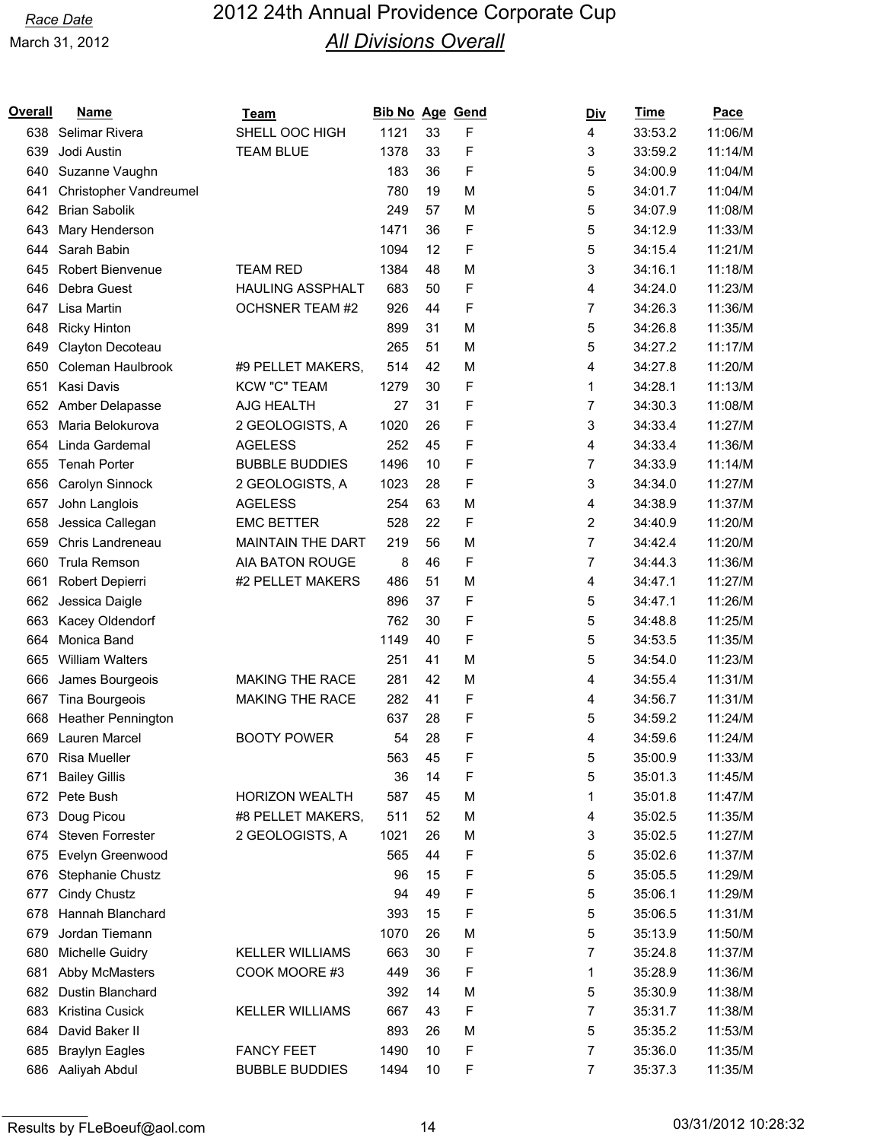| Overall | <b>Name</b>            | Team                     | Bib No Age Gend |    |   | <u>Div</u>     | <b>Time</b> | Pace    |
|---------|------------------------|--------------------------|-----------------|----|---|----------------|-------------|---------|
| 638     | Selimar Rivera         | SHELL OOC HIGH           | 1121            | 33 | F | 4              | 33:53.2     | 11:06/M |
| 639     | Jodi Austin            | <b>TEAM BLUE</b>         | 1378            | 33 | F | 3              | 33:59.2     | 11:14/M |
| 640     | Suzanne Vaughn         |                          | 183             | 36 | F | 5              | 34:00.9     | 11:04/M |
| 641     | Christopher Vandreumel |                          | 780             | 19 | M | 5              | 34:01.7     | 11:04/M |
| 642     | <b>Brian Sabolik</b>   |                          | 249             | 57 | M | 5              | 34:07.9     | 11:08/M |
| 643     | Mary Henderson         |                          | 1471            | 36 | F | 5              | 34:12.9     | 11:33/M |
| 644     | Sarah Babin            |                          | 1094            | 12 | F | 5              | 34:15.4     | 11:21/M |
| 645     | Robert Bienvenue       | <b>TEAM RED</b>          | 1384            | 48 | M | 3              | 34:16.1     | 11:18/M |
| 646     | Debra Guest            | <b>HAULING ASSPHALT</b>  | 683             | 50 | F | 4              | 34:24.0     | 11:23/M |
| 647     | Lisa Martin            | <b>OCHSNER TEAM #2</b>   | 926             | 44 | F | 7              | 34:26.3     | 11:36/M |
| 648     | <b>Ricky Hinton</b>    |                          | 899             | 31 | M | 5              | 34:26.8     | 11:35/M |
| 649     | Clayton Decoteau       |                          | 265             | 51 | M | 5              | 34:27.2     | 11:17/M |
| 650     | Coleman Haulbrook      | #9 PELLET MAKERS,        | 514             | 42 | M | 4              | 34:27.8     | 11:20/M |
| 651     | Kasi Davis             | <b>KCW "C" TEAM</b>      | 1279            | 30 | F | 1              | 34:28.1     | 11:13/M |
| 652     | Amber Delapasse        | AJG HEALTH               | 27              | 31 | F | 7              | 34:30.3     | 11:08/M |
| 653     | Maria Belokurova       | 2 GEOLOGISTS, A          | 1020            | 26 | F | 3              | 34:33.4     | 11:27/M |
| 654     | Linda Gardemal         | <b>AGELESS</b>           | 252             | 45 | F | 4              | 34:33.4     | 11:36/M |
| 655     | <b>Tenah Porter</b>    | <b>BUBBLE BUDDIES</b>    | 1496            | 10 | F | 7              | 34:33.9     | 11:14/M |
| 656     | Carolyn Sinnock        | 2 GEOLOGISTS, A          | 1023            | 28 | F | 3              | 34:34.0     | 11:27/M |
| 657     | John Langlois          | <b>AGELESS</b>           | 254             | 63 | M | 4              | 34:38.9     | 11:37/M |
| 658     | Jessica Callegan       | <b>EMC BETTER</b>        | 528             | 22 | F | 2              | 34:40.9     | 11:20/M |
| 659     | Chris Landreneau       | <b>MAINTAIN THE DART</b> | 219             | 56 | M | 7              | 34:42.4     | 11:20/M |
| 660     | Trula Remson           | AIA BATON ROUGE          | 8               | 46 | F | $\overline{7}$ | 34:44.3     | 11:36/M |
| 661     | Robert Depierri        | #2 PELLET MAKERS         | 486             | 51 | M | 4              | 34:47.1     | 11:27/M |
| 662     | Jessica Daigle         |                          | 896             | 37 | F | 5              | 34:47.1     | 11:26/M |
| 663     | Kacey Oldendorf        |                          | 762             | 30 | F | 5              | 34:48.8     | 11:25/M |
| 664     | Monica Band            |                          | 1149            | 40 | F | 5              | 34:53.5     | 11:35/M |
| 665     | <b>William Walters</b> |                          | 251             | 41 | M | 5              | 34:54.0     | 11:23/M |
| 666     | James Bourgeois        | <b>MAKING THE RACE</b>   | 281             | 42 | M | 4              | 34:55.4     | 11:31/M |
| 667     | Tina Bourgeois         | <b>MAKING THE RACE</b>   | 282             | 41 | F | 4              | 34:56.7     | 11:31/M |
| 668     | Heather Pennington     |                          | 637             | 28 | F | 5              | 34:59.2     | 11:24/M |
|         | 669 Lauren Marcel      | <b>BOOTY POWER</b>       | 54              | 28 | F | 4              | 34:59.6     | 11:24/M |
| 670     | Risa Mueller           |                          | 563             | 45 | F | 5              | 35:00.9     | 11:33/M |
| 671     | <b>Bailey Gillis</b>   |                          | 36              | 14 | F | 5              | 35:01.3     | 11:45/M |
| 672     | Pete Bush              | <b>HORIZON WEALTH</b>    | 587             | 45 | M | 1              | 35:01.8     | 11:47/M |
| 673     | Doug Picou             | #8 PELLET MAKERS,        | 511             | 52 | M | 4              | 35:02.5     | 11:35/M |
| 674     | Steven Forrester       | 2 GEOLOGISTS, A          | 1021            | 26 | M | 3              | 35:02.5     | 11:27/M |
| 675     | Evelyn Greenwood       |                          | 565             | 44 | F | 5              | 35:02.6     | 11:37/M |
| 676     | Stephanie Chustz       |                          | 96              | 15 | F | 5              | 35:05.5     | 11:29/M |
| 677     | Cindy Chustz           |                          | 94              | 49 | F | 5              | 35:06.1     | 11:29/M |
| 678     | Hannah Blanchard       |                          | 393             | 15 | F | 5              | 35:06.5     | 11:31/M |
| 679     | Jordan Tiemann         |                          | 1070            | 26 | M | 5              | 35:13.9     | 11:50/M |
| 680     | Michelle Guidry        | <b>KELLER WILLIAMS</b>   | 663             | 30 | F | 7              | 35:24.8     | 11:37/M |
| 681     | Abby McMasters         | COOK MOORE #3            | 449             | 36 | F | 1              | 35:28.9     | 11:36/M |
| 682     | Dustin Blanchard       |                          | 392             | 14 | M | 5              | 35:30.9     | 11:38/M |
| 683     | Kristina Cusick        | <b>KELLER WILLIAMS</b>   | 667             | 43 | F | 7              | 35:31.7     | 11:38/M |
| 684     | David Baker II         |                          | 893             | 26 | M | 5              | 35:35.2     | 11:53/M |
| 685     | <b>Braylyn Eagles</b>  | <b>FANCY FEET</b>        | 1490            | 10 | F | 7              | 35:36.0     | 11:35/M |
|         |                        | <b>BUBBLE BUDDIES</b>    | 1494            | 10 |   |                | 35:37.3     | 11:35/M |
|         | 686 Aaliyah Abdul      |                          |                 |    | F | 7              |             |         |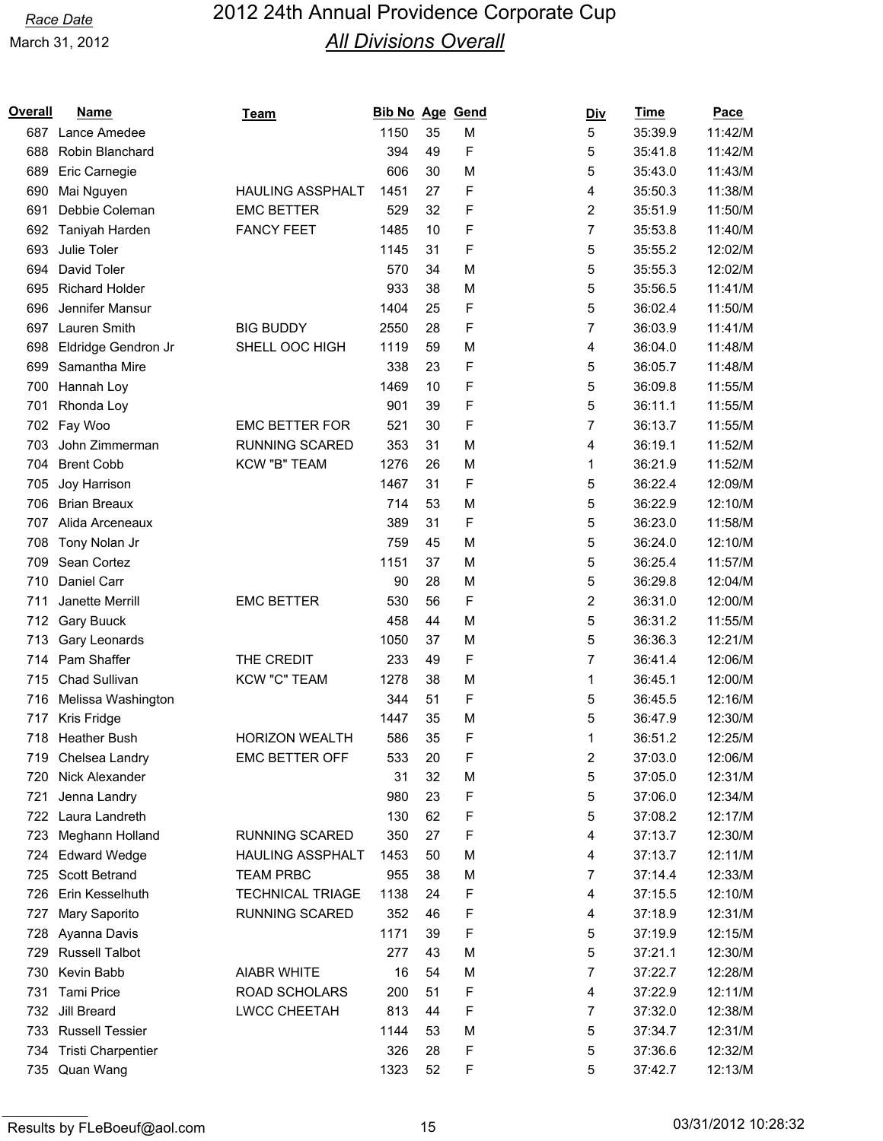| Overall | <u>Name</u>               | <u>Team</u>             | <b>Bib No Age Gend</b> |    |             | <u>Div</u> | <u>Time</u> | Pace    |
|---------|---------------------------|-------------------------|------------------------|----|-------------|------------|-------------|---------|
| 687     | Lance Amedee              |                         | 1150                   | 35 | M           | 5          | 35:39.9     | 11:42/M |
| 688     | Robin Blanchard           |                         | 394                    | 49 | F           | 5          | 35:41.8     | 11:42/M |
| 689     | Eric Carnegie             |                         | 606                    | 30 | M           | 5          | 35:43.0     | 11:43/M |
| 690     | Mai Nguyen                | <b>HAULING ASSPHALT</b> | 1451                   | 27 | F           | 4          | 35:50.3     | 11:38/M |
| 691     | Debbie Coleman            | <b>EMC BETTER</b>       | 529                    | 32 | F           | 2          | 35:51.9     | 11:50/M |
| 692     | Taniyah Harden            | <b>FANCY FEET</b>       | 1485                   | 10 | F           | 7          | 35:53.8     | 11:40/M |
| 693     | Julie Toler               |                         | 1145                   | 31 | F           | 5          | 35:55.2     | 12:02/M |
| 694     | David Toler               |                         | 570                    | 34 | M           | 5          | 35:55.3     | 12:02/M |
| 695     | <b>Richard Holder</b>     |                         | 933                    | 38 | M           | 5          | 35:56.5     | 11:41/M |
| 696     | Jennifer Mansur           |                         | 1404                   | 25 | F           | 5          | 36:02.4     | 11:50/M |
| 697     | Lauren Smith              | <b>BIG BUDDY</b>        | 2550                   | 28 | F           | 7          | 36:03.9     | 11:41/M |
| 698     | Eldridge Gendron Jr       | SHELL OOC HIGH          | 1119                   | 59 | M           | 4          | 36:04.0     | 11:48/M |
| 699     | Samantha Mire             |                         | 338                    | 23 | F           | 5          | 36:05.7     | 11:48/M |
| 700     | Hannah Loy                |                         | 1469                   | 10 | F           | 5          | 36:09.8     | 11:55/M |
| 701     | Rhonda Loy                |                         | 901                    | 39 | F           | 5          | 36:11.1     | 11:55/M |
| 702     | Fay Woo                   | <b>EMC BETTER FOR</b>   | 521                    | 30 | F           | 7          | 36:13.7     | 11:55/M |
| 703     | John Zimmerman            | <b>RUNNING SCARED</b>   | 353                    | 31 | M           | 4          | 36:19.1     | 11:52/M |
| 704     | <b>Brent Cobb</b>         | KCW "B" TEAM            | 1276                   | 26 | M           | 1          | 36:21.9     | 11:52/M |
| 705     | Joy Harrison              |                         | 1467                   | 31 | F           | 5          | 36:22.4     | 12:09/M |
| 706     | <b>Brian Breaux</b>       |                         | 714                    | 53 | M           | 5          | 36:22.9     | 12:10/M |
| 707     | Alida Arceneaux           |                         | 389                    | 31 | F           | 5          | 36:23.0     | 11:58/M |
| 708     | Tony Nolan Jr             |                         | 759                    | 45 | M           | 5          | 36:24.0     | 12:10/M |
| 709     | Sean Cortez               |                         | 1151                   | 37 | M           | 5          | 36:25.4     | 11:57/M |
| 710     | Daniel Carr               |                         | 90                     | 28 | M           | 5          | 36:29.8     | 12:04/M |
| 711     | Janette Merrill           | <b>EMC BETTER</b>       | 530                    | 56 | F           | 2          | 36:31.0     | 12:00/M |
| 712     | <b>Gary Buuck</b>         |                         | 458                    | 44 | M           | 5          | 36:31.2     | 11:55/M |
| 713     | Gary Leonards             |                         | 1050                   | 37 | M           | 5          | 36:36.3     | 12:21/M |
| 714     | Pam Shaffer               | THE CREDIT              | 233                    | 49 | F           | 7          | 36:41.4     | 12:06/M |
| 715     | Chad Sullivan             | <b>KCW "C" TEAM</b>     | 1278                   | 38 | M           | 1          | 36:45.1     | 12:00/M |
| 716     | Melissa Washington        |                         | 344                    | 51 | F           | 5          | 36:45.5     | 12:16/M |
| 717     | Kris Fridge               |                         | 1447                   | 35 | M           | 5          | 36:47.9     | 12:30/M |
|         | 718 Heather Bush          | <b>HORIZON WEALTH</b>   | 586                    | 35 | F           | 1          | 36:51.2     | 12:25/M |
|         | 719 Chelsea Landry        | <b>EMC BETTER OFF</b>   | 533                    | 20 | F           | 2          | 37:03.0     | 12:06/M |
| 720     | Nick Alexander            |                         | 31                     | 32 | M           | 5          | 37:05.0     | 12:31/M |
| 721     | Jenna Landry              |                         | 980                    | 23 | F           | 5          | 37:06.0     | 12:34/M |
| 722     | Laura Landreth            |                         | 130                    | 62 | F           | 5          | 37:08.2     | 12:17/M |
| 723     | Meghann Holland           | RUNNING SCARED          | 350                    | 27 | F           | 4          | 37:13.7     | 12:30/M |
| 724     | <b>Edward Wedge</b>       | HAULING ASSPHALT        | 1453                   | 50 | M           | 4          | 37:13.7     | 12:11/M |
| 725     | Scott Betrand             | <b>TEAM PRBC</b>        | 955                    | 38 | M           | 7          | 37:14.4     | 12:33/M |
| 726     | Erin Kesselhuth           | <b>TECHNICAL TRIAGE</b> | 1138                   | 24 | F           | 4          | 37:15.5     | 12:10/M |
| 727     | Mary Saporito             | RUNNING SCARED          | 352                    | 46 | F           | 4          | 37:18.9     | 12:31/M |
| 728     | Ayanna Davis              |                         | 1171                   | 39 | F           | 5          | 37:19.9     | 12:15/M |
| 729     | <b>Russell Talbot</b>     |                         | 277                    | 43 | M           | 5          | 37:21.1     | 12:30/M |
| 730     | Kevin Babb                | <b>AIABR WHITE</b>      | 16                     | 54 | M           | 7          | 37:22.7     | 12:28/M |
| 731     | <b>Tami Price</b>         | ROAD SCHOLARS           | 200                    | 51 | F           | 4          | 37:22.9     | 12:11/M |
| 732     | Jill Breard               | LWCC CHEETAH            | 813                    | 44 | F           | 7          | 37:32.0     | 12:38/M |
|         | 733 Russell Tessier       |                         | 1144                   | 53 | M           | 5          | 37:34.7     | 12:31/M |
| 734     | <b>Tristi Charpentier</b> |                         | 326                    | 28 | $\mathsf F$ | 5          | 37:36.6     | 12:32/M |
| 735     | Quan Wang                 |                         | 1323                   | 52 | F           | 5          | 37:42.7     | 12:13/M |
|         |                           |                         |                        |    |             |            |             |         |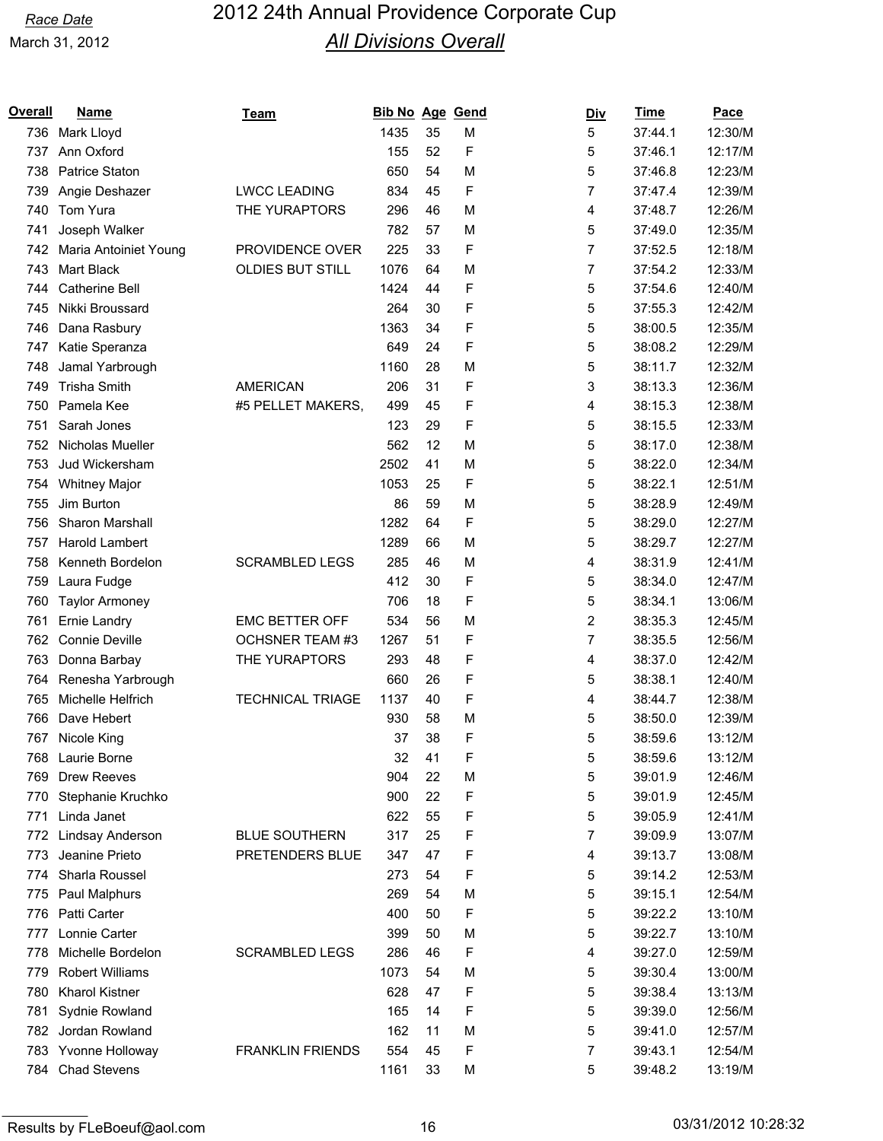| Overall | <b>Name</b>            | Team                    | <b>Bib No Age Gend</b> |    |   | <u>Div</u> | Time    | <b>Pace</b> |
|---------|------------------------|-------------------------|------------------------|----|---|------------|---------|-------------|
| 736     | Mark Lloyd             |                         | 1435                   | 35 | M | 5          | 37:44.1 | 12:30/M     |
| 737     | Ann Oxford             |                         | 155                    | 52 | F | 5          | 37:46.1 | 12:17/M     |
| 738     | Patrice Staton         |                         | 650                    | 54 | M | 5          | 37:46.8 | 12:23/M     |
| 739     | Angie Deshazer         | <b>LWCC LEADING</b>     | 834                    | 45 | F | 7          | 37:47.4 | 12:39/M     |
| 740     | Tom Yura               | THE YURAPTORS           | 296                    | 46 | M | 4          | 37:48.7 | 12:26/M     |
| 741     | Joseph Walker          |                         | 782                    | 57 | M | 5          | 37:49.0 | 12:35/M     |
| 742     | Maria Antoiniet Young  | PROVIDENCE OVER         | 225                    | 33 | F | 7          | 37:52.5 | 12:18/M     |
| 743     | Mart Black             | <b>OLDIES BUT STILL</b> | 1076                   | 64 | M | 7          | 37:54.2 | 12:33/M     |
| 744     | Catherine Bell         |                         | 1424                   | 44 | F | 5          | 37:54.6 | 12:40/M     |
| 745     | Nikki Broussard        |                         | 264                    | 30 | F | 5          | 37:55.3 | 12:42/M     |
| 746     | Dana Rasbury           |                         | 1363                   | 34 | F | 5          | 38:00.5 | 12:35/M     |
| 747     | Katie Speranza         |                         | 649                    | 24 | F | 5          | 38:08.2 | 12:29/M     |
| 748     | Jamal Yarbrough        |                         | 1160                   | 28 | M | 5          | 38:11.7 | 12:32/M     |
| 749     | <b>Trisha Smith</b>    | <b>AMERICAN</b>         | 206                    | 31 | F | 3          | 38:13.3 | 12:36/M     |
| 750     | Pamela Kee             | #5 PELLET MAKERS,       | 499                    | 45 | F | 4          | 38:15.3 | 12:38/M     |
| 751     | Sarah Jones            |                         | 123                    | 29 | F | 5          | 38:15.5 | 12:33/M     |
| 752     | Nicholas Mueller       |                         | 562                    | 12 | M | 5          | 38:17.0 | 12:38/M     |
| 753     | Jud Wickersham         |                         | 2502                   | 41 | M | 5          | 38:22.0 | 12:34/M     |
| 754     | <b>Whitney Major</b>   |                         | 1053                   | 25 | F | 5          | 38:22.1 | 12:51/M     |
| 755     | Jim Burton             |                         | 86                     | 59 | M | 5          | 38:28.9 | 12:49/M     |
| 756     | <b>Sharon Marshall</b> |                         | 1282                   | 64 | F | 5          | 38:29.0 | 12:27/M     |
| 757     | Harold Lambert         |                         | 1289                   | 66 | M | 5          | 38:29.7 | 12:27/M     |
| 758     | Kenneth Bordelon       | <b>SCRAMBLED LEGS</b>   | 285                    | 46 | M | 4          | 38:31.9 | 12:41/M     |
| 759     | Laura Fudge            |                         | 412                    | 30 | F | 5          | 38:34.0 | 12:47/M     |
| 760     | <b>Taylor Armoney</b>  |                         | 706                    | 18 | F | 5          | 38:34.1 | 13:06/M     |
| 761     | Ernie Landry           | <b>EMC BETTER OFF</b>   | 534                    | 56 | M | 2          | 38:35.3 | 12:45/M     |
| 762     | <b>Connie Deville</b>  | <b>OCHSNER TEAM #3</b>  | 1267                   | 51 | F | 7          | 38:35.5 | 12:56/M     |
| 763     | Donna Barbay           | THE YURAPTORS           | 293                    | 48 | F | 4          | 38:37.0 | 12:42/M     |
| 764     | Renesha Yarbrough      |                         | 660                    | 26 | F | 5          | 38:38.1 | 12:40/M     |
| 765     | Michelle Helfrich      | <b>TECHNICAL TRIAGE</b> | 1137                   | 40 | F | 4          | 38:44.7 | 12:38/M     |
| 766     | Dave Hebert            |                         | 930                    | 58 | M | 5          | 38:50.0 | 12:39/M     |
|         | 767 Nicole King        |                         | 37                     | 38 | F | 5          | 38:59.6 | 13:12/M     |
|         | 768 Laurie Borne       |                         | 32                     | 41 | F | 5          | 38:59.6 | 13:12/M     |
| 769     | <b>Drew Reeves</b>     |                         | 904                    | 22 | M | 5          | 39:01.9 | 12:46/M     |
| 770     | Stephanie Kruchko      |                         | 900                    | 22 | F | 5          | 39:01.9 | 12:45/M     |
| 771     | Linda Janet            |                         | 622                    | 55 | F | 5          | 39:05.9 | 12:41/M     |
| 772     | Lindsay Anderson       | <b>BLUE SOUTHERN</b>    | 317                    | 25 | F | 7          | 39:09.9 | 13:07/M     |
| 773     | Jeanine Prieto         | PRETENDERS BLUE         | 347                    | 47 | F | 4          | 39:13.7 | 13:08/M     |
| 774     | Sharla Roussel         |                         | 273                    | 54 | F | 5          | 39:14.2 | 12:53/M     |
| 775     | Paul Malphurs          |                         | 269                    | 54 | M | 5          | 39:15.1 | 12:54/M     |
| 776     | Patti Carter           |                         | 400                    | 50 | F | 5          | 39:22.2 | 13:10/M     |
| 777     | Lonnie Carter          |                         | 399                    | 50 | M | 5          | 39:22.7 | 13:10/M     |
| 778     | Michelle Bordelon      | <b>SCRAMBLED LEGS</b>   | 286                    | 46 | F | 4          | 39:27.0 | 12:59/M     |
| 779     | <b>Robert Williams</b> |                         | 1073                   | 54 | M | 5          | 39:30.4 | 13:00/M     |
| 780     | <b>Kharol Kistner</b>  |                         | 628                    | 47 | F | 5          | 39:38.4 | 13:13/M     |
| 781     | Sydnie Rowland         |                         | 165                    | 14 | F | 5          | 39:39.0 | 12:56/M     |
| 782     | Jordan Rowland         |                         | 162                    | 11 | M | 5          | 39:41.0 | 12:57/M     |
|         | 783 Yvonne Holloway    | <b>FRANKLIN FRIENDS</b> | 554                    | 45 | F | 7          | 39:43.1 | 12:54/M     |
| 784     | <b>Chad Stevens</b>    |                         | 1161                   | 33 | M | 5          | 39:48.2 | 13:19/M     |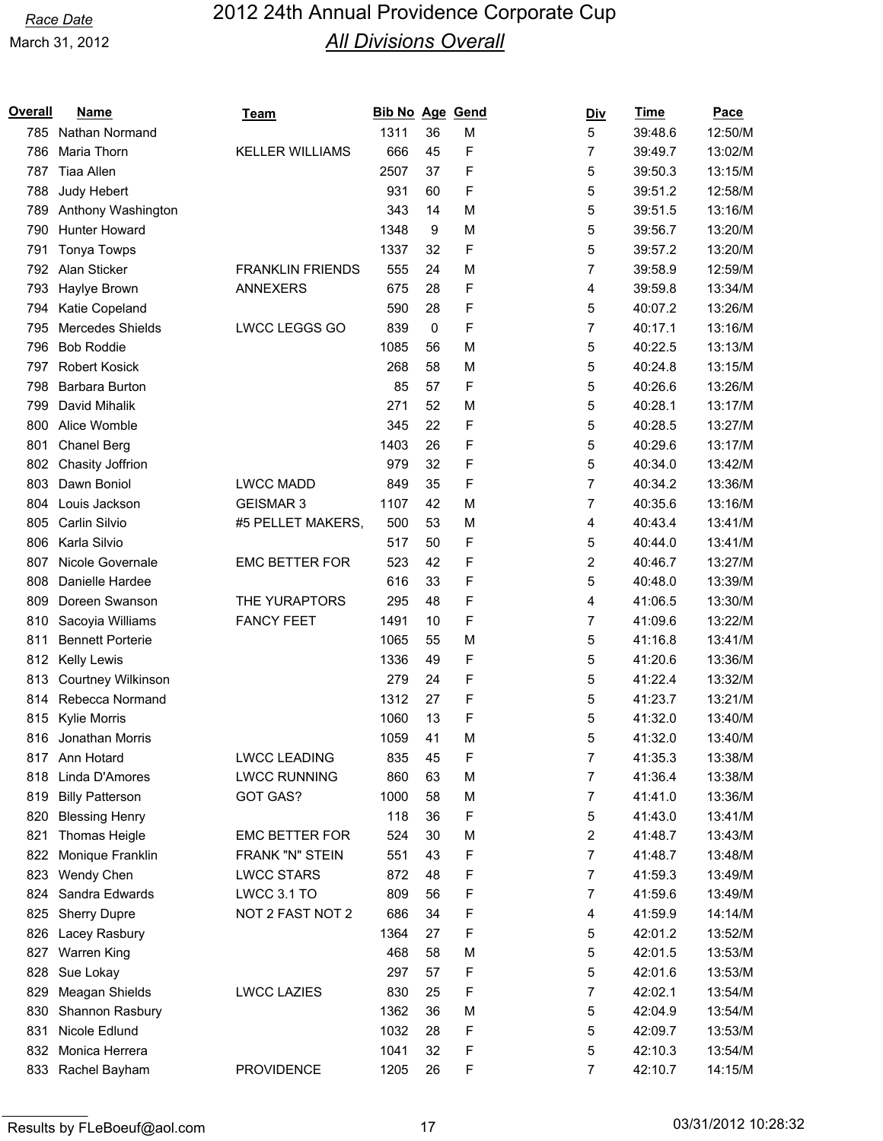| Overall | <b>Name</b>               | Team                    | Bib No Age Gend |                  |   | <u>Div</u> | <b>Time</b> | Pace    |
|---------|---------------------------|-------------------------|-----------------|------------------|---|------------|-------------|---------|
| 785     | Nathan Normand            |                         | 1311            | 36               | M | 5          | 39:48.6     | 12:50/M |
| 786     | Maria Thorn               | <b>KELLER WILLIAMS</b>  | 666             | 45               | F | 7          | 39:49.7     | 13:02/M |
| 787     | <b>Tiaa Allen</b>         |                         | 2507            | 37               | F | 5          | 39:50.3     | 13:15/M |
| 788     | Judy Hebert               |                         | 931             | 60               | F | 5          | 39:51.2     | 12:58/M |
| 789     | Anthony Washington        |                         | 343             | 14               | M | 5          | 39:51.5     | 13:16/M |
| 790     | Hunter Howard             |                         | 1348            | $\boldsymbol{9}$ | M | 5          | 39:56.7     | 13:20/M |
| 791     | Tonya Towps               |                         | 1337            | 32               | F | 5          | 39:57.2     | 13:20/M |
| 792     | Alan Sticker              | <b>FRANKLIN FRIENDS</b> | 555             | 24               | M | 7          | 39:58.9     | 12:59/M |
| 793     | Haylye Brown              | <b>ANNEXERS</b>         | 675             | 28               | F | 4          | 39:59.8     | 13:34/M |
| 794     | Katie Copeland            |                         | 590             | 28               | F | 5          | 40:07.2     | 13:26/M |
| 795     | Mercedes Shields          | LWCC LEGGS GO           | 839             | $\pmb{0}$        | F | 7          | 40:17.1     | 13:16/M |
| 796     | <b>Bob Roddie</b>         |                         | 1085            | 56               | M | 5          | 40:22.5     | 13:13/M |
| 797     | <b>Robert Kosick</b>      |                         | 268             | 58               | M | 5          | 40:24.8     | 13:15/M |
| 798     | Barbara Burton            |                         | 85              | 57               | F | 5          | 40:26.6     | 13:26/M |
| 799     | David Mihalik             |                         | 271             | 52               | M | 5          | 40:28.1     | 13:17/M |
| 800     | Alice Womble              |                         | 345             | 22               | F | 5          | 40:28.5     | 13:27/M |
| 801     | Chanel Berg               |                         | 1403            | 26               | F | 5          | 40:29.6     | 13:17/M |
| 802     | Chasity Joffrion          |                         | 979             | 32               | F | 5          | 40:34.0     | 13:42/M |
| 803     | Dawn Boniol               | <b>LWCC MADD</b>        | 849             | 35               | F | 7          | 40:34.2     | 13:36/M |
| 804     | Louis Jackson             | <b>GEISMAR 3</b>        | 1107            | 42               | M | 7          | 40:35.6     | 13:16/M |
| 805     | Carlin Silvio             | #5 PELLET MAKERS,       | 500             | 53               | M | 4          | 40:43.4     | 13:41/M |
| 806     | Karla Silvio              |                         | 517             | 50               | F | 5          | 40:44.0     | 13:41/M |
| 807     | Nicole Governale          | <b>EMC BETTER FOR</b>   | 523             | 42               | F | 2          | 40:46.7     | 13:27/M |
| 808     | Danielle Hardee           |                         | 616             | 33               | F | 5          | 40:48.0     | 13:39/M |
| 809     | Doreen Swanson            | THE YURAPTORS           | 295             | 48               | F | 4          | 41:06.5     | 13:30/M |
| 810     | Sacoyia Williams          | <b>FANCY FEET</b>       | 1491            | 10               | F | 7          | 41:09.6     | 13:22/M |
| 811     | <b>Bennett Porterie</b>   |                         | 1065            | 55               | M | 5          | 41:16.8     | 13:41/M |
| 812     | <b>Kelly Lewis</b>        |                         | 1336            | 49               | F | 5          | 41:20.6     | 13:36/M |
| 813     | <b>Courtney Wilkinson</b> |                         | 279             | 24               | F | 5          | 41:22.4     | 13:32/M |
| 814     | Rebecca Normand           |                         | 1312            | 27               | F | 5          | 41:23.7     | 13:21/M |
| 815     | Kylie Morris              |                         | 1060            | 13               | F | 5          | 41:32.0     | 13:40/M |
| 816     | Jonathan Morris           |                         | 1059            | 41               | M | 5          | 41:32.0     | 13:40/M |
|         | 817 Ann Hotard            | <b>LWCC LEADING</b>     | 835             | 45               | F | 7          | 41:35.3     | 13:38/M |
| 818     | Linda D'Amores            | <b>LWCC RUNNING</b>     | 860             | 63               | M | 7          | 41:36.4     | 13:38/M |
| 819     | <b>Billy Patterson</b>    | GOT GAS?                | 1000            | 58               | M | 7          | 41:41.0     | 13:36/M |
| 820     | <b>Blessing Henry</b>     |                         | 118             | 36               | F | 5          | 41:43.0     | 13:41/M |
| 821     | Thomas Heigle             | <b>EMC BETTER FOR</b>   | 524             | 30               | M | 2          | 41:48.7     | 13:43/M |
| 822     | Monique Franklin          | FRANK "N" STEIN         | 551             | 43               | F | 7          | 41:48.7     | 13:48/M |
| 823     | Wendy Chen                | <b>LWCC STARS</b>       | 872             | 48               | F | 7          | 41:59.3     | 13:49/M |
| 824     | Sandra Edwards            | LWCC 3.1 TO             | 809             | 56               | F | 7          | 41:59.6     | 13:49/M |
| 825     | <b>Sherry Dupre</b>       | NOT 2 FAST NOT 2        | 686             | 34               | F | 4          | 41:59.9     | 14:14/M |
| 826     | Lacey Rasbury             |                         | 1364            | 27               | F | 5          | 42:01.2     | 13:52/M |
| 827     | <b>Warren King</b>        |                         | 468             | 58               | M | 5          | 42:01.5     | 13:53/M |
| 828     | Sue Lokay                 |                         | 297             | 57               | F | 5          | 42:01.6     | 13:53/M |
| 829     | Meagan Shields            | <b>LWCC LAZIES</b>      | 830             | 25               | F | 7          | 42:02.1     | 13:54/M |
| 830     | Shannon Rasbury           |                         | 1362            | 36               | M | 5          | 42:04.9     | 13:54/M |
| 831     | Nicole Edlund             |                         | 1032            | 28               | F | 5          | 42:09.7     | 13:53/M |
| 832     | Monica Herrera            |                         | 1041            | 32               | F | 5          | 42:10.3     | 13:54/M |
| 833     | Rachel Bayham             | <b>PROVIDENCE</b>       | 1205            | 26               | F | 7          | 42:10.7     | 14:15/M |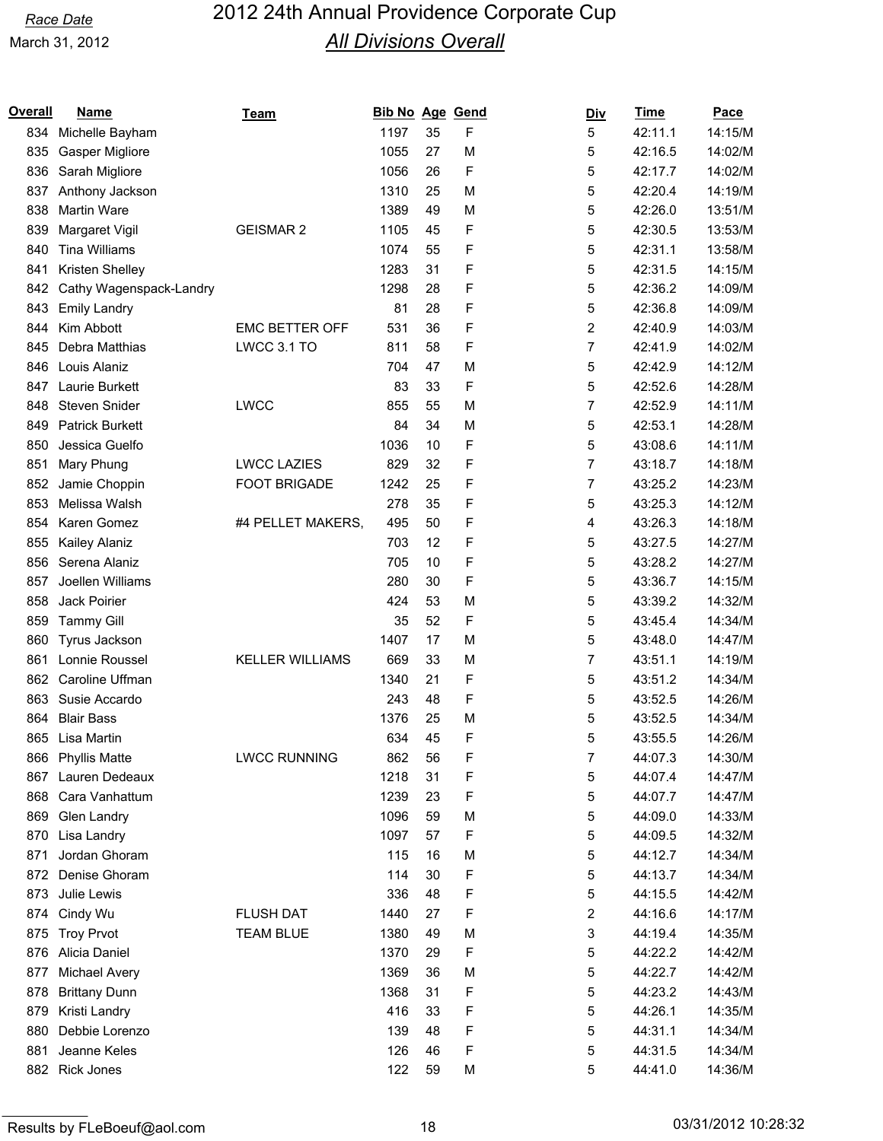| Overall | <b>Name</b>             | Team                   | Bib No Age Gend |    |   | <u>Div</u> | <b>Time</b> | Pace    |
|---------|-------------------------|------------------------|-----------------|----|---|------------|-------------|---------|
| 834     | Michelle Bayham         |                        | 1197            | 35 | F | 5          | 42:11.1     | 14:15/M |
| 835     | Gasper Migliore         |                        | 1055            | 27 | M | 5          | 42:16.5     | 14:02/M |
| 836     | Sarah Migliore          |                        | 1056            | 26 | F | 5          | 42:17.7     | 14:02/M |
| 837     | Anthony Jackson         |                        | 1310            | 25 | M | 5          | 42:20.4     | 14:19/M |
| 838     | Martin Ware             |                        | 1389            | 49 | M | 5          | 42:26.0     | 13:51/M |
| 839     | Margaret Vigil          | <b>GEISMAR 2</b>       | 1105            | 45 | F | 5          | 42:30.5     | 13:53/M |
| 840     | <b>Tina Williams</b>    |                        | 1074            | 55 | F | 5          | 42:31.1     | 13:58/M |
| 841     | Kristen Shelley         |                        | 1283            | 31 | F | 5          | 42:31.5     | 14:15/M |
| 842     | Cathy Wagenspack-Landry |                        | 1298            | 28 | F | 5          | 42:36.2     | 14:09/M |
| 843     | <b>Emily Landry</b>     |                        | 81              | 28 | F | 5          | 42:36.8     | 14:09/M |
| 844     | Kim Abbott              | <b>EMC BETTER OFF</b>  | 531             | 36 | F | 2          | 42:40.9     | 14:03/M |
| 845     | Debra Matthias          | LWCC 3.1 TO            | 811             | 58 | F | 7          | 42:41.9     | 14:02/M |
| 846     | Louis Alaniz            |                        | 704             | 47 | M | 5          | 42:42.9     | 14:12/M |
| 847     | Laurie Burkett          |                        | 83              | 33 | F | 5          | 42:52.6     | 14:28/M |
| 848     | Steven Snider           | <b>LWCC</b>            | 855             | 55 | M | 7          | 42:52.9     | 14:11/M |
| 849     | <b>Patrick Burkett</b>  |                        | 84              | 34 | M | 5          | 42:53.1     | 14:28/M |
| 850     | Jessica Guelfo          |                        | 1036            | 10 | F | 5          | 43:08.6     | 14:11/M |
| 851     | Mary Phung              | <b>LWCC LAZIES</b>     | 829             | 32 | F | 7          | 43:18.7     | 14:18/M |
| 852     | Jamie Choppin           | <b>FOOT BRIGADE</b>    | 1242            | 25 | F | 7          | 43:25.2     | 14:23/M |
| 853     | Melissa Walsh           |                        | 278             | 35 | F | 5          | 43:25.3     | 14:12/M |
| 854     | Karen Gomez             | #4 PELLET MAKERS,      | 495             | 50 | F | 4          | 43:26.3     | 14:18/M |
| 855     | Kailey Alaniz           |                        | 703             | 12 | F | 5          | 43:27.5     | 14:27/M |
| 856     | Serena Alaniz           |                        | 705             | 10 | F | 5          | 43:28.2     | 14:27/M |
| 857     | Joellen Williams        |                        | 280             | 30 | F | 5          | 43:36.7     | 14:15/M |
| 858     | Jack Poirier            |                        | 424             | 53 | M | 5          | 43:39.2     | 14:32/M |
| 859     | <b>Tammy Gill</b>       |                        | 35              | 52 | F | 5          | 43:45.4     | 14:34/M |
| 860     | Tyrus Jackson           |                        | 1407            | 17 | M | 5          | 43:48.0     | 14:47/M |
| 861     | Lonnie Roussel          | <b>KELLER WILLIAMS</b> | 669             | 33 | M | 7          | 43:51.1     | 14:19/M |
| 862     | Caroline Uffman         |                        | 1340            | 21 | F | 5          | 43:51.2     | 14:34/M |
| 863     | Susie Accardo           |                        | 243             | 48 | F | 5          | 43:52.5     | 14:26/M |
| 864     | <b>Blair Bass</b>       |                        | 1376            | 25 | M | 5          | 43:52.5     | 14:34/M |
| 865     | Lisa Martin             |                        | 634             | 45 | F | 5          | 43:55.5     | 14:26/M |
|         | 866 Phyllis Matte       | <b>LWCC RUNNING</b>    | 862             | 56 | F | 7          | 44:07.3     | 14:30/M |
| 867     | Lauren Dedeaux          |                        | 1218            | 31 | F | 5          | 44:07.4     | 14:47/M |
| 868     | Cara Vanhattum          |                        | 1239            | 23 | F | 5          | 44:07.7     | 14:47/M |
| 869     | Glen Landry             |                        | 1096            | 59 | M | 5          | 44:09.0     | 14:33/M |
| 870     | Lisa Landry             |                        | 1097            | 57 | F | 5          | 44:09.5     | 14:32/M |
| 871     | Jordan Ghoram           |                        | 115             | 16 | M | 5          | 44:12.7     | 14:34/M |
| 872     | Denise Ghoram           |                        | 114             | 30 | F | 5          | 44:13.7     | 14:34/M |
| 873     | Julie Lewis             |                        | 336             | 48 | F | 5          | 44:15.5     | 14:42/M |
| 874     | Cindy Wu                | <b>FLUSH DAT</b>       | 1440            | 27 | F | 2          | 44:16.6     | 14:17/M |
| 875     | <b>Troy Prvot</b>       | <b>TEAM BLUE</b>       | 1380            | 49 | M | 3          | 44:19.4     | 14:35/M |
| 876     | Alicia Daniel           |                        | 1370            | 29 | F | 5          | 44:22.2     | 14:42/M |
| 877     | Michael Avery           |                        | 1369            | 36 | M | 5          | 44:22.7     | 14:42/M |
| 878     | <b>Brittany Dunn</b>    |                        | 1368            | 31 | F | 5          | 44:23.2     | 14:43/M |
| 879     | Kristi Landry           |                        | 416             | 33 | F | 5          | 44:26.1     | 14:35/M |
| 880     | Debbie Lorenzo          |                        | 139             | 48 | F | 5          | 44:31.1     | 14:34/M |
| 881     | Jeanne Keles            |                        | 126             | 46 | F | 5          | 44:31.5     | 14:34/M |
| 882     | <b>Rick Jones</b>       |                        | 122             | 59 | M | 5          | 44:41.0     | 14:36/M |
|         |                         |                        |                 |    |   |            |             |         |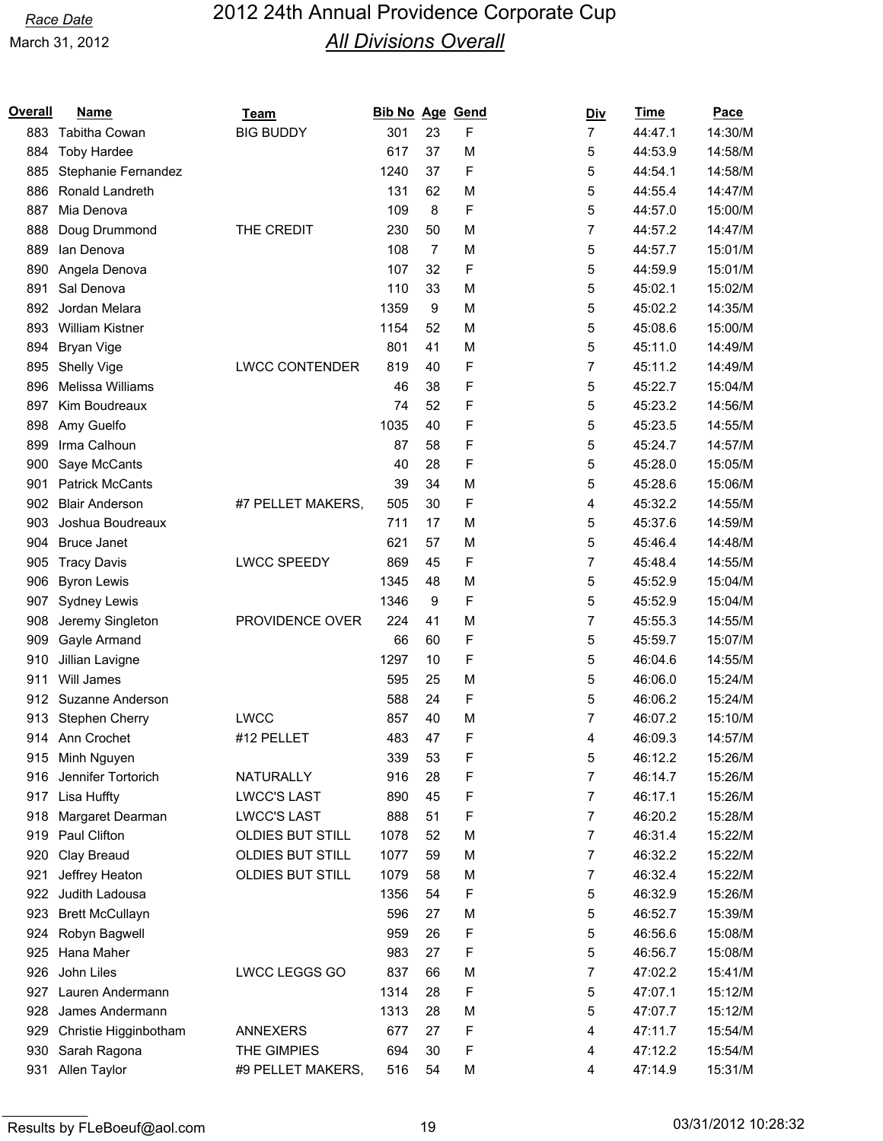| Overall | Name                   | Team                    | <b>Bib No Age Gend</b> |                |   | <u>Div</u>     | Time    | Pace    |
|---------|------------------------|-------------------------|------------------------|----------------|---|----------------|---------|---------|
| 883     | Tabitha Cowan          | <b>BIG BUDDY</b>        | 301                    | 23             | F | $\overline{7}$ | 44:47.1 | 14:30/M |
| 884     | <b>Toby Hardee</b>     |                         | 617                    | 37             | M | 5              | 44:53.9 | 14:58/M |
| 885     | Stephanie Fernandez    |                         | 1240                   | 37             | F | 5              | 44:54.1 | 14:58/M |
| 886     | Ronald Landreth        |                         | 131                    | 62             | M | 5              | 44:55.4 | 14:47/M |
| 887     | Mia Denova             |                         | 109                    | 8              | F | 5              | 44:57.0 | 15:00/M |
| 888     | Doug Drummond          | THE CREDIT              | 230                    | 50             | M | 7              | 44:57.2 | 14:47/M |
| 889     | lan Denova             |                         | 108                    | $\overline{7}$ | M | 5              | 44:57.7 | 15:01/M |
| 890     | Angela Denova          |                         | 107                    | 32             | F | 5              | 44:59.9 | 15:01/M |
| 891     | Sal Denova             |                         | 110                    | 33             | M | 5              | 45:02.1 | 15:02/M |
| 892     | Jordan Melara          |                         | 1359                   | 9              | M | 5              | 45:02.2 | 14:35/M |
| 893     | <b>William Kistner</b> |                         | 1154                   | 52             | M | 5              | 45:08.6 | 15:00/M |
| 894     | <b>Bryan Vige</b>      |                         | 801                    | 41             | M | 5              | 45:11.0 | 14:49/M |
| 895     | Shelly Vige            | <b>LWCC CONTENDER</b>   | 819                    | 40             | F | 7              | 45:11.2 | 14:49/M |
| 896     | Melissa Williams       |                         | 46                     | 38             | F | 5              | 45:22.7 | 15:04/M |
| 897     | Kim Boudreaux          |                         | 74                     | 52             | F | 5              | 45:23.2 | 14:56/M |
| 898     | Amy Guelfo             |                         | 1035                   | 40             | F | 5              | 45:23.5 | 14:55/M |
| 899     | Irma Calhoun           |                         | 87                     | 58             | F | 5              | 45:24.7 | 14:57/M |
| 900     | Saye McCants           |                         | 40                     | 28             | F | 5              | 45:28.0 | 15:05/M |
| 901     | <b>Patrick McCants</b> |                         | 39                     | 34             | M | 5              | 45:28.6 | 15:06/M |
| 902     | <b>Blair Anderson</b>  | #7 PELLET MAKERS,       | 505                    | 30             | F | 4              | 45:32.2 | 14:55/M |
| 903     | Joshua Boudreaux       |                         | 711                    | 17             | M | 5              | 45:37.6 | 14:59/M |
| 904     | <b>Bruce Janet</b>     |                         | 621                    | 57             | M | 5              | 45:46.4 | 14:48/M |
| 905     | <b>Tracy Davis</b>     | <b>LWCC SPEEDY</b>      | 869                    | 45             | F | 7              | 45:48.4 | 14:55/M |
| 906     | <b>Byron Lewis</b>     |                         | 1345                   | 48             | M | 5              | 45:52.9 | 15:04/M |
| 907     | Sydney Lewis           |                         | 1346                   | 9              | F | 5              | 45:52.9 | 15:04/M |
| 908     | Jeremy Singleton       | PROVIDENCE OVER         | 224                    | 41             | M | 7              | 45:55.3 | 14:55/M |
| 909     | Gayle Armand           |                         | 66                     | 60             | F | 5              | 45:59.7 | 15:07/M |
| 910     | Jillian Lavigne        |                         | 1297                   | 10             | F | 5              | 46:04.6 | 14:55/M |
| 911     | Will James             |                         | 595                    | 25             | M | 5              | 46:06.0 | 15:24/M |
| 912     | Suzanne Anderson       |                         | 588                    | 24             | F | 5              | 46:06.2 | 15:24/M |
| 913     | Stephen Cherry         | <b>LWCC</b>             | 857                    | 40             | M | 7              | 46:07.2 | 15:10/M |
|         | 914 Ann Crochet        | #12 PELLET              | 483                    | 47             | F | 4              | 46:09.3 | 14:57/M |
| 915     | Minh Nguyen            |                         | 339                    | 53             | F | 5              | 46:12.2 | 15:26/M |
| 916     | Jennifer Tortorich     | NATURALLY               | 916                    | 28             | F | 7              | 46:14.7 | 15:26/M |
| 917     | Lisa Huffty            | <b>LWCC'S LAST</b>      | 890                    | 45             | F | 7              | 46:17.1 | 15:26/M |
| 918     | Margaret Dearman       | <b>LWCC'S LAST</b>      | 888                    | 51             | F | 7              | 46:20.2 | 15:28/M |
| 919     | Paul Clifton           | <b>OLDIES BUT STILL</b> | 1078                   | 52             | M | 7              | 46:31.4 | 15:22/M |
| 920     | Clay Breaud            | <b>OLDIES BUT STILL</b> | 1077                   | 59             | M | 7              | 46:32.2 | 15:22/M |
| 921     | Jeffrey Heaton         | <b>OLDIES BUT STILL</b> | 1079                   | 58             | M | 7              | 46:32.4 | 15:22/M |
| 922     | Judith Ladousa         |                         | 1356                   | 54             | F | 5              | 46:32.9 | 15:26/M |
| 923     | <b>Brett McCullayn</b> |                         | 596                    | 27             | M | 5              | 46:52.7 | 15:39/M |
| 924     | Robyn Bagwell          |                         | 959                    | 26             | F | 5              | 46:56.6 | 15:08/M |
| 925     | Hana Maher             |                         | 983                    | 27             | F | 5              | 46:56.7 | 15:08/M |
| 926     | John Liles             | LWCC LEGGS GO           | 837                    | 66             | M | 7              | 47:02.2 | 15:41/M |
| 927     | Lauren Andermann       |                         | 1314                   | 28             | F | 5              | 47:07.1 | 15:12/M |
| 928     | James Andermann        |                         | 1313                   | 28             | M | 5              | 47:07.7 | 15:12/M |
| 929     | Christie Higginbotham  | <b>ANNEXERS</b>         | 677                    | 27             | F | 4              | 47:11.7 | 15:54/M |
| 930     | Sarah Ragona           | THE GIMPIES             | 694                    | 30             | F | 4              | 47:12.2 | 15:54/M |
| 931     | Allen Taylor           | #9 PELLET MAKERS,       | 516                    | 54             | M | 4              | 47:14.9 | 15:31/M |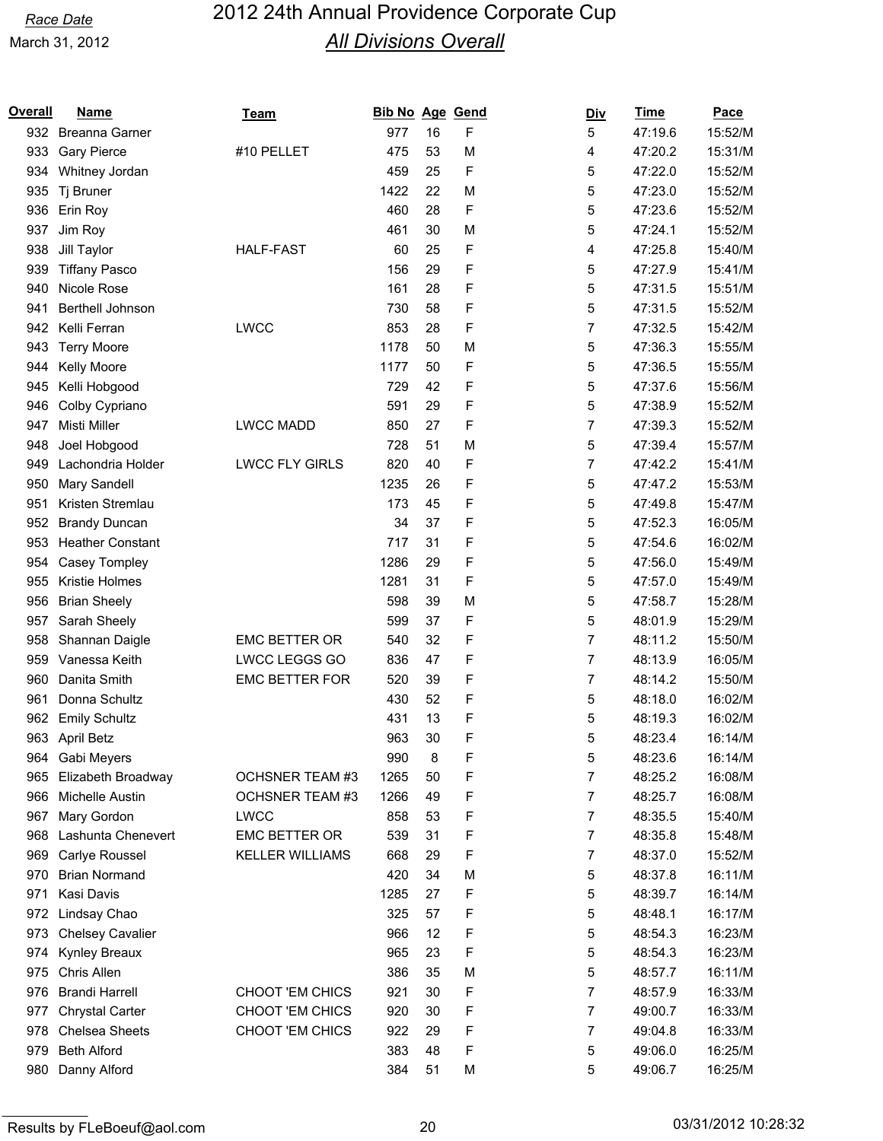| <b>Overall</b> | <b>Name</b>             | <u>Team</u>            | Bib No Age Gend |    |   | <u>Div</u> | <b>Time</b> | Pace    |
|----------------|-------------------------|------------------------|-----------------|----|---|------------|-------------|---------|
|                | 932 Breanna Garner      |                        | 977             | 16 | F | 5          | 47:19.6     | 15:52/M |
| 933            | <b>Gary Pierce</b>      | #10 PELLET             | 475             | 53 | M | 4          | 47:20.2     | 15:31/M |
| 934            | Whitney Jordan          |                        | 459             | 25 | F | 5          | 47:22.0     | 15:52/M |
| 935            | Tj Bruner               |                        | 1422            | 22 | M | 5          | 47:23.0     | 15:52/M |
| 936            | Erin Roy                |                        | 460             | 28 | F | 5          | 47:23.6     | 15:52/M |
| 937            | Jim Roy                 |                        | 461             | 30 | M | 5          | 47:24.1     | 15:52/M |
| 938            | Jill Taylor             | <b>HALF-FAST</b>       | 60              | 25 | F | 4          | 47:25.8     | 15:40/M |
| 939            | <b>Tiffany Pasco</b>    |                        | 156             | 29 | F | 5          | 47:27.9     | 15:41/M |
| 940            | Nicole Rose             |                        | 161             | 28 | F | 5          | 47:31.5     | 15:51/M |
| 941            | Berthell Johnson        |                        | 730             | 58 | F | 5          | 47:31.5     | 15:52/M |
| 942            | Kelli Ferran            | <b>LWCC</b>            | 853             | 28 | F | 7          | 47:32.5     | 15:42/M |
| 943            | <b>Terry Moore</b>      |                        | 1178            | 50 | M | 5          | 47:36.3     | 15:55/M |
| 944            | Kelly Moore             |                        | 1177            | 50 | F | 5          | 47:36.5     | 15:55/M |
| 945            | Kelli Hobgood           |                        | 729             | 42 | F | 5          | 47:37.6     | 15:56/M |
| 946            | Colby Cypriano          |                        | 591             | 29 | F | 5          | 47:38.9     | 15:52/M |
| 947            | Misti Miller            | <b>LWCC MADD</b>       | 850             | 27 | F | 7          | 47:39.3     | 15:52/M |
| 948            | Joel Hobgood            |                        | 728             | 51 | M | 5          | 47:39.4     | 15:57/M |
| 949            | Lachondria Holder       | <b>LWCC FLY GIRLS</b>  | 820             | 40 | F | 7          | 47:42.2     | 15:41/M |
| 950            | Mary Sandell            |                        | 1235            | 26 | F | 5          | 47:47.2     | 15:53/M |
| 951            | Kristen Stremlau        |                        | 173             | 45 | F | 5          | 47:49.8     | 15:47/M |
| 952            | <b>Brandy Duncan</b>    |                        | 34              | 37 | F | 5          | 47:52.3     | 16:05/M |
| 953            | <b>Heather Constant</b> |                        | 717             | 31 | F | 5          | 47:54.6     | 16:02/M |
| 954            | Casey Tompley           |                        | 1286            | 29 | F | 5          | 47:56.0     | 15:49/M |
| 955            | Kristie Holmes          |                        | 1281            | 31 | F | 5          | 47:57.0     | 15:49/M |
| 956            | <b>Brian Sheely</b>     |                        | 598             | 39 | M | 5          | 47:58.7     | 15:28/M |
| 957            | Sarah Sheely            |                        | 599             | 37 | F | 5          | 48:01.9     | 15:29/M |
| 958            | Shannan Daigle          | <b>EMC BETTER OR</b>   | 540             | 32 | F | 7          | 48:11.2     | 15:50/M |
| 959            | Vanessa Keith           | LWCC LEGGS GO          | 836             | 47 | F | 7          | 48:13.9     | 16:05/M |
| 960            | Danita Smith            | <b>EMC BETTER FOR</b>  | 520             | 39 | F | 7          | 48:14.2     | 15:50/M |
| 961            | Donna Schultz           |                        | 430             | 52 | F | 5          | 48:18.0     | 16:02/M |
| 962            | <b>Emily Schultz</b>    |                        | 431             | 13 | F | 5          | 48:19.3     | 16:02/M |
| 963            | April Betz              |                        | 963             | 30 | F | 5          | 48:23.4     | 16:14/M |
| 964            | Gabi Meyers             |                        | 990             | 8  | F | 5          | 48:23.6     | 16:14/M |
| 965            | Elizabeth Broadway      | OCHSNER TEAM #3        | 1265            | 50 | F | 7          | 48:25.2     | 16:08/M |
| 966            | Michelle Austin         | <b>OCHSNER TEAM #3</b> | 1266            | 49 | F | 7          | 48:25.7     | 16:08/M |
| 967            | Mary Gordon             | <b>LWCC</b>            | 858             | 53 | F | 7          | 48:35.5     | 15:40/M |
| 968            | Lashunta Chenevert      | <b>EMC BETTER OR</b>   | 539             | 31 | F | 7          | 48:35.8     | 15:48/M |
| 969            | Carlye Roussel          | <b>KELLER WILLIAMS</b> | 668             | 29 | F | 7          | 48:37.0     | 15:52/M |
| 970            | <b>Brian Normand</b>    |                        | 420             | 34 | M | 5          | 48:37.8     | 16:11/M |
| 971            | Kasi Davis              |                        | 1285            | 27 | F | 5          | 48:39.7     | 16:14/M |
|                | 972 Lindsay Chao        |                        | 325             | 57 | F | 5          | 48:48.1     | 16:17/M |
| 973            | Chelsey Cavalier        |                        | 966             | 12 | F | 5          | 48:54.3     | 16:23/M |
| 974            | Kynley Breaux           |                        | 965             | 23 | F | 5          | 48:54.3     | 16:23/M |
| 975            | Chris Allen             |                        | 386             | 35 | M | 5          | 48:57.7     | 16:11/M |
| 976            | <b>Brandi Harrell</b>   | CHOOT 'EM CHICS        | 921             | 30 | F | 7          | 48:57.9     | 16:33/M |
| 977            | <b>Chrystal Carter</b>  | CHOOT 'EM CHICS        | 920             | 30 | F | 7          | 49:00.7     | 16:33/M |
| 978            | <b>Chelsea Sheets</b>   | CHOOT 'EM CHICS        | 922             | 29 | F | 7          | 49:04.8     | 16:33/M |
| 979            | <b>Beth Alford</b>      |                        | 383             | 48 | F | 5          | 49:06.0     | 16:25/M |
| 980            | Danny Alford            |                        | 384             | 51 | M | 5          | 49:06.7     | 16:25/M |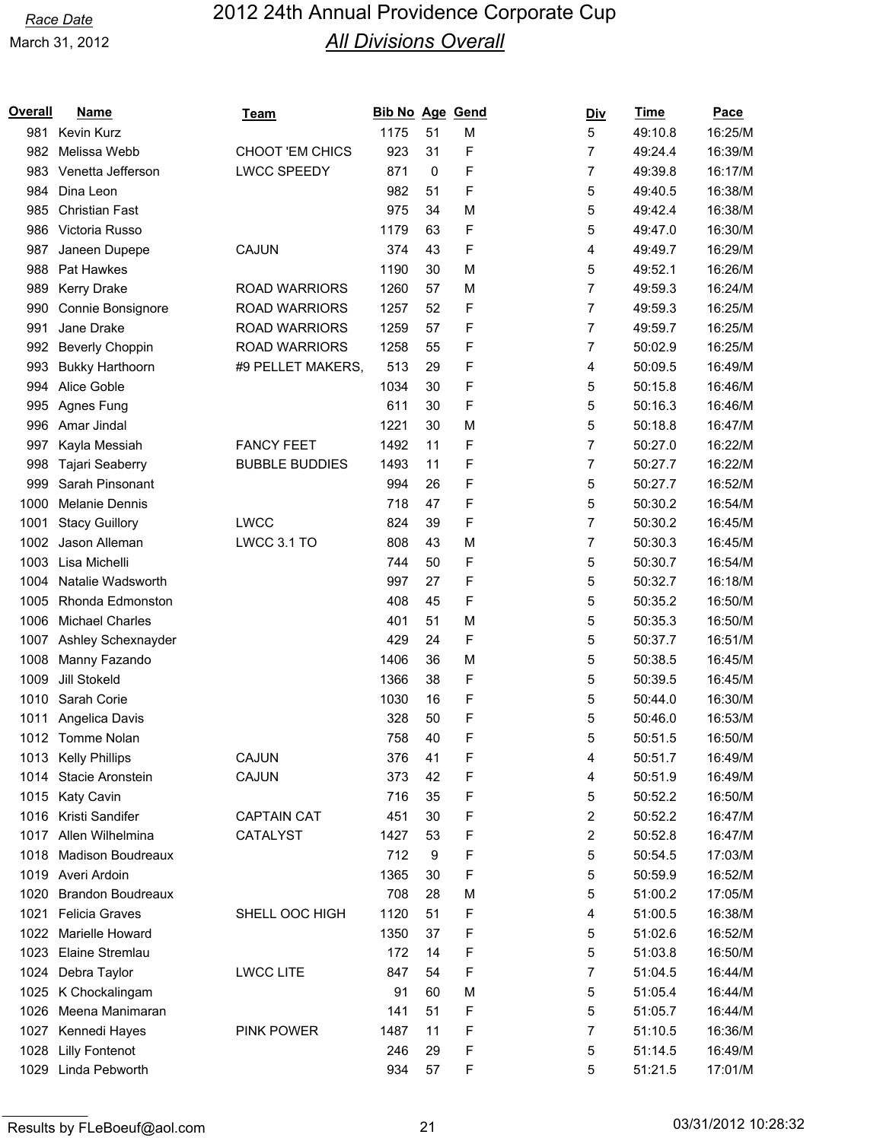| <u>Overall</u> | <b>Name</b>              | Team                  | <b>Bib No Age Gend</b> |    |   | <u>Div</u>     | <b>Time</b> | Pace    |
|----------------|--------------------------|-----------------------|------------------------|----|---|----------------|-------------|---------|
| 981            | Kevin Kurz               |                       | 1175                   | 51 | M | 5              | 49:10.8     | 16:25/M |
| 982            | Melissa Webb             | CHOOT 'EM CHICS       | 923                    | 31 | F | 7              | 49:24.4     | 16:39/M |
| 983            | Venetta Jefferson        | <b>LWCC SPEEDY</b>    | 871                    | 0  | F | 7              | 49:39.8     | 16:17/M |
| 984            | Dina Leon                |                       | 982                    | 51 | F | 5              | 49:40.5     | 16:38/M |
| 985            | <b>Christian Fast</b>    |                       | 975                    | 34 | M | 5              | 49:42.4     | 16:38/M |
| 986            | Victoria Russo           |                       | 1179                   | 63 | F | 5              | 49:47.0     | 16:30/M |
| 987            | Janeen Dupepe            | CAJUN                 | 374                    | 43 | F | 4              | 49:49.7     | 16:29/M |
| 988            | Pat Hawkes               |                       | 1190                   | 30 | M | 5              | 49:52.1     | 16:26/M |
| 989            | <b>Kerry Drake</b>       | <b>ROAD WARRIORS</b>  | 1260                   | 57 | M | $\overline{7}$ | 49:59.3     | 16:24/M |
| 990            | Connie Bonsignore        | <b>ROAD WARRIORS</b>  | 1257                   | 52 | F | 7              | 49:59.3     | 16:25/M |
| 991            | Jane Drake               | <b>ROAD WARRIORS</b>  | 1259                   | 57 | F | 7              | 49:59.7     | 16:25/M |
| 992            | <b>Beverly Choppin</b>   | <b>ROAD WARRIORS</b>  | 1258                   | 55 | F | 7              | 50:02.9     | 16:25/M |
| 993            | <b>Bukky Harthoorn</b>   | #9 PELLET MAKERS,     | 513                    | 29 | F | 4              | 50:09.5     | 16:49/M |
| 994            | Alice Goble              |                       | 1034                   | 30 | F | 5              | 50:15.8     | 16:46/M |
| 995            | Agnes Fung               |                       | 611                    | 30 | F | 5              | 50:16.3     | 16:46/M |
| 996            | Amar Jindal              |                       | 1221                   | 30 | M | 5              | 50:18.8     | 16:47/M |
| 997            | Kayla Messiah            | <b>FANCY FEET</b>     | 1492                   | 11 | F | 7              | 50:27.0     | 16:22/M |
| 998            | Tajari Seaberry          | <b>BUBBLE BUDDIES</b> | 1493                   | 11 | F | 7              | 50:27.7     | 16:22/M |
| 999            | Sarah Pinsonant          |                       | 994                    | 26 | F | 5              | 50:27.7     | 16:52/M |
| 1000           | <b>Melanie Dennis</b>    |                       | 718                    | 47 | F | 5              | 50:30.2     | 16:54/M |
| 1001           | <b>Stacy Guillory</b>    | <b>LWCC</b>           | 824                    | 39 | F | 7              | 50:30.2     | 16:45/M |
| 1002           | Jason Alleman            | LWCC 3.1 TO           | 808                    | 43 | M | 7              | 50:30.3     | 16:45/M |
| 1003           | Lisa Michelli            |                       | 744                    | 50 | F | 5              | 50:30.7     | 16:54/M |
| 1004           | Natalie Wadsworth        |                       | 997                    | 27 | F | 5              | 50:32.7     | 16:18/M |
| 1005           | Rhonda Edmonston         |                       | 408                    | 45 | F | 5              | 50:35.2     | 16:50/M |
| 1006           | <b>Michael Charles</b>   |                       | 401                    | 51 | M | 5              | 50:35.3     | 16:50/M |
| 1007           | Ashley Schexnayder       |                       | 429                    | 24 | F | 5              | 50:37.7     | 16:51/M |
| 1008           | Manny Fazando            |                       | 1406                   | 36 | M | 5              | 50:38.5     | 16:45/M |
| 1009           | Jill Stokeld             |                       | 1366                   | 38 | F | 5              | 50:39.5     | 16:45/M |
| 1010           | Sarah Corie              |                       | 1030                   | 16 | F | 5              | 50:44.0     | 16:30/M |
| 1011           | Angelica Davis           |                       | 328                    | 50 | F | 5              | 50:46.0     | 16:53/M |
|                | 1012 Tomme Nolan         |                       | 758                    | 40 | F | 5              | 50:51.5     | 16:50/M |
| 1013           | <b>Kelly Phillips</b>    | CAJUN                 | 376                    | 41 | F | 4              | 50:51.7     | 16:49/M |
| 1014           | Stacie Aronstein         | CAJUN                 | 373                    | 42 | F | 4              | 50:51.9     | 16:49/M |
| 1015           | Katy Cavin               |                       | 716                    | 35 | F | 5              | 50:52.2     | 16:50/M |
| 1016           | Kristi Sandifer          | <b>CAPTAIN CAT</b>    | 451                    | 30 | F | 2              | 50:52.2     | 16:47/M |
| 1017           | Allen Wilhelmina         | CATALYST              | 1427                   | 53 | F | 2              | 50:52.8     | 16:47/M |
| 1018           | <b>Madison Boudreaux</b> |                       | 712                    | 9  | F | 5              | 50:54.5     | 17:03/M |
|                | 1019 Averi Ardoin        |                       | 1365                   | 30 | F | 5              | 50:59.9     | 16:52/M |
| 1020           | <b>Brandon Boudreaux</b> |                       | 708                    | 28 | M | 5              | 51:00.2     | 17:05/M |
| 1021           | <b>Felicia Graves</b>    | SHELL OOC HIGH        | 1120                   | 51 | F | 4              | 51:00.5     | 16:38/M |
| 1022           | Marielle Howard          |                       | 1350                   | 37 | F | 5              | 51:02.6     | 16:52/M |
| 1023           | Elaine Stremlau          |                       | 172                    | 14 | F | 5              | 51:03.8     | 16:50/M |
| 1024           | Debra Taylor             | <b>LWCC LITE</b>      | 847                    | 54 | F | 7              | 51:04.5     | 16:44/M |
| 1025           | K Chockalingam           |                       | 91                     | 60 | M | 5              | 51:05.4     | 16:44/M |
| 1026           | Meena Manimaran          |                       | 141                    | 51 | F | 5              | 51:05.7     | 16:44/M |
| 1027           | Kennedi Hayes            | <b>PINK POWER</b>     | 1487                   | 11 | F | 7              | 51:10.5     | 16:36/M |
| 1028           | <b>Lilly Fontenot</b>    |                       | 246                    | 29 | F | 5              | 51:14.5     | 16:49/M |
| 1029           | Linda Pebworth           |                       | 934                    | 57 | F | 5              | 51:21.5     | 17:01/M |
|                |                          |                       |                        |    |   |                |             |         |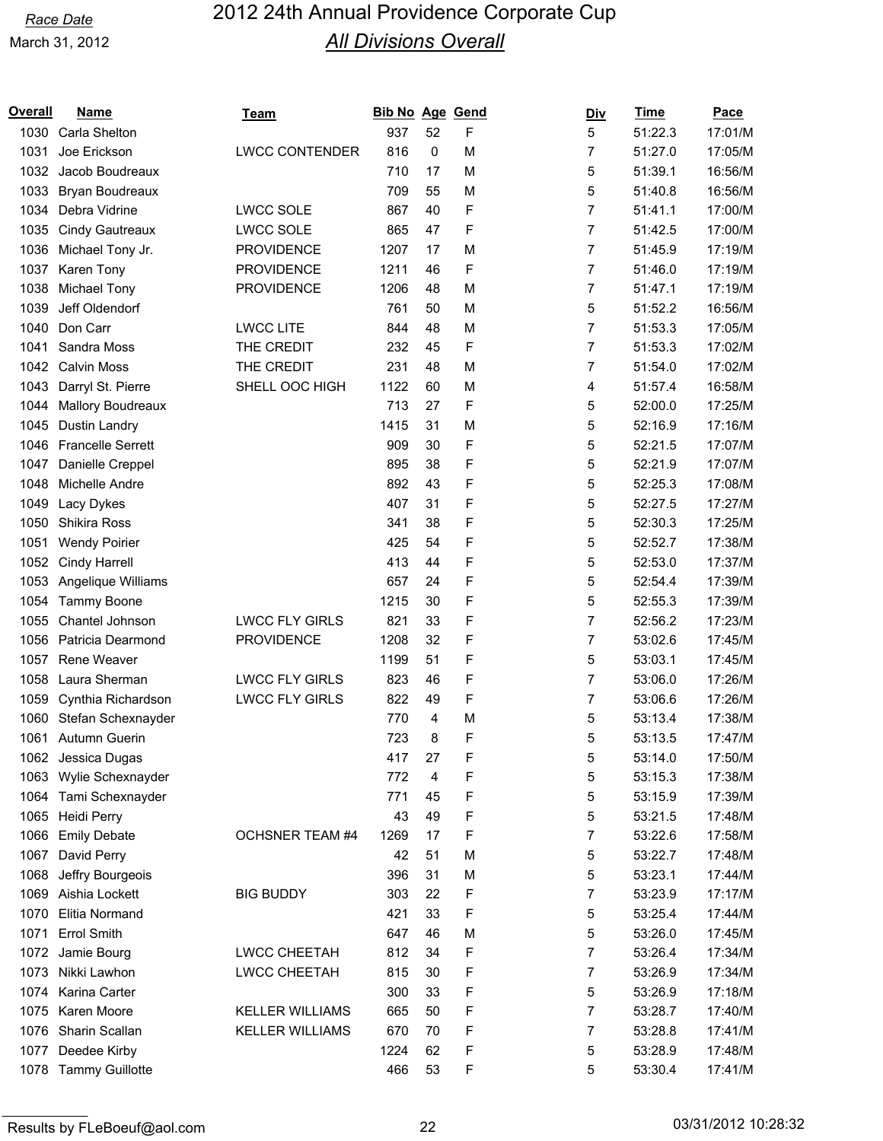| <u>Overall</u> | <b>Name</b>              | <u>Team</u>            | Bib No Age Gend |    |   | <u>Div</u> | <b>Time</b> | Pace    |
|----------------|--------------------------|------------------------|-----------------|----|---|------------|-------------|---------|
| 1030           | Carla Shelton            |                        | 937             | 52 | F | 5          | 51:22.3     | 17:01/M |
| 1031           | Joe Erickson             | <b>LWCC CONTENDER</b>  | 816             | 0  | M | 7          | 51:27.0     | 17:05/M |
| 1032           | Jacob Boudreaux          |                        | 710             | 17 | M | 5          | 51:39.1     | 16:56/M |
| 1033           | Bryan Boudreaux          |                        | 709             | 55 | M | 5          | 51:40.8     | 16:56/M |
| 1034           | Debra Vidrine            | <b>LWCC SOLE</b>       | 867             | 40 | F | 7          | 51:41.1     | 17:00/M |
| 1035           | <b>Cindy Gautreaux</b>   | <b>LWCC SOLE</b>       | 865             | 47 | F | 7          | 51:42.5     | 17:00/M |
| 1036           | Michael Tony Jr.         | <b>PROVIDENCE</b>      | 1207            | 17 | M | 7          | 51:45.9     | 17:19/M |
| 1037           | Karen Tony               | <b>PROVIDENCE</b>      | 1211            | 46 | F | 7          | 51:46.0     | 17:19/M |
| 1038           | Michael Tony             | <b>PROVIDENCE</b>      | 1206            | 48 | M | 7          | 51:47.1     | 17:19/M |
| 1039           | Jeff Oldendorf           |                        | 761             | 50 | M | 5          | 51:52.2     | 16:56/M |
| 1040           | Don Carr                 | <b>LWCC LITE</b>       | 844             | 48 | M | 7          | 51:53.3     | 17:05/M |
| 1041           | Sandra Moss              | THE CREDIT             | 232             | 45 | F | 7          | 51:53.3     | 17:02/M |
| 1042           | <b>Calvin Moss</b>       | THE CREDIT             | 231             | 48 | M | 7          | 51:54.0     | 17:02/M |
| 1043           | Darryl St. Pierre        | SHELL OOC HIGH         | 1122            | 60 | M | 4          | 51:57.4     | 16:58/M |
| 1044           | <b>Mallory Boudreaux</b> |                        | 713             | 27 | F | 5          | 52:00.0     | 17:25/M |
| 1045           | Dustin Landry            |                        | 1415            | 31 | M | 5          | 52:16.9     | 17:16/M |
| 1046           | <b>Francelle Serrett</b> |                        | 909             | 30 | F | 5          | 52:21.5     | 17:07/M |
| 1047           | Danielle Creppel         |                        | 895             | 38 | F | 5          | 52:21.9     | 17:07/M |
| 1048           | Michelle Andre           |                        | 892             | 43 | F | 5          | 52:25.3     | 17:08/M |
| 1049           | Lacy Dykes               |                        | 407             | 31 | F | 5          | 52:27.5     | 17:27/M |
| 1050           | Shikira Ross             |                        | 341             | 38 | F | 5          | 52:30.3     | 17:25/M |
| 1051           | <b>Wendy Poirier</b>     |                        | 425             | 54 | F | 5          | 52:52.7     | 17:38/M |
| 1052           | Cindy Harrell            |                        | 413             | 44 | F | 5          | 52:53.0     | 17:37/M |
| 1053           | Angelique Williams       |                        | 657             | 24 | F | 5          | 52:54.4     | 17:39/M |
| 1054           | Tammy Boone              |                        | 1215            | 30 | F | 5          | 52:55.3     | 17:39/M |
| 1055           | Chantel Johnson          | <b>LWCC FLY GIRLS</b>  | 821             | 33 | F | 7          | 52:56.2     | 17:23/M |
| 1056           | Patricia Dearmond        | <b>PROVIDENCE</b>      | 1208            | 32 | F | 7          | 53:02.6     | 17:45/M |
| 1057           | Rene Weaver              |                        | 1199            | 51 | F | 5          | 53:03.1     | 17:45/M |
| 1058           | Laura Sherman            | <b>LWCC FLY GIRLS</b>  | 823             | 46 | F | 7          | 53:06.0     | 17:26/M |
| 1059           | Cynthia Richardson       | <b>LWCC FLY GIRLS</b>  | 822             | 49 | F | 7          | 53:06.6     | 17:26/M |
| 1060           | Stefan Schexnayder       |                        | 770             | 4  | M | 5          | 53:13.4     | 17:38/M |
| 1061           | Autumn Guerin            |                        | 723             | 8  | F | 5          | 53:13.5     | 17:47/M |
|                | 1062 Jessica Dugas       |                        | 417             | 27 | F | 5          | 53:14.0     | 17:50/M |
| 1063           | Wylie Schexnayder        |                        | 772             | 4  | F | 5          | 53:15.3     | 17:38/M |
| 1064           | Tami Schexnayder         |                        | 771             | 45 | F | 5          | 53:15.9     | 17:39/M |
| 1065           | <b>Heidi Perry</b>       |                        | 43              | 49 | F | 5          | 53:21.5     | 17:48/M |
| 1066           | <b>Emily Debate</b>      | OCHSNER TEAM #4        | 1269            | 17 | F | 7          | 53:22.6     | 17:58/M |
| 1067           | David Perry              |                        | 42              | 51 | M | 5          | 53:22.7     | 17:48/M |
| 1068           | Jeffry Bourgeois         |                        | 396             | 31 | M | 5          | 53:23.1     | 17:44/M |
| 1069           | Aishia Lockett           | <b>BIG BUDDY</b>       | 303             | 22 | F | 7          | 53:23.9     | 17:17/M |
| 1070           | Elitia Normand           |                        | 421             | 33 | F | 5          | 53:25.4     | 17:44/M |
| 1071           | <b>Errol Smith</b>       |                        | 647             | 46 | M | 5          | 53:26.0     | 17:45/M |
| 1072           | Jamie Bourg              | LWCC CHEETAH           | 812             | 34 | F | 7          | 53:26.4     | 17:34/M |
| 1073           | Nikki Lawhon             | LWCC CHEETAH           | 815             | 30 | F | 7          | 53:26.9     | 17:34/M |
| 1074           | Karina Carter            |                        | 300             | 33 | F | 5          | 53:26.9     | 17:18/M |
| 1075           | Karen Moore              | <b>KELLER WILLIAMS</b> | 665             | 50 | F | 7          | 53:28.7     | 17:40/M |
| 1076           | Sharin Scallan           | <b>KELLER WILLIAMS</b> | 670             | 70 | F | 7          | 53:28.8     | 17:41/M |
| 1077           | Deedee Kirby             |                        | 1224            | 62 | F | 5          | 53:28.9     | 17:48/M |
|                | 1078 Tammy Guillotte     |                        | 466             | 53 | F | 5          | 53:30.4     | 17:41/M |
|                |                          |                        |                 |    |   |            |             |         |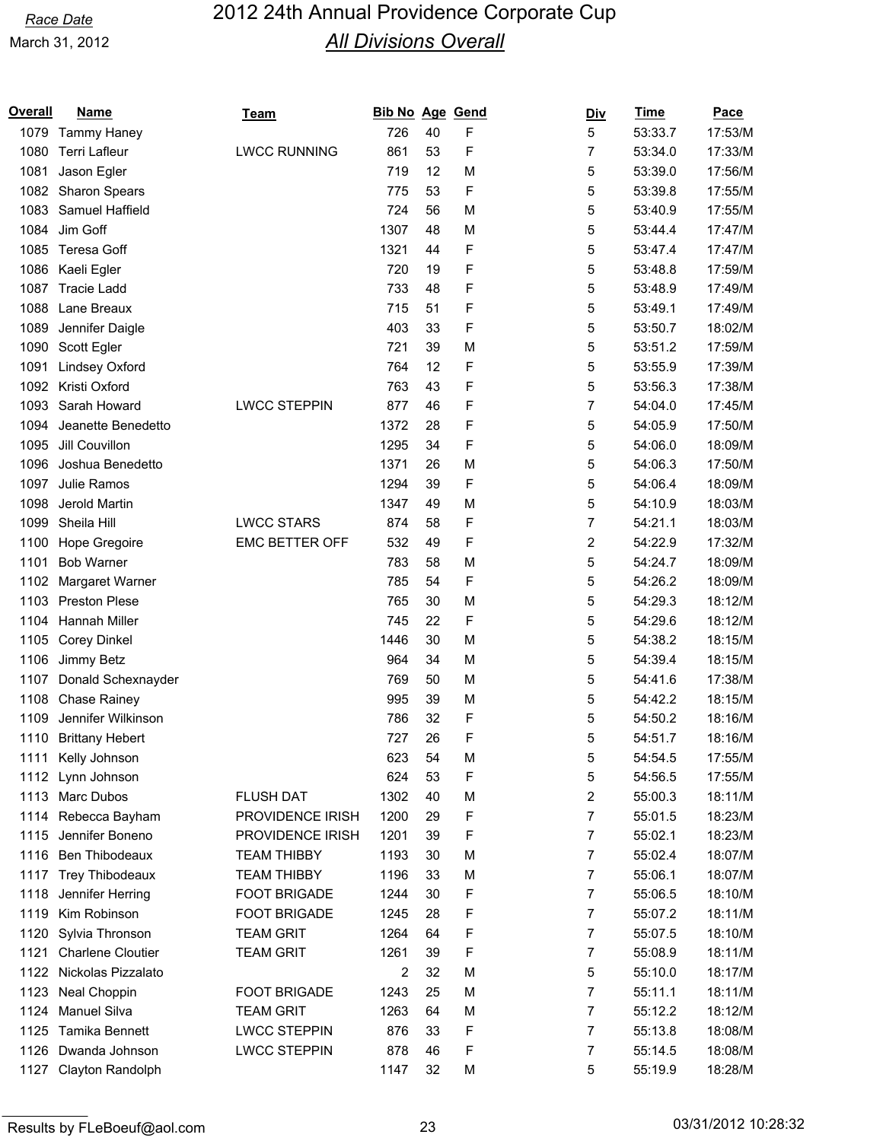| Overall | <b>Name</b>            | <b>Team</b>           | <b>Bib No Age Gend</b> |    |   | <u>Div</u>     | <b>Time</b> | Pace    |
|---------|------------------------|-----------------------|------------------------|----|---|----------------|-------------|---------|
| 1079    | Tammy Haney            |                       | 726                    | 40 | F | 5              | 53:33.7     | 17:53/M |
| 1080    | <b>Terri Lafleur</b>   | <b>LWCC RUNNING</b>   | 861                    | 53 | F | 7              | 53:34.0     | 17:33/M |
| 1081    | Jason Egler            |                       | 719                    | 12 | M | 5              | 53:39.0     | 17:56/M |
| 1082    | <b>Sharon Spears</b>   |                       | 775                    | 53 | F | 5              | 53:39.8     | 17:55/M |
| 1083    | Samuel Haffield        |                       | 724                    | 56 | M | 5              | 53:40.9     | 17:55/M |
| 1084    | Jim Goff               |                       | 1307                   | 48 | M | 5              | 53:44.4     | 17:47/M |
| 1085    | Teresa Goff            |                       | 1321                   | 44 | F | 5              | 53:47.4     | 17:47/M |
| 1086    | Kaeli Egler            |                       | 720                    | 19 | F | 5              | 53:48.8     | 17:59/M |
| 1087    | <b>Tracie Ladd</b>     |                       | 733                    | 48 | F | 5              | 53:48.9     | 17:49/M |
| 1088    | Lane Breaux            |                       | 715                    | 51 | F | 5              | 53:49.1     | 17:49/M |
| 1089    | Jennifer Daigle        |                       | 403                    | 33 | F | 5              | 53:50.7     | 18:02/M |
| 1090    | Scott Egler            |                       | 721                    | 39 | M | 5              | 53:51.2     | 17:59/M |
| 1091    | <b>Lindsey Oxford</b>  |                       | 764                    | 12 | F | 5              | 53:55.9     | 17:39/M |
| 1092    | Kristi Oxford          |                       | 763                    | 43 | F | 5              | 53:56.3     | 17:38/M |
| 1093    | Sarah Howard           | <b>LWCC STEPPIN</b>   | 877                    | 46 | F | $\overline{7}$ | 54:04.0     | 17:45/M |
| 1094    | Jeanette Benedetto     |                       | 1372                   | 28 | F | 5              | 54:05.9     | 17:50/M |
| 1095    | Jill Couvillon         |                       | 1295                   | 34 | F | 5              | 54:06.0     | 18:09/M |
| 1096    | Joshua Benedetto       |                       | 1371                   | 26 | M | 5              | 54:06.3     | 17:50/M |
| 1097    | Julie Ramos            |                       | 1294                   | 39 | F | 5              | 54:06.4     | 18:09/M |
| 1098    | Jerold Martin          |                       | 1347                   | 49 | M | 5              | 54:10.9     | 18:03/M |
| 1099    | Sheila Hill            | <b>LWCC STARS</b>     | 874                    | 58 | F | 7              | 54:21.1     | 18:03/M |
| 1100    | Hope Gregoire          | <b>EMC BETTER OFF</b> | 532                    | 49 | F | 2              | 54:22.9     | 17:32/M |
| 1101    | <b>Bob Warner</b>      |                       | 783                    | 58 | M | 5              | 54:24.7     | 18:09/M |
| 1102    | Margaret Warner        |                       | 785                    | 54 | F | 5              | 54:26.2     | 18:09/M |
| 1103    | <b>Preston Plese</b>   |                       | 765                    | 30 | M | 5              | 54:29.3     | 18:12/M |
| 1104    | Hannah Miller          |                       | 745                    | 22 | F | 5              | 54:29.6     | 18:12/M |
| 1105    | <b>Corey Dinkel</b>    |                       | 1446                   | 30 | M | 5              | 54:38.2     | 18:15/M |
| 1106    | Jimmy Betz             |                       | 964                    | 34 | M | 5              | 54:39.4     | 18:15/M |
| 1107    | Donald Schexnayder     |                       | 769                    | 50 | M | 5              | 54:41.6     | 17:38/M |
| 1108    | Chase Rainey           |                       | 995                    | 39 | M | 5              | 54:42.2     | 18:15/M |
| 1109    | Jennifer Wilkinson     |                       | 786                    | 32 | F | 5              | 54:50.2     | 18:16/M |
| 1110    | <b>Brittany Hebert</b> |                       | 727                    | 26 | F | 5              | 54:51.7     | 18:16/M |
| 1111    | Kelly Johnson          |                       | 623                    | 54 | M | 5              | 54:54.5     | 17:55/M |
| 1112    | Lynn Johnson           |                       | 624                    | 53 | F | 5              | 54:56.5     | 17:55/M |
| 1113    | Marc Dubos             | <b>FLUSH DAT</b>      | 1302                   | 40 | M | 2              | 55:00.3     | 18:11/M |
|         | 1114 Rebecca Bayham    | PROVIDENCE IRISH      | 1200                   | 29 | F | 7              | 55:01.5     | 18:23/M |
| 1115    | Jennifer Boneno        | PROVIDENCE IRISH      | 1201                   | 39 | F | 7              | 55:02.1     | 18:23/M |
| 1116    | Ben Thibodeaux         | <b>TEAM THIBBY</b>    | 1193                   | 30 | M | 7              | 55:02.4     | 18:07/M |
| 1117    | Trey Thibodeaux        | <b>TEAM THIBBY</b>    | 1196                   | 33 | M | 7              | 55:06.1     | 18:07/M |
| 1118    | Jennifer Herring       | <b>FOOT BRIGADE</b>   | 1244                   | 30 | F | 7              | 55:06.5     | 18:10/M |
| 1119    | Kim Robinson           | <b>FOOT BRIGADE</b>   | 1245                   | 28 | F | 7              | 55:07.2     | 18:11/M |
| 1120    | Sylvia Thronson        | <b>TEAM GRIT</b>      | 1264                   | 64 | F | 7              | 55:07.5     | 18:10/M |
| 1121    | Charlene Cloutier      | <b>TEAM GRIT</b>      | 1261                   | 39 | F | 7              | 55:08.9     | 18:11/M |
| 1122    | Nickolas Pizzalato     |                       | 2                      | 32 | M | 5              | 55:10.0     | 18:17/M |
| 1123    | Neal Choppin           | <b>FOOT BRIGADE</b>   | 1243                   | 25 | M | 7              | 55:11.1     | 18:11/M |
| 1124    | <b>Manuel Silva</b>    | <b>TEAM GRIT</b>      | 1263                   | 64 | M | 7              | 55:12.2     | 18:12/M |
| 1125    | Tamika Bennett         | <b>LWCC STEPPIN</b>   | 876                    | 33 | F | 7              | 55:13.8     | 18:08/M |
| 1126    | Dwanda Johnson         | <b>LWCC STEPPIN</b>   | 878                    | 46 | F | 7              | 55:14.5     | 18:08/M |
| 1127    | Clayton Randolph       |                       | 1147                   | 32 | M | 5              | 55:19.9     | 18:28/M |
|         |                        |                       |                        |    |   |                |             |         |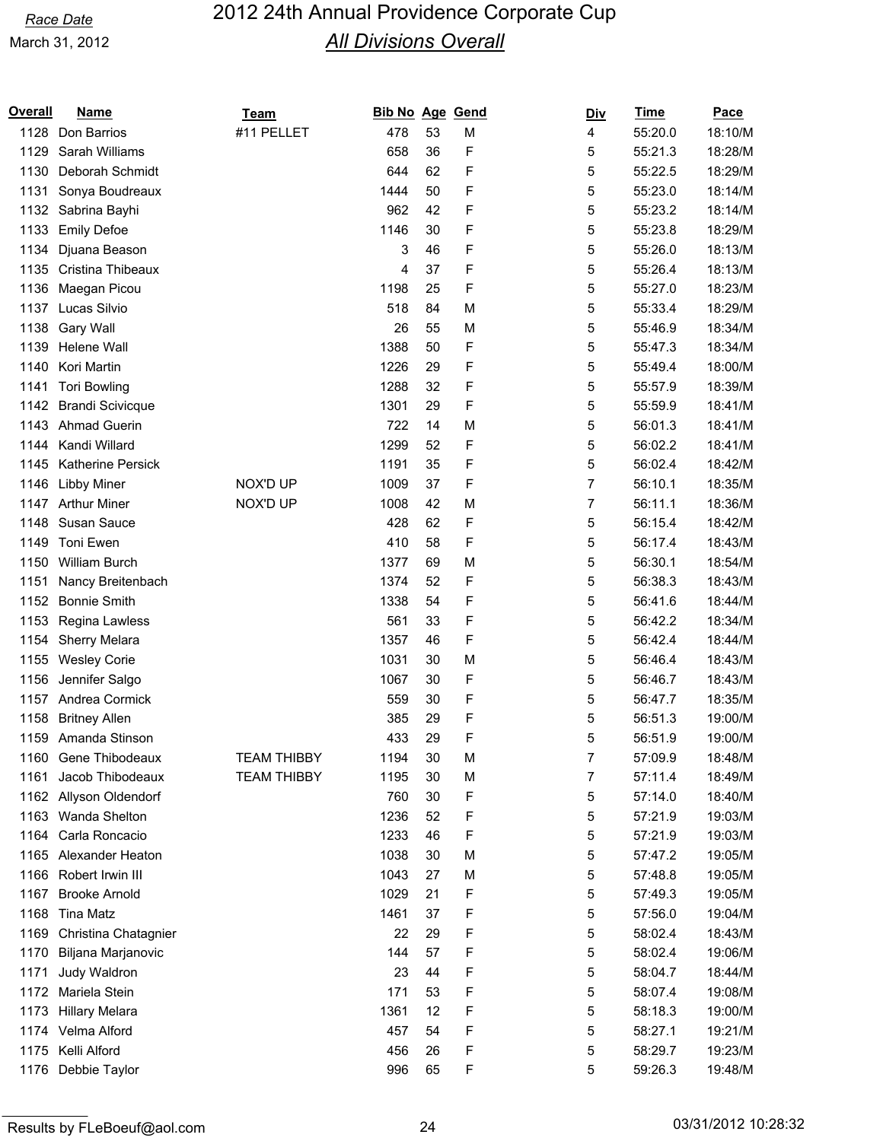| <b>Overall</b> | <b>Name</b>              | Team               | <b>Bib No Age</b> |    | Gend | <u>Div</u> | <b>Time</b> | Pace    |
|----------------|--------------------------|--------------------|-------------------|----|------|------------|-------------|---------|
| 1128           | Don Barrios              | #11 PELLET         | 478               | 53 | M    | 4          | 55:20.0     | 18:10/M |
| 1129           | Sarah Williams           |                    | 658               | 36 | F    | 5          | 55:21.3     | 18:28/M |
| 1130           | Deborah Schmidt          |                    | 644               | 62 | F    | 5          | 55:22.5     | 18:29/M |
| 1131           | Sonya Boudreaux          |                    | 1444              | 50 | F    | 5          | 55:23.0     | 18:14/M |
| 1132           | Sabrina Bayhi            |                    | 962               | 42 | F    | 5          | 55:23.2     | 18:14/M |
| 1133           | <b>Emily Defoe</b>       |                    | 1146              | 30 | F    | 5          | 55:23.8     | 18:29/M |
| 1134           | Djuana Beason            |                    | 3                 | 46 | F    | 5          | 55:26.0     | 18:13/M |
| 1135           | Cristina Thibeaux        |                    | 4                 | 37 | F    | 5          | 55:26.4     | 18:13/M |
| 1136           | Maegan Picou             |                    | 1198              | 25 | F    | 5          | 55:27.0     | 18:23/M |
| 1137           | Lucas Silvio             |                    | 518               | 84 | M    | 5          | 55:33.4     | 18:29/M |
| 1138           | Gary Wall                |                    | 26                | 55 | M    | 5          | 55:46.9     | 18:34/M |
| 1139           | Helene Wall              |                    | 1388              | 50 | F    | 5          | 55:47.3     | 18:34/M |
| 1140           | Kori Martin              |                    | 1226              | 29 | F    | 5          | 55:49.4     | 18:00/M |
| 1141           | <b>Tori Bowling</b>      |                    | 1288              | 32 | F    | 5          | 55:57.9     | 18:39/M |
| 1142           | <b>Brandi Scivicque</b>  |                    | 1301              | 29 | F    | 5          | 55:59.9     | 18:41/M |
| 1143           | <b>Ahmad Guerin</b>      |                    | 722               | 14 | M    | 5          | 56:01.3     | 18:41/M |
| 1144           | Kandi Willard            |                    | 1299              | 52 | F    | 5          | 56:02.2     | 18:41/M |
| 1145           | <b>Katherine Persick</b> |                    | 1191              | 35 | F    | 5          | 56:02.4     | 18:42/M |
| 1146           | Libby Miner              | NOX'D UP           | 1009              | 37 | F    | 7          | 56:10.1     | 18:35/M |
| 1147           | <b>Arthur Miner</b>      | NOX'D UP           | 1008              | 42 | M    | 7          | 56:11.1     | 18:36/M |
| 1148           | Susan Sauce              |                    | 428               | 62 | F    | 5          | 56:15.4     | 18:42/M |
|                |                          |                    |                   |    |      |            |             |         |
| 1149           | Toni Ewen                |                    | 410               | 58 | F    | 5          | 56:17.4     | 18:43/M |
| 1150           | William Burch            |                    | 1377              | 69 | M    | 5          | 56:30.1     | 18:54/M |
| 1151           | Nancy Breitenbach        |                    | 1374              | 52 | F    | 5          | 56:38.3     | 18:43/M |
| 1152           | <b>Bonnie Smith</b>      |                    | 1338              | 54 | F    | 5          | 56:41.6     | 18:44/M |
| 1153           | Regina Lawless           |                    | 561               | 33 | F    | 5          | 56:42.2     | 18:34/M |
| 1154           | Sherry Melara            |                    | 1357              | 46 | F    | 5          | 56:42.4     | 18:44/M |
| 1155           | <b>Wesley Corie</b>      |                    | 1031              | 30 | M    | 5          | 56:46.4     | 18:43/M |
| 1156           | Jennifer Salgo           |                    | 1067              | 30 | F    | 5          | 56:46.7     | 18:43/M |
| 1157           | Andrea Cormick           |                    | 559               | 30 | F    | 5          | 56:47.7     | 18:35/M |
| 1158           | <b>Britney Allen</b>     |                    | 385               | 29 | F    | 5          | 56:51.3     | 19:00/M |
| 1159           | Amanda Stinson           |                    | 433               | 29 | F    | 5          | 56:51.9     | 19:00/M |
| 1160           | Gene Thibodeaux          | <b>TEAM THIBBY</b> | 1194              | 30 | M    | 7          | 57:09.9     | 18:48/M |
| 1161           | Jacob Thibodeaux         | <b>TEAM THIBBY</b> | 1195              | 30 | M    | 7          | 57:11.4     | 18:49/M |
| 1162           | Allyson Oldendorf        |                    | 760               | 30 | F    | 5          | 57:14.0     | 18:40/M |
|                | 1163 Wanda Shelton       |                    | 1236              | 52 | F    | 5          | 57:21.9     | 19:03/M |
| 1164           | Carla Roncacio           |                    | 1233              | 46 | F    | 5          | 57:21.9     | 19:03/M |
| 1165           | Alexander Heaton         |                    | 1038              | 30 | M    | 5          | 57:47.2     | 19:05/M |
| 1166           | Robert Irwin III         |                    | 1043              | 27 | M    | 5          | 57:48.8     | 19:05/M |
| 1167           | <b>Brooke Arnold</b>     |                    | 1029              | 21 | F    | 5          | 57:49.3     | 19:05/M |
| 1168           | <b>Tina Matz</b>         |                    | 1461              | 37 | F    | 5          | 57:56.0     | 19:04/M |
| 1169           | Christina Chatagnier     |                    | 22                | 29 | F    | 5          | 58:02.4     | 18:43/M |
| 1170           | Biljana Marjanovic       |                    | 144               | 57 | F    | 5          | 58:02.4     | 19:06/M |
| 1171           | Judy Waldron             |                    | 23                | 44 | F    | 5          | 58:04.7     | 18:44/M |
| 1172           | Mariela Stein            |                    | 171               | 53 | F    | 5          | 58:07.4     | 19:08/M |
| 1173           | <b>Hillary Melara</b>    |                    | 1361              | 12 | F    | 5          | 58:18.3     | 19:00/M |
|                | 1174 Velma Alford        |                    | 457               | 54 | F    | 5          | 58:27.1     | 19:21/M |
|                | 1175 Kelli Alford        |                    | 456               | 26 | F    | 5          | 58:29.7     | 19:23/M |
|                | 1176 Debbie Taylor       |                    | 996               | 65 | F    | 5          | 59:26.3     | 19:48/M |